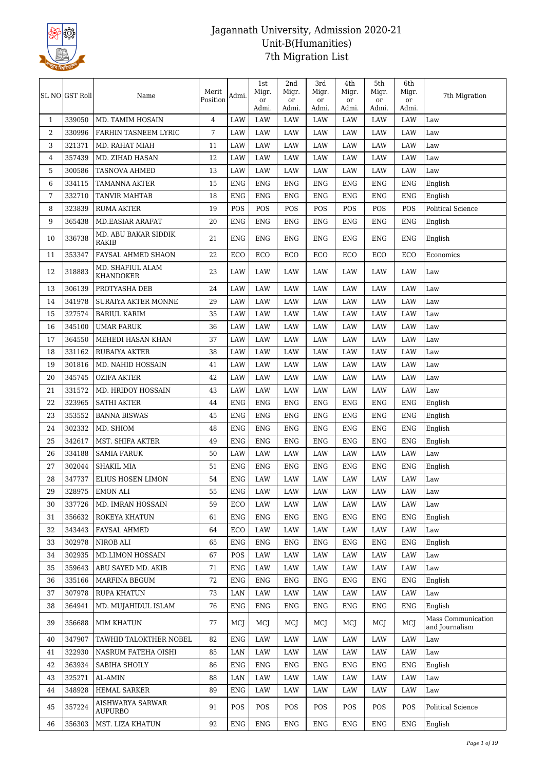

|                | SL NO GST Roll | Name                               | Merit<br>Position | Admi.       | 1st<br>Migr.<br>or<br>Admi. | 2nd<br>Migr.<br>or<br>Admi. | 3rd<br>Migr.<br>or<br>Admi. | 4th<br>Migr.<br>or<br>Admi. | 5th<br>Migr.<br>or<br>Admi. | 6th<br>Migr.<br>or<br>Admi. | 7th Migration                        |
|----------------|----------------|------------------------------------|-------------------|-------------|-----------------------------|-----------------------------|-----------------------------|-----------------------------|-----------------------------|-----------------------------|--------------------------------------|
| $\mathbf{1}$   | 339050         | MD. TAMIM HOSAIN                   | 4                 | <b>LAW</b>  | <b>LAW</b>                  | <b>LAW</b>                  | <b>LAW</b>                  | LAW                         | LAW                         | <b>LAW</b>                  | Law                                  |
| $\overline{2}$ | 330996         | FARHIN TASNEEM LYRIC               | 7                 | LAW         | <b>LAW</b>                  | LAW                         | LAW                         | LAW                         | LAW                         | LAW                         | Law                                  |
| 3              | 321371         | MD. RAHAT MIAH                     | 11                | LAW         | <b>LAW</b>                  | LAW                         | <b>LAW</b>                  | LAW                         | LAW                         | <b>LAW</b>                  | Law                                  |
| 4              | 357439         | MD. ZIHAD HASAN                    | 12                | LAW         | <b>LAW</b>                  | LAW                         | <b>LAW</b>                  | LAW                         | LAW                         | LAW                         | Law                                  |
| 5              | 300586         | <b>TASNOVA AHMED</b>               | 13                | LAW         | <b>LAW</b>                  | LAW                         | <b>LAW</b>                  | LAW                         | <b>LAW</b>                  | <b>LAW</b>                  | Law                                  |
| 6              | 334115         | TAMANNA AKTER                      | 15                | <b>ENG</b>  | <b>ENG</b>                  | <b>ENG</b>                  | ENG                         | <b>ENG</b>                  | <b>ENG</b>                  | ${\rm ENG}$                 | English                              |
| 7              | 332710         | <b>TANVIR MAHTAB</b>               | 18                | <b>ENG</b>  | <b>ENG</b>                  | <b>ENG</b>                  | <b>ENG</b>                  | ENG                         | ENG                         | <b>ENG</b>                  | English                              |
| 8              | 323839         | <b>RUMA AKTER</b>                  | 19                | POS         | POS                         | POS                         | POS                         | POS                         | POS                         | POS                         | Political Science                    |
| 9              | 365438         | <b>MD.EASIAR ARAFAT</b>            | 20                | <b>ENG</b>  | <b>ENG</b>                  | <b>ENG</b>                  | <b>ENG</b>                  | ENG                         | <b>ENG</b>                  | <b>ENG</b>                  | English                              |
| 10             | 336738         | MD. ABU BAKAR SIDDIK<br>RAKIB      | 21                | ENG         | <b>ENG</b>                  | <b>ENG</b>                  | <b>ENG</b>                  | <b>ENG</b>                  | <b>ENG</b>                  | <b>ENG</b>                  | English                              |
| 11             | 353347         | FAYSAL AHMED SHAON                 | 22                | ECO         | ECO                         | ECO                         | ECO                         | ECO                         | ECO                         | ECO                         | Economics                            |
| 12             | 318883         | MD. SHAFIUL ALAM<br>KHANDOKER      | 23                | <b>LAW</b>  | <b>LAW</b>                  | LAW                         | <b>LAW</b>                  | LAW                         | LAW                         | <b>LAW</b>                  | Law                                  |
| 13             | 306139         | PROTYASHA DEB                      | 24                | LAW         | LAW                         | LAW                         | <b>LAW</b>                  | LAW                         | LAW                         | LAW                         | Law                                  |
| 14             | 341978         | <b>SURAIYA AKTER MONNE</b>         | 29                | LAW         | <b>LAW</b>                  | LAW                         | <b>LAW</b>                  | LAW                         | <b>LAW</b>                  | <b>LAW</b>                  | Law                                  |
| 15             | 327574         | <b>BARIUL KARIM</b>                | 35                | LAW         | LAW                         | LAW                         | LAW                         | LAW                         | LAW                         | LAW                         | Law                                  |
| 16             | 345100         | <b>UMAR FARUK</b>                  | 36                | LAW         | <b>LAW</b>                  | LAW                         | LAW                         | LAW                         | LAW                         | LAW                         | Law                                  |
| 17             | 364550         | MEHEDI HASAN KHAN                  | 37                | LAW         | <b>LAW</b>                  | LAW                         | <b>LAW</b>                  | LAW                         | LAW                         | <b>LAW</b>                  | Law                                  |
| 18             | 331162         | <b>RUBAIYA AKTER</b>               | 38                | LAW         | LAW                         | LAW                         | LAW                         | LAW                         | LAW                         | LAW                         | Law                                  |
| 19             | 301816         | MD. NAHID HOSSAIN                  | 41                | LAW         | <b>LAW</b>                  | LAW                         | <b>LAW</b>                  | LAW                         | LAW                         | LAW                         | Law                                  |
| 20             | 345745         | <b>OZIFA AKTER</b>                 | 42                | LAW         | <b>LAW</b>                  | LAW                         | LAW                         | <b>LAW</b>                  | LAW                         | <b>LAW</b>                  | Law                                  |
| 21             | 331572         | MD. HRIDOY HOSSAIN                 | 43                | LAW         | <b>LAW</b>                  | LAW                         | LAW                         | LAW                         | LAW                         | LAW                         | Law                                  |
| 22             | 323965         | <b>SATHI AKTER</b>                 | 44                | <b>ENG</b>  | <b>ENG</b>                  | <b>ENG</b>                  | ENG                         | ENG                         | <b>ENG</b>                  | ${\rm ENG}$                 | English                              |
| 23             | 353552         | <b>BANNA BISWAS</b>                | 45                | <b>ENG</b>  | <b>ENG</b>                  | <b>ENG</b>                  | <b>ENG</b>                  | <b>ENG</b>                  | <b>ENG</b>                  | <b>ENG</b>                  | English                              |
| 24             | 302332         | MD. SHIOM                          | 48                | <b>ENG</b>  | <b>ENG</b>                  | <b>ENG</b>                  | <b>ENG</b>                  | <b>ENG</b>                  | <b>ENG</b>                  | <b>ENG</b>                  | English                              |
| 25             | 342617         | MST. SHIFA AKTER                   | 49                | <b>ENG</b>  | <b>ENG</b>                  | <b>ENG</b>                  | ${\rm ENG}$                 | <b>ENG</b>                  | <b>ENG</b>                  | ENG                         | English                              |
| 26             | 334188         | <b>SAMIA FARUK</b>                 | 50                | LAW         | <b>LAW</b>                  | LAW                         | LAW                         | LAW                         | LAW                         | LAW                         | Law                                  |
| $27\,$         | 302044         | <b>SHAKIL MIA</b>                  | 51                | <b>ENG</b>  | <b>ENG</b>                  | <b>ENG</b>                  | ${\rm ENG}$                 | ENG                         | <b>ENG</b>                  | ${\rm ENG}$                 | English                              |
| 28             | 347737         | ELIUS HOSEN LIMON                  | 54                | <b>ENG</b>  | <b>LAW</b>                  | LAW                         | <b>LAW</b>                  | LAW                         | LAW                         | <b>LAW</b>                  | Law                                  |
| 29             | 328975         | <b>EMON ALI</b>                    | 55                | <b>ENG</b>  | LAW                         | LAW                         | LAW                         | LAW                         | LAW                         | LAW                         | Law                                  |
| 30             | 337726         | MD. IMRAN HOSSAIN                  | 59                | ECO         | LAW                         | LAW                         | LAW                         | LAW                         | LAW                         | LAW                         | Law                                  |
| 31             | 356632         | ROKEYA KHATUN                      | 61                | <b>ENG</b>  | <b>ENG</b>                  | <b>ENG</b>                  | <b>ENG</b>                  | ENG                         | <b>ENG</b>                  | <b>ENG</b>                  | English                              |
| 32             | 343443         | <b>FAYSAL AHMED</b>                | 64                | ECO         | LAW                         | LAW                         | LAW                         | LAW                         | LAW                         | LAW                         | Law                                  |
| 33             | 302978         | NIROB ALI                          | 65                | <b>ENG</b>  | <b>ENG</b>                  | <b>ENG</b>                  | <b>ENG</b>                  | <b>ENG</b>                  | <b>ENG</b>                  | <b>ENG</b>                  | English                              |
| 34             | 302935         | MD.LIMON HOSSAIN                   | 67                | POS         | LAW                         | LAW                         | LAW                         | LAW                         | LAW                         | LAW                         | Law                                  |
| 35             | 359643         | ABU SAYED MD. AKIB                 | 71                | <b>ENG</b>  | LAW                         | LAW                         | LAW                         | LAW                         | LAW                         | LAW                         | Law                                  |
| 36             | 335166         | MARFINA BEGUM                      | 72                | <b>ENG</b>  | <b>ENG</b>                  | <b>ENG</b>                  | <b>ENG</b>                  | <b>ENG</b>                  | <b>ENG</b>                  | <b>ENG</b>                  | English                              |
| 37             | 307978         | <b>RUPA KHATUN</b>                 | 73                | LAN         | LAW                         | LAW                         | LAW                         | LAW                         | LAW                         | LAW                         | Law                                  |
| 38             | 364941         | MD. MUJAHIDUL ISLAM                | 76                | <b>ENG</b>  | <b>ENG</b>                  | <b>ENG</b>                  | <b>ENG</b>                  | <b>ENG</b>                  | <b>ENG</b>                  | <b>ENG</b>                  | English                              |
| 39             | 356688         | <b>MIM KHATUN</b>                  | 77                | MCJ         | MCJ                         | MCJ                         | MCJ                         | MCJ                         | MCJ                         | MCI                         | Mass Communication<br>and Journalism |
| 40             | 347907         | TAWHID TALOKTHER NOBEL             | 82                | <b>ENG</b>  | LAW                         | LAW                         | LAW                         | LAW                         | LAW                         | LAW                         | Law                                  |
| 41             | 322930         | NASRUM FATEHA OISHI                | 85                | $\rm LAN$   | LAW                         | LAW                         | LAW                         | LAW                         | LAW                         | LAW                         | Law                                  |
| 42             | 363934         | SABIHA SHOILY                      | 86                | <b>ENG</b>  | <b>ENG</b>                  | <b>ENG</b>                  | <b>ENG</b>                  | ENG                         | <b>ENG</b>                  | ENG                         | English                              |
| 43             | 325271         | AL-AMIN                            | 88                | LAN         | LAW                         | LAW                         | LAW                         | LAW                         | LAW                         | LAW                         | Law                                  |
| 44             | 348928         | HEMAL SARKER                       | 89                | ${\rm ENG}$ | LAW                         | LAW                         | LAW                         | LAW                         | LAW                         | LAW                         | Law                                  |
| 45             | 357224         | AISHWARYA SARWAR<br><b>AUPURBO</b> | 91                | POS         | POS                         | POS                         | POS                         | POS                         | POS                         | POS                         | Political Science                    |
| 46             | 356303         | MST. LIZA KHATUN                   | 92                | <b>ENG</b>  | ENG                         | ENG                         | ENG                         | ENG                         | ENG                         | ENG                         | English                              |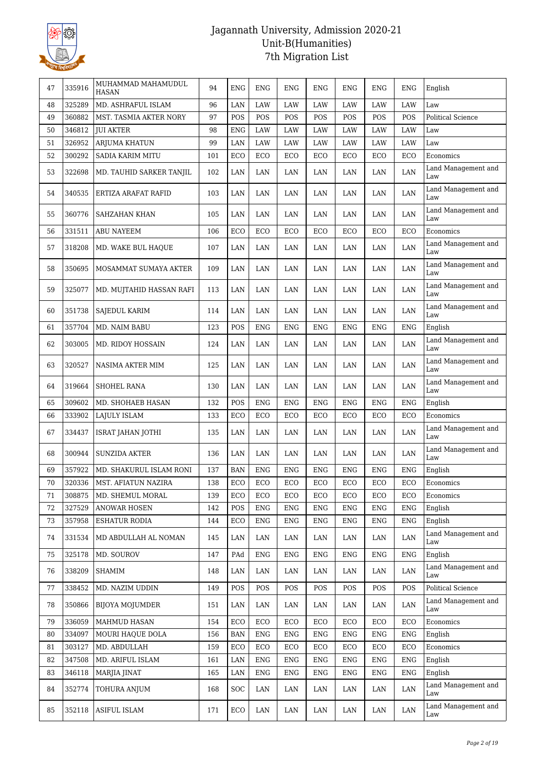

| 47 | 335916 | MUHAMMAD MAHAMUDUL<br><b>HASAN</b> | 94  | <b>ENG</b> | <b>ENG</b> | ENG        | ENG         | ENG        | ENG        | ENG         | English                    |
|----|--------|------------------------------------|-----|------------|------------|------------|-------------|------------|------------|-------------|----------------------------|
| 48 | 325289 | MD. ASHRAFUL ISLAM                 | 96  | LAN        | LAW        | LAW        | LAW         | LAW        | LAW        | LAW         | Law                        |
| 49 | 360882 | MST. TASMIA AKTER NORY             | 97  | POS        | POS        | POS        | POS         | POS        | POS        | POS         | <b>Political Science</b>   |
| 50 | 346812 | <b>JUI AKTER</b>                   | 98  | <b>ENG</b> | LAW        | LAW        | <b>LAW</b>  | <b>LAW</b> | LAW        | <b>LAW</b>  | Law                        |
| 51 | 326952 | <b>ARJUMA KHATUN</b>               | 99  | LAN        | LAW        | LAW        | LAW         | LAW        | LAW        | LAW         | Law                        |
| 52 | 300292 | SADIA KARIM MITU                   | 101 | ECO        | ECO        | ECO        | ECO         | ECO        | ECO        | ECO         | Economics                  |
| 53 | 322698 | MD. TAUHID SARKER TANJIL           | 102 | LAN        | LAN        | LAN        | LAN         | LAN        | LAN        | LAN         | Land Management and<br>Law |
| 54 | 340535 | ERTIZA ARAFAT RAFID                | 103 | LAN        | LAN        | LAN        | LAN         | LAN        | LAN        | LAN         | Land Management and<br>Law |
| 55 | 360776 | SAHZAHAN KHAN                      | 105 | LAN        | LAN        | LAN        | LAN         | LAN        | LAN        | LAN         | Land Management and<br>Law |
| 56 | 331511 | ABU NAYEEM                         | 106 | ECO        | ECO        | ECO        | ECO         | ECO        | ECO        | ECO         | Economics                  |
| 57 | 318208 | MD. WAKE BUL HAQUE                 | 107 | LAN        | LAN        | LAN        | LAN         | LAN        | LAN        | LAN         | Land Management and<br>Law |
| 58 | 350695 | MOSAMMAT SUMAYA AKTER              | 109 | LAN        | LAN        | LAN        | LAN         | LAN        | LAN        | LAN         | Land Management and<br>Law |
| 59 | 325077 | MD. MUJTAHID HASSAN RAFI           | 113 | LAN        | LAN        | LAN        | LAN         | LAN        | LAN        | LAN         | Land Management and<br>Law |
| 60 | 351738 | SAJEDUL KARIM                      | 114 | LAN        | LAN        | LAN        | LAN         | LAN        | LAN        | LAN         | Land Management and<br>Law |
| 61 | 357704 | MD. NAIM BABU                      | 123 | POS        | <b>ENG</b> | <b>ENG</b> | <b>ENG</b>  | <b>ENG</b> | <b>ENG</b> | <b>ENG</b>  | English                    |
| 62 | 303005 | MD. RIDOY HOSSAIN                  | 124 | LAN        | LAN        | LAN        | LAN         | LAN        | LAN        | LAN         | Land Management and<br>Law |
| 63 | 320527 | NASIMA AKTER MIM                   | 125 | LAN        | LAN        | LAN        | LAN         | LAN        | LAN        | LAN         | Land Management and<br>Law |
| 64 | 319664 | <b>SHOHEL RANA</b>                 | 130 | LAN        | LAN        | LAN        | LAN         | LAN        | LAN        | LAN         | Land Management and<br>Law |
| 65 | 309602 | MD. SHOHAEB HASAN                  | 132 | POS        | <b>ENG</b> | <b>ENG</b> | ${\rm ENG}$ | <b>ENG</b> | ENG        | <b>ENG</b>  | English                    |
| 66 | 333902 | LAJULY ISLAM                       | 133 | ECO        | ECO        | ECO        | ECO         | ECO        | ECO        | ECO         | Economics                  |
| 67 | 334437 | <b>ISRAT JAHAN JOTHI</b>           | 135 | LAN        | LAN        | LAN        | LAN         | LAN        | LAN        | LAN         | Land Management and<br>Law |
| 68 | 300944 | <b>SUNZIDA AKTER</b>               | 136 | LAN        | LAN        | LAN        | LAN         | LAN        | LAN        | LAN         | Land Management and<br>Law |
| 69 | 357922 | MD. SHAKURUL ISLAM RONI            | 137 | <b>BAN</b> | <b>ENG</b> | <b>ENG</b> | <b>ENG</b>  | <b>ENG</b> | <b>ENG</b> | <b>ENG</b>  | English                    |
| 70 | 320336 | MST. AFIATUN NAZIRA                | 138 | ECO        | ECO        | ECO        | ECO         | ECO        | ECO        | ECO         | Economics                  |
| 71 | 308875 | MD. SHEMUL MORAL                   | 139 | ECO        | ECO        | ECO        | ECO         | ECO        | ECO        | ECO         | Economics                  |
| 72 | 327529 | <b>ANOWAR HOSEN</b>                | 142 | POS        | <b>ENG</b> | <b>ENG</b> | ${\rm ENG}$ | <b>ENG</b> | <b>ENG</b> | <b>ENG</b>  | English                    |
| 73 | 357958 | ESHATUR RODIA                      | 144 | ECO        | ENG        | ENG        | ENG         | ENG        | ENG        | ENG         | English                    |
| 74 | 331534 | MD ABDULLAH AL NOMAN               | 145 | LAN        | LAN        | LAN        | LAN         | LAN        | LAN        | LAN         | Land Management and<br>Law |
| 75 | 325178 | MD. SOUROV                         | 147 | PAd        | ENG        | ENG        | ENG         | ENG        | ENG        | <b>ENG</b>  | English                    |
| 76 | 338209 | <b>SHAMIM</b>                      | 148 | LAN        | LAN        | LAN        | LAN         | LAN        | LAN        | LAN         | Land Management and<br>Law |
| 77 | 338452 | MD. NAZIM UDDIN                    | 149 | POS        | POS        | POS        | POS         | POS        | POS        | POS         | Political Science          |
| 78 | 350866 | BIJOYA MOJUMDER                    | 151 | LAN        | LAN        | LAN        | LAN         | LAN        | LAN        | LAN         | Land Management and<br>Law |
| 79 | 336059 | <b>MAHMUD HASAN</b>                | 154 | ECO        | ECO        | ECO        | ECO         | ECO        | ECO        | ECO         | Economics                  |
| 80 | 334097 | MOURI HAQUE DOLA                   | 156 | <b>BAN</b> | <b>ENG</b> | <b>ENG</b> | ${\rm ENG}$ | <b>ENG</b> | <b>ENG</b> | ${\rm ENG}$ | English                    |
| 81 | 303127 | MD. ABDULLAH                       | 159 | ECO        | ECO        | ECO        | ECO         | ECO        | ECO        | ECO         | Economics                  |
| 82 | 347508 | MD. ARIFUL ISLAM                   | 161 | LAN        | <b>ENG</b> | ENG        | ENG         | ENG        | <b>ENG</b> | <b>ENG</b>  | English                    |
| 83 | 346118 | MARJIA JINAT                       | 165 | LAN        | <b>ENG</b> | <b>ENG</b> | <b>ENG</b>  | ENG        | <b>ENG</b> | <b>ENG</b>  | English                    |
| 84 | 352774 | TOHURA ANJUM                       | 168 | SOC        | LAN        | LAN        | LAN         | LAN        | LAN        | LAN         | Land Management and<br>Law |
| 85 | 352118 | ASIFUL ISLAM                       | 171 | ECO        | LAN        | LAN        | LAN         | LAN        | LAN        | LAN         | Land Management and<br>Law |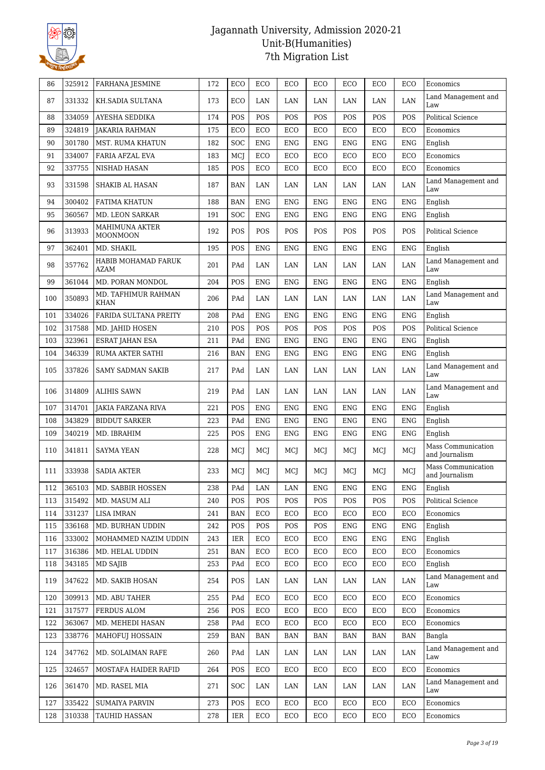

| Land Management and<br>LAN<br>87<br>331332<br>KH.SADIA SULTANA<br>173<br>ECO<br>LAN<br>LAN<br>LAN<br>LAN<br>LAN<br>Law<br>POS<br>88<br>334059<br>AYESHA SEDDIKA<br>174<br>POS<br>POS<br>POS<br>POS<br>POS<br>POS<br>Political Science<br>89<br>324819<br><b>JAKARIA RAHMAN</b><br>175<br>ECO<br>ECO<br>ECO<br>ECO<br>ECO<br>ECO<br>ECO<br>Economics<br>90<br>301780<br>MST. RUMA KHATUN<br>182<br><b>SOC</b><br><b>ENG</b><br><b>ENG</b><br><b>ENG</b><br>ENG<br><b>ENG</b><br><b>ENG</b><br>English<br>91<br>334007<br><b>FARIA AFZAL EVA</b><br>MCJ<br>ECO<br>ECO<br>ECO<br>ECO<br>ECO<br>ECO<br>183<br>Economics<br>92<br>337755<br>POS<br>ECO<br>ECO<br>ECO<br>ECO<br>ECO<br>ECO<br>Economics<br>NISHAD HASAN<br>185<br>Land Management and<br>93<br>331598<br>LAN<br>SHAKIB AL HASAN<br>187<br><b>BAN</b><br>LAN<br>LAN<br>LAN<br>LAN<br>LAN<br>Law<br>300402<br><b>BAN</b><br><b>ENG</b><br><b>ENG</b><br><b>ENG</b><br><b>ENG</b><br>English<br>94<br><b>FATIMA KHATUN</b><br>188<br><b>ENG</b><br>ENG<br>360567<br>95<br>MD. LEON SARKAR<br>191<br><b>SOC</b><br><b>ENG</b><br><b>ENG</b><br><b>ENG</b><br>ENG<br><b>ENG</b><br><b>ENG</b><br>English<br>MAHIMUNA AKTER<br>313933<br>POS<br>96<br>192<br>POS<br>POS<br>POS<br>POS<br>POS<br>POS<br><b>Political Science</b><br>MOONMOON<br>362401<br>POS<br>97<br>MD. SHAKIL<br>195<br><b>ENG</b><br><b>ENG</b><br><b>ENG</b><br>ENG<br><b>ENG</b><br><b>ENG</b><br>English<br>HABIB MOHAMAD FARUK<br>Land Management and<br>357762<br>98<br>201<br>PAd<br>LAN<br>LAN<br>LAN<br>LAN<br>LAN<br>LAN<br>AZAM<br>Law<br>99<br>361044<br>MD. PORAN MONDOL<br>204<br>POS<br><b>ENG</b><br><b>ENG</b><br><b>ENG</b><br><b>ENG</b><br><b>ENG</b><br><b>ENG</b><br>English<br>MD. TAFHIMUR RAHMAN<br>Land Management and<br>350893<br>100<br>PAd<br>LAN<br>LAN<br>LAN<br>LAN<br>LAN<br>206<br>LAN<br><b>KHAN</b><br>Law<br>334026<br><b>FARIDA SULTANA PREITY</b><br>208<br>PAd<br><b>ENG</b><br><b>ENG</b><br><b>ENG</b><br><b>ENG</b><br>101<br><b>ENG</b><br><b>ENG</b><br>English<br>317588<br>POS<br>Political Science<br>102<br>MD. JAHID HOSEN<br>210<br>POS<br>POS<br>POS<br>POS<br>POS<br>POS<br>103<br>323961<br><b>ENG</b><br>ENG<br><b>ESRAT JAHAN ESA</b><br>211<br>PAd<br><b>ENG</b><br>ENG<br><b>ENG</b><br><b>ENG</b><br>English<br>104<br>346339<br>216<br><b>ENG</b><br><b>ENG</b><br>RUMA AKTER SATHI<br><b>BAN</b><br><b>ENG</b><br><b>ENG</b><br>ENG<br><b>ENG</b><br>English<br>Land Management and<br>LAN<br>105<br>337826<br>217<br>PAd<br>LAN<br>LAN<br>LAN<br>LAN<br>LAN<br>SAMY SADMAN SAKIB<br>Law<br>Land Management and<br>314809<br>106<br><b>ALIHIS SAWN</b><br>219<br>PAd<br>LAN<br>LAN<br>LAN<br>LAN<br>LAN<br>LAN<br>Law<br>107<br>314701<br>221<br>POS<br><b>ENG</b><br><b>ENG</b><br><b>ENG</b><br><b>ENG</b><br><b>ENG</b><br><b>ENG</b><br><b>JAKIA FARZANA RIVA</b><br>English<br>343829<br>PAd<br>108<br><b>BIDDUT SARKER</b><br>223<br><b>ENG</b><br><b>ENG</b><br>ENG<br><b>ENG</b><br><b>ENG</b><br>${\rm ENG}$<br>English<br>109<br>340219<br>MD. IBRAHIM<br>225<br>POS<br><b>ENG</b><br><b>ENG</b><br><b>ENG</b><br>ENG<br><b>ENG</b><br><b>ENG</b><br>English<br>Mass Communication<br>341811<br><b>SAYMA YEAN</b><br>228<br>MCJ<br>MCJ<br>MCI<br>MCJ<br>MCJ<br>110<br>MCI<br>MCI<br>and Journalism<br>Mass Communication<br>333938<br>233<br>MCJ<br>MCJ<br>111<br><b>SADIA AKTER</b><br>MCJ<br>MCJ<br>MCJ<br>MCJ<br>MCJ<br>and Journalism<br>PAd<br>LAN<br><b>ENG</b><br>365103<br>238<br>LAN<br><b>ENG</b><br>English<br>MD. SABBIR HOSSEN<br>112<br>${\rm ENG}$<br><b>ENG</b><br>315492<br>MD. MASUM ALI<br>240<br>POS<br>POS<br>POS<br>POS<br>POS<br>POS<br>POS<br><b>Political Science</b><br>113<br>331237<br>114<br><b>LISA IMRAN</b><br>241<br><b>BAN</b><br>ECO<br>ECO<br>ECO<br>ECO<br>ECO<br>ECO<br>Economics<br>336168<br>MD. BURHAN UDDIN<br>POS<br>POS<br>242<br>POS<br>POS<br><b>ENG</b><br><b>ENG</b><br><b>ENG</b><br>English<br>115<br>333002<br>MOHAMMED NAZIM UDDIN<br>243<br>IER<br>ECO<br>ECO<br>ECO<br><b>ENG</b><br><b>ENG</b><br><b>ENG</b><br>English<br>116<br>316386<br>117<br>251<br><b>BAN</b><br>ECO<br>ECO<br>ECO<br>ECO<br>ECO<br>ECO<br>Economics<br>MD. HELAL UDDIN<br>343185<br>253<br>PAd<br>ECO<br>ECO<br>ECO<br>ECO<br>ECO<br>ECO<br>English<br>118<br>MD SAJIB<br>Land Management and<br>347622<br>MD. SAKIB HOSAN<br>254<br>POS<br>LAN<br>LAN<br>LAN<br>119<br>LAN<br>LAN<br>LAN<br>Law<br>309913<br>MD. ABU TAHER<br>PAd<br>ECO<br>ECO<br>ECO<br>ECO<br>ECO<br>ECO<br>Economics<br>120<br>255<br>317577<br>FERDUS ALOM<br>121<br>256<br>POS<br>ECO<br>ECO<br>ECO<br>ECO<br>ECO<br>ECO<br>Economics<br>363067<br>122<br>MD. MEHEDI HASAN<br>258<br>PAd<br>ECO<br>ECO<br>ECO<br>ECO<br>ECO<br>ECO<br>Economics<br>338776<br>123<br><b>MAHOFUJ HOSSAIN</b><br>259<br><b>BAN</b><br><b>BAN</b><br><b>BAN</b><br><b>BAN</b><br>$\ensuremath{\mathsf{BAN}}$<br><b>BAN</b><br><b>BAN</b><br>Bangla<br>Land Management and<br>347762<br>MD. SOLAIMAN RAFE<br>LAN<br>124<br>260<br>PAd<br>LAN<br>LAN<br>LAN<br>LAN<br>LAN<br>Law<br>Economics<br>324657<br>ECO<br>ECO<br>ECO<br>ECO<br>ECO<br>ECO<br>125<br>MOSTAFA HAIDER RAFID<br>264<br>POS<br>Land Management and<br>361470<br>LAN<br>126<br>MD. RASEL MIA<br>271<br>SOC<br>LAN<br>LAN<br>LAN<br>LAN<br>LAN<br>Law<br>335422<br>127<br><b>SUMAIYA PARVIN</b><br>273<br>POS<br>ECO<br>ECO<br>ECO<br>ECO<br>ECO<br>ECO<br>Economics<br>310338<br>128<br>TAUHID HASSAN<br>278<br>IER<br>ECO<br>ECO<br>ECO<br>ECO<br>ECO<br>ECO<br>Economics | 86 | 325912 | <b>FARHANA JESMINE</b> | 172 | ECO | ECO | ECO | ECO | ECO | ECO | ECO | Economics |
|-----------------------------------------------------------------------------------------------------------------------------------------------------------------------------------------------------------------------------------------------------------------------------------------------------------------------------------------------------------------------------------------------------------------------------------------------------------------------------------------------------------------------------------------------------------------------------------------------------------------------------------------------------------------------------------------------------------------------------------------------------------------------------------------------------------------------------------------------------------------------------------------------------------------------------------------------------------------------------------------------------------------------------------------------------------------------------------------------------------------------------------------------------------------------------------------------------------------------------------------------------------------------------------------------------------------------------------------------------------------------------------------------------------------------------------------------------------------------------------------------------------------------------------------------------------------------------------------------------------------------------------------------------------------------------------------------------------------------------------------------------------------------------------------------------------------------------------------------------------------------------------------------------------------------------------------------------------------------------------------------------------------------------------------------------------------------------------------------------------------------------------------------------------------------------------------------------------------------------------------------------------------------------------------------------------------------------------------------------------------------------------------------------------------------------------------------------------------------------------------------------------------------------------------------------------------------------------------------------------------------------------------------------------------------------------------------------------------------------------------------------------------------------------------------------------------------------------------------------------------------------------------------------------------------------------------------------------------------------------------------------------------------------------------------------------------------------------------------------------------------------------------------------------------------------------------------------------------------------------------------------------------------------------------------------------------------------------------------------------------------------------------------------------------------------------------------------------------------------------------------------------------------------------------------------------------------------------------------------------------------------------------------------------------------------------------------------------------------------------------------------------------------------------------------------------------------------------------------------------------------------------------------------------------------------------------------------------------------------------------------------------------------------------------------------------------------------------------------------------------------------------------------------------------------------------------------------------------------------------------------------------------------------------------------------------------------------------------------------------------------------------------------------------------------------------------------------------------------------------------------------------------------------------------------------------------------------------------------------------------------------------------------------------------------------------------------------------------------------------------------------------------------------------------------------------------------------------------------------------------------------------------------------------------------------------------------------------------------------------------------------------------------------------------------------------------------------------------------------------------------------------------------------------------------------------------------------------------------------------------------------------------------------------------------------------------------------------------------------------------------------------------------------------------------------------------------------------------------------------------------------------------------------|----|--------|------------------------|-----|-----|-----|-----|-----|-----|-----|-----|-----------|
|                                                                                                                                                                                                                                                                                                                                                                                                                                                                                                                                                                                                                                                                                                                                                                                                                                                                                                                                                                                                                                                                                                                                                                                                                                                                                                                                                                                                                                                                                                                                                                                                                                                                                                                                                                                                                                                                                                                                                                                                                                                                                                                                                                                                                                                                                                                                                                                                                                                                                                                                                                                                                                                                                                                                                                                                                                                                                                                                                                                                                                                                                                                                                                                                                                                                                                                                                                                                                                                                                                                                                                                                                                                                                                                                                                                                                                                                                                                                                                                                                                                                                                                                                                                                                                                                                                                                                                                                                                                                                                                                                                                                                                                                                                                                                                                                                                                                                                                                                                                                                                                                                                                                                                                                                                                                                                                                                                                                                                                                                                                             |    |        |                        |     |     |     |     |     |     |     |     |           |
|                                                                                                                                                                                                                                                                                                                                                                                                                                                                                                                                                                                                                                                                                                                                                                                                                                                                                                                                                                                                                                                                                                                                                                                                                                                                                                                                                                                                                                                                                                                                                                                                                                                                                                                                                                                                                                                                                                                                                                                                                                                                                                                                                                                                                                                                                                                                                                                                                                                                                                                                                                                                                                                                                                                                                                                                                                                                                                                                                                                                                                                                                                                                                                                                                                                                                                                                                                                                                                                                                                                                                                                                                                                                                                                                                                                                                                                                                                                                                                                                                                                                                                                                                                                                                                                                                                                                                                                                                                                                                                                                                                                                                                                                                                                                                                                                                                                                                                                                                                                                                                                                                                                                                                                                                                                                                                                                                                                                                                                                                                                             |    |        |                        |     |     |     |     |     |     |     |     |           |
|                                                                                                                                                                                                                                                                                                                                                                                                                                                                                                                                                                                                                                                                                                                                                                                                                                                                                                                                                                                                                                                                                                                                                                                                                                                                                                                                                                                                                                                                                                                                                                                                                                                                                                                                                                                                                                                                                                                                                                                                                                                                                                                                                                                                                                                                                                                                                                                                                                                                                                                                                                                                                                                                                                                                                                                                                                                                                                                                                                                                                                                                                                                                                                                                                                                                                                                                                                                                                                                                                                                                                                                                                                                                                                                                                                                                                                                                                                                                                                                                                                                                                                                                                                                                                                                                                                                                                                                                                                                                                                                                                                                                                                                                                                                                                                                                                                                                                                                                                                                                                                                                                                                                                                                                                                                                                                                                                                                                                                                                                                                             |    |        |                        |     |     |     |     |     |     |     |     |           |
|                                                                                                                                                                                                                                                                                                                                                                                                                                                                                                                                                                                                                                                                                                                                                                                                                                                                                                                                                                                                                                                                                                                                                                                                                                                                                                                                                                                                                                                                                                                                                                                                                                                                                                                                                                                                                                                                                                                                                                                                                                                                                                                                                                                                                                                                                                                                                                                                                                                                                                                                                                                                                                                                                                                                                                                                                                                                                                                                                                                                                                                                                                                                                                                                                                                                                                                                                                                                                                                                                                                                                                                                                                                                                                                                                                                                                                                                                                                                                                                                                                                                                                                                                                                                                                                                                                                                                                                                                                                                                                                                                                                                                                                                                                                                                                                                                                                                                                                                                                                                                                                                                                                                                                                                                                                                                                                                                                                                                                                                                                                             |    |        |                        |     |     |     |     |     |     |     |     |           |
|                                                                                                                                                                                                                                                                                                                                                                                                                                                                                                                                                                                                                                                                                                                                                                                                                                                                                                                                                                                                                                                                                                                                                                                                                                                                                                                                                                                                                                                                                                                                                                                                                                                                                                                                                                                                                                                                                                                                                                                                                                                                                                                                                                                                                                                                                                                                                                                                                                                                                                                                                                                                                                                                                                                                                                                                                                                                                                                                                                                                                                                                                                                                                                                                                                                                                                                                                                                                                                                                                                                                                                                                                                                                                                                                                                                                                                                                                                                                                                                                                                                                                                                                                                                                                                                                                                                                                                                                                                                                                                                                                                                                                                                                                                                                                                                                                                                                                                                                                                                                                                                                                                                                                                                                                                                                                                                                                                                                                                                                                                                             |    |        |                        |     |     |     |     |     |     |     |     |           |
|                                                                                                                                                                                                                                                                                                                                                                                                                                                                                                                                                                                                                                                                                                                                                                                                                                                                                                                                                                                                                                                                                                                                                                                                                                                                                                                                                                                                                                                                                                                                                                                                                                                                                                                                                                                                                                                                                                                                                                                                                                                                                                                                                                                                                                                                                                                                                                                                                                                                                                                                                                                                                                                                                                                                                                                                                                                                                                                                                                                                                                                                                                                                                                                                                                                                                                                                                                                                                                                                                                                                                                                                                                                                                                                                                                                                                                                                                                                                                                                                                                                                                                                                                                                                                                                                                                                                                                                                                                                                                                                                                                                                                                                                                                                                                                                                                                                                                                                                                                                                                                                                                                                                                                                                                                                                                                                                                                                                                                                                                                                             |    |        |                        |     |     |     |     |     |     |     |     |           |
|                                                                                                                                                                                                                                                                                                                                                                                                                                                                                                                                                                                                                                                                                                                                                                                                                                                                                                                                                                                                                                                                                                                                                                                                                                                                                                                                                                                                                                                                                                                                                                                                                                                                                                                                                                                                                                                                                                                                                                                                                                                                                                                                                                                                                                                                                                                                                                                                                                                                                                                                                                                                                                                                                                                                                                                                                                                                                                                                                                                                                                                                                                                                                                                                                                                                                                                                                                                                                                                                                                                                                                                                                                                                                                                                                                                                                                                                                                                                                                                                                                                                                                                                                                                                                                                                                                                                                                                                                                                                                                                                                                                                                                                                                                                                                                                                                                                                                                                                                                                                                                                                                                                                                                                                                                                                                                                                                                                                                                                                                                                             |    |        |                        |     |     |     |     |     |     |     |     |           |
|                                                                                                                                                                                                                                                                                                                                                                                                                                                                                                                                                                                                                                                                                                                                                                                                                                                                                                                                                                                                                                                                                                                                                                                                                                                                                                                                                                                                                                                                                                                                                                                                                                                                                                                                                                                                                                                                                                                                                                                                                                                                                                                                                                                                                                                                                                                                                                                                                                                                                                                                                                                                                                                                                                                                                                                                                                                                                                                                                                                                                                                                                                                                                                                                                                                                                                                                                                                                                                                                                                                                                                                                                                                                                                                                                                                                                                                                                                                                                                                                                                                                                                                                                                                                                                                                                                                                                                                                                                                                                                                                                                                                                                                                                                                                                                                                                                                                                                                                                                                                                                                                                                                                                                                                                                                                                                                                                                                                                                                                                                                             |    |        |                        |     |     |     |     |     |     |     |     |           |
|                                                                                                                                                                                                                                                                                                                                                                                                                                                                                                                                                                                                                                                                                                                                                                                                                                                                                                                                                                                                                                                                                                                                                                                                                                                                                                                                                                                                                                                                                                                                                                                                                                                                                                                                                                                                                                                                                                                                                                                                                                                                                                                                                                                                                                                                                                                                                                                                                                                                                                                                                                                                                                                                                                                                                                                                                                                                                                                                                                                                                                                                                                                                                                                                                                                                                                                                                                                                                                                                                                                                                                                                                                                                                                                                                                                                                                                                                                                                                                                                                                                                                                                                                                                                                                                                                                                                                                                                                                                                                                                                                                                                                                                                                                                                                                                                                                                                                                                                                                                                                                                                                                                                                                                                                                                                                                                                                                                                                                                                                                                             |    |        |                        |     |     |     |     |     |     |     |     |           |
|                                                                                                                                                                                                                                                                                                                                                                                                                                                                                                                                                                                                                                                                                                                                                                                                                                                                                                                                                                                                                                                                                                                                                                                                                                                                                                                                                                                                                                                                                                                                                                                                                                                                                                                                                                                                                                                                                                                                                                                                                                                                                                                                                                                                                                                                                                                                                                                                                                                                                                                                                                                                                                                                                                                                                                                                                                                                                                                                                                                                                                                                                                                                                                                                                                                                                                                                                                                                                                                                                                                                                                                                                                                                                                                                                                                                                                                                                                                                                                                                                                                                                                                                                                                                                                                                                                                                                                                                                                                                                                                                                                                                                                                                                                                                                                                                                                                                                                                                                                                                                                                                                                                                                                                                                                                                                                                                                                                                                                                                                                                             |    |        |                        |     |     |     |     |     |     |     |     |           |
|                                                                                                                                                                                                                                                                                                                                                                                                                                                                                                                                                                                                                                                                                                                                                                                                                                                                                                                                                                                                                                                                                                                                                                                                                                                                                                                                                                                                                                                                                                                                                                                                                                                                                                                                                                                                                                                                                                                                                                                                                                                                                                                                                                                                                                                                                                                                                                                                                                                                                                                                                                                                                                                                                                                                                                                                                                                                                                                                                                                                                                                                                                                                                                                                                                                                                                                                                                                                                                                                                                                                                                                                                                                                                                                                                                                                                                                                                                                                                                                                                                                                                                                                                                                                                                                                                                                                                                                                                                                                                                                                                                                                                                                                                                                                                                                                                                                                                                                                                                                                                                                                                                                                                                                                                                                                                                                                                                                                                                                                                                                             |    |        |                        |     |     |     |     |     |     |     |     |           |
|                                                                                                                                                                                                                                                                                                                                                                                                                                                                                                                                                                                                                                                                                                                                                                                                                                                                                                                                                                                                                                                                                                                                                                                                                                                                                                                                                                                                                                                                                                                                                                                                                                                                                                                                                                                                                                                                                                                                                                                                                                                                                                                                                                                                                                                                                                                                                                                                                                                                                                                                                                                                                                                                                                                                                                                                                                                                                                                                                                                                                                                                                                                                                                                                                                                                                                                                                                                                                                                                                                                                                                                                                                                                                                                                                                                                                                                                                                                                                                                                                                                                                                                                                                                                                                                                                                                                                                                                                                                                                                                                                                                                                                                                                                                                                                                                                                                                                                                                                                                                                                                                                                                                                                                                                                                                                                                                                                                                                                                                                                                             |    |        |                        |     |     |     |     |     |     |     |     |           |
|                                                                                                                                                                                                                                                                                                                                                                                                                                                                                                                                                                                                                                                                                                                                                                                                                                                                                                                                                                                                                                                                                                                                                                                                                                                                                                                                                                                                                                                                                                                                                                                                                                                                                                                                                                                                                                                                                                                                                                                                                                                                                                                                                                                                                                                                                                                                                                                                                                                                                                                                                                                                                                                                                                                                                                                                                                                                                                                                                                                                                                                                                                                                                                                                                                                                                                                                                                                                                                                                                                                                                                                                                                                                                                                                                                                                                                                                                                                                                                                                                                                                                                                                                                                                                                                                                                                                                                                                                                                                                                                                                                                                                                                                                                                                                                                                                                                                                                                                                                                                                                                                                                                                                                                                                                                                                                                                                                                                                                                                                                                             |    |        |                        |     |     |     |     |     |     |     |     |           |
|                                                                                                                                                                                                                                                                                                                                                                                                                                                                                                                                                                                                                                                                                                                                                                                                                                                                                                                                                                                                                                                                                                                                                                                                                                                                                                                                                                                                                                                                                                                                                                                                                                                                                                                                                                                                                                                                                                                                                                                                                                                                                                                                                                                                                                                                                                                                                                                                                                                                                                                                                                                                                                                                                                                                                                                                                                                                                                                                                                                                                                                                                                                                                                                                                                                                                                                                                                                                                                                                                                                                                                                                                                                                                                                                                                                                                                                                                                                                                                                                                                                                                                                                                                                                                                                                                                                                                                                                                                                                                                                                                                                                                                                                                                                                                                                                                                                                                                                                                                                                                                                                                                                                                                                                                                                                                                                                                                                                                                                                                                                             |    |        |                        |     |     |     |     |     |     |     |     |           |
|                                                                                                                                                                                                                                                                                                                                                                                                                                                                                                                                                                                                                                                                                                                                                                                                                                                                                                                                                                                                                                                                                                                                                                                                                                                                                                                                                                                                                                                                                                                                                                                                                                                                                                                                                                                                                                                                                                                                                                                                                                                                                                                                                                                                                                                                                                                                                                                                                                                                                                                                                                                                                                                                                                                                                                                                                                                                                                                                                                                                                                                                                                                                                                                                                                                                                                                                                                                                                                                                                                                                                                                                                                                                                                                                                                                                                                                                                                                                                                                                                                                                                                                                                                                                                                                                                                                                                                                                                                                                                                                                                                                                                                                                                                                                                                                                                                                                                                                                                                                                                                                                                                                                                                                                                                                                                                                                                                                                                                                                                                                             |    |        |                        |     |     |     |     |     |     |     |     |           |
|                                                                                                                                                                                                                                                                                                                                                                                                                                                                                                                                                                                                                                                                                                                                                                                                                                                                                                                                                                                                                                                                                                                                                                                                                                                                                                                                                                                                                                                                                                                                                                                                                                                                                                                                                                                                                                                                                                                                                                                                                                                                                                                                                                                                                                                                                                                                                                                                                                                                                                                                                                                                                                                                                                                                                                                                                                                                                                                                                                                                                                                                                                                                                                                                                                                                                                                                                                                                                                                                                                                                                                                                                                                                                                                                                                                                                                                                                                                                                                                                                                                                                                                                                                                                                                                                                                                                                                                                                                                                                                                                                                                                                                                                                                                                                                                                                                                                                                                                                                                                                                                                                                                                                                                                                                                                                                                                                                                                                                                                                                                             |    |        |                        |     |     |     |     |     |     |     |     |           |
|                                                                                                                                                                                                                                                                                                                                                                                                                                                                                                                                                                                                                                                                                                                                                                                                                                                                                                                                                                                                                                                                                                                                                                                                                                                                                                                                                                                                                                                                                                                                                                                                                                                                                                                                                                                                                                                                                                                                                                                                                                                                                                                                                                                                                                                                                                                                                                                                                                                                                                                                                                                                                                                                                                                                                                                                                                                                                                                                                                                                                                                                                                                                                                                                                                                                                                                                                                                                                                                                                                                                                                                                                                                                                                                                                                                                                                                                                                                                                                                                                                                                                                                                                                                                                                                                                                                                                                                                                                                                                                                                                                                                                                                                                                                                                                                                                                                                                                                                                                                                                                                                                                                                                                                                                                                                                                                                                                                                                                                                                                                             |    |        |                        |     |     |     |     |     |     |     |     |           |
|                                                                                                                                                                                                                                                                                                                                                                                                                                                                                                                                                                                                                                                                                                                                                                                                                                                                                                                                                                                                                                                                                                                                                                                                                                                                                                                                                                                                                                                                                                                                                                                                                                                                                                                                                                                                                                                                                                                                                                                                                                                                                                                                                                                                                                                                                                                                                                                                                                                                                                                                                                                                                                                                                                                                                                                                                                                                                                                                                                                                                                                                                                                                                                                                                                                                                                                                                                                                                                                                                                                                                                                                                                                                                                                                                                                                                                                                                                                                                                                                                                                                                                                                                                                                                                                                                                                                                                                                                                                                                                                                                                                                                                                                                                                                                                                                                                                                                                                                                                                                                                                                                                                                                                                                                                                                                                                                                                                                                                                                                                                             |    |        |                        |     |     |     |     |     |     |     |     |           |
|                                                                                                                                                                                                                                                                                                                                                                                                                                                                                                                                                                                                                                                                                                                                                                                                                                                                                                                                                                                                                                                                                                                                                                                                                                                                                                                                                                                                                                                                                                                                                                                                                                                                                                                                                                                                                                                                                                                                                                                                                                                                                                                                                                                                                                                                                                                                                                                                                                                                                                                                                                                                                                                                                                                                                                                                                                                                                                                                                                                                                                                                                                                                                                                                                                                                                                                                                                                                                                                                                                                                                                                                                                                                                                                                                                                                                                                                                                                                                                                                                                                                                                                                                                                                                                                                                                                                                                                                                                                                                                                                                                                                                                                                                                                                                                                                                                                                                                                                                                                                                                                                                                                                                                                                                                                                                                                                                                                                                                                                                                                             |    |        |                        |     |     |     |     |     |     |     |     |           |
|                                                                                                                                                                                                                                                                                                                                                                                                                                                                                                                                                                                                                                                                                                                                                                                                                                                                                                                                                                                                                                                                                                                                                                                                                                                                                                                                                                                                                                                                                                                                                                                                                                                                                                                                                                                                                                                                                                                                                                                                                                                                                                                                                                                                                                                                                                                                                                                                                                                                                                                                                                                                                                                                                                                                                                                                                                                                                                                                                                                                                                                                                                                                                                                                                                                                                                                                                                                                                                                                                                                                                                                                                                                                                                                                                                                                                                                                                                                                                                                                                                                                                                                                                                                                                                                                                                                                                                                                                                                                                                                                                                                                                                                                                                                                                                                                                                                                                                                                                                                                                                                                                                                                                                                                                                                                                                                                                                                                                                                                                                                             |    |        |                        |     |     |     |     |     |     |     |     |           |
|                                                                                                                                                                                                                                                                                                                                                                                                                                                                                                                                                                                                                                                                                                                                                                                                                                                                                                                                                                                                                                                                                                                                                                                                                                                                                                                                                                                                                                                                                                                                                                                                                                                                                                                                                                                                                                                                                                                                                                                                                                                                                                                                                                                                                                                                                                                                                                                                                                                                                                                                                                                                                                                                                                                                                                                                                                                                                                                                                                                                                                                                                                                                                                                                                                                                                                                                                                                                                                                                                                                                                                                                                                                                                                                                                                                                                                                                                                                                                                                                                                                                                                                                                                                                                                                                                                                                                                                                                                                                                                                                                                                                                                                                                                                                                                                                                                                                                                                                                                                                                                                                                                                                                                                                                                                                                                                                                                                                                                                                                                                             |    |        |                        |     |     |     |     |     |     |     |     |           |
|                                                                                                                                                                                                                                                                                                                                                                                                                                                                                                                                                                                                                                                                                                                                                                                                                                                                                                                                                                                                                                                                                                                                                                                                                                                                                                                                                                                                                                                                                                                                                                                                                                                                                                                                                                                                                                                                                                                                                                                                                                                                                                                                                                                                                                                                                                                                                                                                                                                                                                                                                                                                                                                                                                                                                                                                                                                                                                                                                                                                                                                                                                                                                                                                                                                                                                                                                                                                                                                                                                                                                                                                                                                                                                                                                                                                                                                                                                                                                                                                                                                                                                                                                                                                                                                                                                                                                                                                                                                                                                                                                                                                                                                                                                                                                                                                                                                                                                                                                                                                                                                                                                                                                                                                                                                                                                                                                                                                                                                                                                                             |    |        |                        |     |     |     |     |     |     |     |     |           |
|                                                                                                                                                                                                                                                                                                                                                                                                                                                                                                                                                                                                                                                                                                                                                                                                                                                                                                                                                                                                                                                                                                                                                                                                                                                                                                                                                                                                                                                                                                                                                                                                                                                                                                                                                                                                                                                                                                                                                                                                                                                                                                                                                                                                                                                                                                                                                                                                                                                                                                                                                                                                                                                                                                                                                                                                                                                                                                                                                                                                                                                                                                                                                                                                                                                                                                                                                                                                                                                                                                                                                                                                                                                                                                                                                                                                                                                                                                                                                                                                                                                                                                                                                                                                                                                                                                                                                                                                                                                                                                                                                                                                                                                                                                                                                                                                                                                                                                                                                                                                                                                                                                                                                                                                                                                                                                                                                                                                                                                                                                                             |    |        |                        |     |     |     |     |     |     |     |     |           |
|                                                                                                                                                                                                                                                                                                                                                                                                                                                                                                                                                                                                                                                                                                                                                                                                                                                                                                                                                                                                                                                                                                                                                                                                                                                                                                                                                                                                                                                                                                                                                                                                                                                                                                                                                                                                                                                                                                                                                                                                                                                                                                                                                                                                                                                                                                                                                                                                                                                                                                                                                                                                                                                                                                                                                                                                                                                                                                                                                                                                                                                                                                                                                                                                                                                                                                                                                                                                                                                                                                                                                                                                                                                                                                                                                                                                                                                                                                                                                                                                                                                                                                                                                                                                                                                                                                                                                                                                                                                                                                                                                                                                                                                                                                                                                                                                                                                                                                                                                                                                                                                                                                                                                                                                                                                                                                                                                                                                                                                                                                                             |    |        |                        |     |     |     |     |     |     |     |     |           |
|                                                                                                                                                                                                                                                                                                                                                                                                                                                                                                                                                                                                                                                                                                                                                                                                                                                                                                                                                                                                                                                                                                                                                                                                                                                                                                                                                                                                                                                                                                                                                                                                                                                                                                                                                                                                                                                                                                                                                                                                                                                                                                                                                                                                                                                                                                                                                                                                                                                                                                                                                                                                                                                                                                                                                                                                                                                                                                                                                                                                                                                                                                                                                                                                                                                                                                                                                                                                                                                                                                                                                                                                                                                                                                                                                                                                                                                                                                                                                                                                                                                                                                                                                                                                                                                                                                                                                                                                                                                                                                                                                                                                                                                                                                                                                                                                                                                                                                                                                                                                                                                                                                                                                                                                                                                                                                                                                                                                                                                                                                                             |    |        |                        |     |     |     |     |     |     |     |     |           |
|                                                                                                                                                                                                                                                                                                                                                                                                                                                                                                                                                                                                                                                                                                                                                                                                                                                                                                                                                                                                                                                                                                                                                                                                                                                                                                                                                                                                                                                                                                                                                                                                                                                                                                                                                                                                                                                                                                                                                                                                                                                                                                                                                                                                                                                                                                                                                                                                                                                                                                                                                                                                                                                                                                                                                                                                                                                                                                                                                                                                                                                                                                                                                                                                                                                                                                                                                                                                                                                                                                                                                                                                                                                                                                                                                                                                                                                                                                                                                                                                                                                                                                                                                                                                                                                                                                                                                                                                                                                                                                                                                                                                                                                                                                                                                                                                                                                                                                                                                                                                                                                                                                                                                                                                                                                                                                                                                                                                                                                                                                                             |    |        |                        |     |     |     |     |     |     |     |     |           |
|                                                                                                                                                                                                                                                                                                                                                                                                                                                                                                                                                                                                                                                                                                                                                                                                                                                                                                                                                                                                                                                                                                                                                                                                                                                                                                                                                                                                                                                                                                                                                                                                                                                                                                                                                                                                                                                                                                                                                                                                                                                                                                                                                                                                                                                                                                                                                                                                                                                                                                                                                                                                                                                                                                                                                                                                                                                                                                                                                                                                                                                                                                                                                                                                                                                                                                                                                                                                                                                                                                                                                                                                                                                                                                                                                                                                                                                                                                                                                                                                                                                                                                                                                                                                                                                                                                                                                                                                                                                                                                                                                                                                                                                                                                                                                                                                                                                                                                                                                                                                                                                                                                                                                                                                                                                                                                                                                                                                                                                                                                                             |    |        |                        |     |     |     |     |     |     |     |     |           |
|                                                                                                                                                                                                                                                                                                                                                                                                                                                                                                                                                                                                                                                                                                                                                                                                                                                                                                                                                                                                                                                                                                                                                                                                                                                                                                                                                                                                                                                                                                                                                                                                                                                                                                                                                                                                                                                                                                                                                                                                                                                                                                                                                                                                                                                                                                                                                                                                                                                                                                                                                                                                                                                                                                                                                                                                                                                                                                                                                                                                                                                                                                                                                                                                                                                                                                                                                                                                                                                                                                                                                                                                                                                                                                                                                                                                                                                                                                                                                                                                                                                                                                                                                                                                                                                                                                                                                                                                                                                                                                                                                                                                                                                                                                                                                                                                                                                                                                                                                                                                                                                                                                                                                                                                                                                                                                                                                                                                                                                                                                                             |    |        |                        |     |     |     |     |     |     |     |     |           |
|                                                                                                                                                                                                                                                                                                                                                                                                                                                                                                                                                                                                                                                                                                                                                                                                                                                                                                                                                                                                                                                                                                                                                                                                                                                                                                                                                                                                                                                                                                                                                                                                                                                                                                                                                                                                                                                                                                                                                                                                                                                                                                                                                                                                                                                                                                                                                                                                                                                                                                                                                                                                                                                                                                                                                                                                                                                                                                                                                                                                                                                                                                                                                                                                                                                                                                                                                                                                                                                                                                                                                                                                                                                                                                                                                                                                                                                                                                                                                                                                                                                                                                                                                                                                                                                                                                                                                                                                                                                                                                                                                                                                                                                                                                                                                                                                                                                                                                                                                                                                                                                                                                                                                                                                                                                                                                                                                                                                                                                                                                                             |    |        |                        |     |     |     |     |     |     |     |     |           |
|                                                                                                                                                                                                                                                                                                                                                                                                                                                                                                                                                                                                                                                                                                                                                                                                                                                                                                                                                                                                                                                                                                                                                                                                                                                                                                                                                                                                                                                                                                                                                                                                                                                                                                                                                                                                                                                                                                                                                                                                                                                                                                                                                                                                                                                                                                                                                                                                                                                                                                                                                                                                                                                                                                                                                                                                                                                                                                                                                                                                                                                                                                                                                                                                                                                                                                                                                                                                                                                                                                                                                                                                                                                                                                                                                                                                                                                                                                                                                                                                                                                                                                                                                                                                                                                                                                                                                                                                                                                                                                                                                                                                                                                                                                                                                                                                                                                                                                                                                                                                                                                                                                                                                                                                                                                                                                                                                                                                                                                                                                                             |    |        |                        |     |     |     |     |     |     |     |     |           |
|                                                                                                                                                                                                                                                                                                                                                                                                                                                                                                                                                                                                                                                                                                                                                                                                                                                                                                                                                                                                                                                                                                                                                                                                                                                                                                                                                                                                                                                                                                                                                                                                                                                                                                                                                                                                                                                                                                                                                                                                                                                                                                                                                                                                                                                                                                                                                                                                                                                                                                                                                                                                                                                                                                                                                                                                                                                                                                                                                                                                                                                                                                                                                                                                                                                                                                                                                                                                                                                                                                                                                                                                                                                                                                                                                                                                                                                                                                                                                                                                                                                                                                                                                                                                                                                                                                                                                                                                                                                                                                                                                                                                                                                                                                                                                                                                                                                                                                                                                                                                                                                                                                                                                                                                                                                                                                                                                                                                                                                                                                                             |    |        |                        |     |     |     |     |     |     |     |     |           |
|                                                                                                                                                                                                                                                                                                                                                                                                                                                                                                                                                                                                                                                                                                                                                                                                                                                                                                                                                                                                                                                                                                                                                                                                                                                                                                                                                                                                                                                                                                                                                                                                                                                                                                                                                                                                                                                                                                                                                                                                                                                                                                                                                                                                                                                                                                                                                                                                                                                                                                                                                                                                                                                                                                                                                                                                                                                                                                                                                                                                                                                                                                                                                                                                                                                                                                                                                                                                                                                                                                                                                                                                                                                                                                                                                                                                                                                                                                                                                                                                                                                                                                                                                                                                                                                                                                                                                                                                                                                                                                                                                                                                                                                                                                                                                                                                                                                                                                                                                                                                                                                                                                                                                                                                                                                                                                                                                                                                                                                                                                                             |    |        |                        |     |     |     |     |     |     |     |     |           |
|                                                                                                                                                                                                                                                                                                                                                                                                                                                                                                                                                                                                                                                                                                                                                                                                                                                                                                                                                                                                                                                                                                                                                                                                                                                                                                                                                                                                                                                                                                                                                                                                                                                                                                                                                                                                                                                                                                                                                                                                                                                                                                                                                                                                                                                                                                                                                                                                                                                                                                                                                                                                                                                                                                                                                                                                                                                                                                                                                                                                                                                                                                                                                                                                                                                                                                                                                                                                                                                                                                                                                                                                                                                                                                                                                                                                                                                                                                                                                                                                                                                                                                                                                                                                                                                                                                                                                                                                                                                                                                                                                                                                                                                                                                                                                                                                                                                                                                                                                                                                                                                                                                                                                                                                                                                                                                                                                                                                                                                                                                                             |    |        |                        |     |     |     |     |     |     |     |     |           |
|                                                                                                                                                                                                                                                                                                                                                                                                                                                                                                                                                                                                                                                                                                                                                                                                                                                                                                                                                                                                                                                                                                                                                                                                                                                                                                                                                                                                                                                                                                                                                                                                                                                                                                                                                                                                                                                                                                                                                                                                                                                                                                                                                                                                                                                                                                                                                                                                                                                                                                                                                                                                                                                                                                                                                                                                                                                                                                                                                                                                                                                                                                                                                                                                                                                                                                                                                                                                                                                                                                                                                                                                                                                                                                                                                                                                                                                                                                                                                                                                                                                                                                                                                                                                                                                                                                                                                                                                                                                                                                                                                                                                                                                                                                                                                                                                                                                                                                                                                                                                                                                                                                                                                                                                                                                                                                                                                                                                                                                                                                                             |    |        |                        |     |     |     |     |     |     |     |     |           |
|                                                                                                                                                                                                                                                                                                                                                                                                                                                                                                                                                                                                                                                                                                                                                                                                                                                                                                                                                                                                                                                                                                                                                                                                                                                                                                                                                                                                                                                                                                                                                                                                                                                                                                                                                                                                                                                                                                                                                                                                                                                                                                                                                                                                                                                                                                                                                                                                                                                                                                                                                                                                                                                                                                                                                                                                                                                                                                                                                                                                                                                                                                                                                                                                                                                                                                                                                                                                                                                                                                                                                                                                                                                                                                                                                                                                                                                                                                                                                                                                                                                                                                                                                                                                                                                                                                                                                                                                                                                                                                                                                                                                                                                                                                                                                                                                                                                                                                                                                                                                                                                                                                                                                                                                                                                                                                                                                                                                                                                                                                                             |    |        |                        |     |     |     |     |     |     |     |     |           |
|                                                                                                                                                                                                                                                                                                                                                                                                                                                                                                                                                                                                                                                                                                                                                                                                                                                                                                                                                                                                                                                                                                                                                                                                                                                                                                                                                                                                                                                                                                                                                                                                                                                                                                                                                                                                                                                                                                                                                                                                                                                                                                                                                                                                                                                                                                                                                                                                                                                                                                                                                                                                                                                                                                                                                                                                                                                                                                                                                                                                                                                                                                                                                                                                                                                                                                                                                                                                                                                                                                                                                                                                                                                                                                                                                                                                                                                                                                                                                                                                                                                                                                                                                                                                                                                                                                                                                                                                                                                                                                                                                                                                                                                                                                                                                                                                                                                                                                                                                                                                                                                                                                                                                                                                                                                                                                                                                                                                                                                                                                                             |    |        |                        |     |     |     |     |     |     |     |     |           |
|                                                                                                                                                                                                                                                                                                                                                                                                                                                                                                                                                                                                                                                                                                                                                                                                                                                                                                                                                                                                                                                                                                                                                                                                                                                                                                                                                                                                                                                                                                                                                                                                                                                                                                                                                                                                                                                                                                                                                                                                                                                                                                                                                                                                                                                                                                                                                                                                                                                                                                                                                                                                                                                                                                                                                                                                                                                                                                                                                                                                                                                                                                                                                                                                                                                                                                                                                                                                                                                                                                                                                                                                                                                                                                                                                                                                                                                                                                                                                                                                                                                                                                                                                                                                                                                                                                                                                                                                                                                                                                                                                                                                                                                                                                                                                                                                                                                                                                                                                                                                                                                                                                                                                                                                                                                                                                                                                                                                                                                                                                                             |    |        |                        |     |     |     |     |     |     |     |     |           |
|                                                                                                                                                                                                                                                                                                                                                                                                                                                                                                                                                                                                                                                                                                                                                                                                                                                                                                                                                                                                                                                                                                                                                                                                                                                                                                                                                                                                                                                                                                                                                                                                                                                                                                                                                                                                                                                                                                                                                                                                                                                                                                                                                                                                                                                                                                                                                                                                                                                                                                                                                                                                                                                                                                                                                                                                                                                                                                                                                                                                                                                                                                                                                                                                                                                                                                                                                                                                                                                                                                                                                                                                                                                                                                                                                                                                                                                                                                                                                                                                                                                                                                                                                                                                                                                                                                                                                                                                                                                                                                                                                                                                                                                                                                                                                                                                                                                                                                                                                                                                                                                                                                                                                                                                                                                                                                                                                                                                                                                                                                                             |    |        |                        |     |     |     |     |     |     |     |     |           |
|                                                                                                                                                                                                                                                                                                                                                                                                                                                                                                                                                                                                                                                                                                                                                                                                                                                                                                                                                                                                                                                                                                                                                                                                                                                                                                                                                                                                                                                                                                                                                                                                                                                                                                                                                                                                                                                                                                                                                                                                                                                                                                                                                                                                                                                                                                                                                                                                                                                                                                                                                                                                                                                                                                                                                                                                                                                                                                                                                                                                                                                                                                                                                                                                                                                                                                                                                                                                                                                                                                                                                                                                                                                                                                                                                                                                                                                                                                                                                                                                                                                                                                                                                                                                                                                                                                                                                                                                                                                                                                                                                                                                                                                                                                                                                                                                                                                                                                                                                                                                                                                                                                                                                                                                                                                                                                                                                                                                                                                                                                                             |    |        |                        |     |     |     |     |     |     |     |     |           |
|                                                                                                                                                                                                                                                                                                                                                                                                                                                                                                                                                                                                                                                                                                                                                                                                                                                                                                                                                                                                                                                                                                                                                                                                                                                                                                                                                                                                                                                                                                                                                                                                                                                                                                                                                                                                                                                                                                                                                                                                                                                                                                                                                                                                                                                                                                                                                                                                                                                                                                                                                                                                                                                                                                                                                                                                                                                                                                                                                                                                                                                                                                                                                                                                                                                                                                                                                                                                                                                                                                                                                                                                                                                                                                                                                                                                                                                                                                                                                                                                                                                                                                                                                                                                                                                                                                                                                                                                                                                                                                                                                                                                                                                                                                                                                                                                                                                                                                                                                                                                                                                                                                                                                                                                                                                                                                                                                                                                                                                                                                                             |    |        |                        |     |     |     |     |     |     |     |     |           |
|                                                                                                                                                                                                                                                                                                                                                                                                                                                                                                                                                                                                                                                                                                                                                                                                                                                                                                                                                                                                                                                                                                                                                                                                                                                                                                                                                                                                                                                                                                                                                                                                                                                                                                                                                                                                                                                                                                                                                                                                                                                                                                                                                                                                                                                                                                                                                                                                                                                                                                                                                                                                                                                                                                                                                                                                                                                                                                                                                                                                                                                                                                                                                                                                                                                                                                                                                                                                                                                                                                                                                                                                                                                                                                                                                                                                                                                                                                                                                                                                                                                                                                                                                                                                                                                                                                                                                                                                                                                                                                                                                                                                                                                                                                                                                                                                                                                                                                                                                                                                                                                                                                                                                                                                                                                                                                                                                                                                                                                                                                                             |    |        |                        |     |     |     |     |     |     |     |     |           |
|                                                                                                                                                                                                                                                                                                                                                                                                                                                                                                                                                                                                                                                                                                                                                                                                                                                                                                                                                                                                                                                                                                                                                                                                                                                                                                                                                                                                                                                                                                                                                                                                                                                                                                                                                                                                                                                                                                                                                                                                                                                                                                                                                                                                                                                                                                                                                                                                                                                                                                                                                                                                                                                                                                                                                                                                                                                                                                                                                                                                                                                                                                                                                                                                                                                                                                                                                                                                                                                                                                                                                                                                                                                                                                                                                                                                                                                                                                                                                                                                                                                                                                                                                                                                                                                                                                                                                                                                                                                                                                                                                                                                                                                                                                                                                                                                                                                                                                                                                                                                                                                                                                                                                                                                                                                                                                                                                                                                                                                                                                                             |    |        |                        |     |     |     |     |     |     |     |     |           |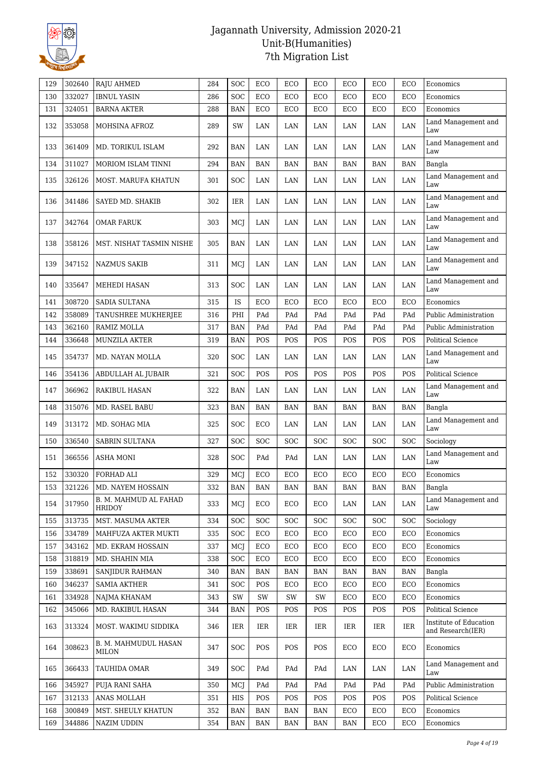

| 129 | 302640 | <b>RAJU AHMED</b>                      | 284 | SOC        | ECO        | ECO        | ECO        | ECO        | ECO        | ECO        | Economics                                   |
|-----|--------|----------------------------------------|-----|------------|------------|------------|------------|------------|------------|------------|---------------------------------------------|
| 130 | 332027 | <b>IBNUL YASIN</b>                     | 286 | SOC        | ECO        | ECO        | ECO        | ECO        | ECO        | ECO        | Economics                                   |
| 131 | 324051 | <b>BARNA AKTER</b>                     | 288 | <b>BAN</b> | ECO        | ECO        | ECO        | ECO        | ECO        | ECO        | Economics                                   |
| 132 | 353058 | MOHSINA AFROZ                          | 289 | SW         | LAN        | LAN        | LAN        | LAN        | LAN        | LAN        | Land Management and<br>Law                  |
| 133 | 361409 | MD. TORIKUL ISLAM                      | 292 | <b>BAN</b> | LAN        | LAN        | LAN        | LAN        | LAN        | LAN        | Land Management and<br>Law                  |
| 134 | 311027 | MORIOM ISLAM TINNI                     | 294 | <b>BAN</b> | <b>BAN</b> | <b>BAN</b> | <b>BAN</b> | <b>BAN</b> | <b>BAN</b> | <b>BAN</b> | Bangla                                      |
| 135 | 326126 | MOST. MARUFA KHATUN                    | 301 | SOC        | LAN        | LAN        | LAN        | LAN        | LAN        | LAN        | Land Management and<br>Law                  |
| 136 | 341486 | SAYED MD. SHAKIB                       | 302 | IER        | LAN        | LAN        | LAN        | LAN        | LAN        | LAN        | Land Management and<br>Law                  |
| 137 | 342764 | <b>OMAR FARUK</b>                      | 303 | MCJ        | LAN        | LAN        | LAN        | LAN        | LAN        | LAN        | Land Management and<br>Law                  |
| 138 | 358126 | MST. NISHAT TASMIN NISHE               | 305 | <b>BAN</b> | LAN        | LAN        | LAN        | LAN        | LAN        | LAN        | Land Management and<br>Law                  |
| 139 | 347152 | <b>NAZMUS SAKIB</b>                    | 311 | MCJ        | LAN        | LAN        | LAN        | LAN        | LAN        | LAN        | Land Management and<br>Law                  |
| 140 | 335647 | MEHEDI HASAN                           | 313 | SOC        | LAN        | LAN        | LAN        | LAN        | LAN        | LAN        | Land Management and<br>Law                  |
| 141 | 308720 | SADIA SULTANA                          | 315 | IS         | ECO        | ECO        | ECO        | ECO        | ECO        | ECO        | Economics                                   |
| 142 | 358089 | TANUSHREE MUKHERJEE                    | 316 | PHI        | PAd        | PAd        | PAd        | PAd        | PAd        | PAd        | Public Administration                       |
| 143 | 362160 | RAMIZ MOLLA                            | 317 | <b>BAN</b> | PAd        | PAd        | PAd        | PAd        | PAd        | PAd        | Public Administration                       |
| 144 | 336648 | <b>MUNZILA AKTER</b>                   | 319 | <b>BAN</b> | POS        | POS        | POS        | POS        | POS        | POS        | Political Science                           |
| 145 | 354737 | MD. NAYAN MOLLA                        | 320 | SOC        | LAN        | LAN        | LAN        | LAN        | LAN        | LAN        | Land Management and<br>Law                  |
| 146 | 354136 | ABDULLAH AL JUBAIR                     | 321 | SOC        | POS        | POS        | POS        | POS        | POS        | POS        | <b>Political Science</b>                    |
| 147 | 366962 | RAKIBUL HASAN                          | 322 | <b>BAN</b> | LAN        | LAN        | LAN        | LAN        | LAN        | LAN        | Land Management and<br>Law                  |
| 148 | 315076 | MD. RASEL BABU                         | 323 | <b>BAN</b> | <b>BAN</b> | <b>BAN</b> | <b>BAN</b> | <b>BAN</b> | <b>BAN</b> | <b>BAN</b> | Bangla                                      |
| 149 | 313172 | MD. SOHAG MIA                          | 325 | SOC        | ECO        | LAN        | LAN        | LAN        | LAN        | LAN        | Land Management and<br>Law                  |
| 150 | 336540 | <b>SABRIN SULTANA</b>                  | 327 | SOC        | <b>SOC</b> | SOC        | <b>SOC</b> | <b>SOC</b> | <b>SOC</b> | SOC        | Sociology                                   |
| 151 | 366556 | <b>ASHA MONI</b>                       | 328 | SOC        | PAd        | PAd        | LAN        | LAN        | LAN        | LAN        | Land Management and<br>Law                  |
| 152 | 330320 | FORHAD ALI                             | 329 | MCJ        | ECO        | ECO        | ECO        | ECO        | ECO        | ECO        | Economics                                   |
| 153 | 321226 | MD. NAYEM HOSSAIN                      | 332 | <b>BAN</b> | <b>BAN</b> | BAN        | BAN        | <b>BAN</b> | BAN        | BAN        | Bangla                                      |
| 154 | 317950 | B. M. MAHMUD AL FAHAD<br><b>HRIDOY</b> | 333 | MCJ        | ECO        | ECO        | ECO        | LAN        | LAN        | LAN        | Land Management and<br>Law                  |
| 155 | 313735 | MST. MASUMA AKTER                      | 334 | SOC        | <b>SOC</b> | SOC        | <b>SOC</b> | <b>SOC</b> | <b>SOC</b> | SOC        | Sociology                                   |
| 156 | 334789 | MAHFUZA AKTER MUKTI                    | 335 | SOC        | ECO        | ECO        | ECO        | ECO        | ECO        | ECO        | Economics                                   |
| 157 | 343162 | MD. EKRAM HOSSAIN                      | 337 | MCJ        | ECO        | ECO        | ECO        | ECO        | ECO        | ECO        | Economics                                   |
| 158 | 318819 | MD. SHAHIN MIA                         | 338 | SOC        | ECO        | ECO        | ECO        | ECO        | ECO        | ECO        | Economics                                   |
| 159 | 338691 | <b>SANJIDUR RAHMAN</b>                 | 340 | <b>BAN</b> | <b>BAN</b> | <b>BAN</b> | <b>BAN</b> | <b>BAN</b> | <b>BAN</b> | <b>BAN</b> | Bangla                                      |
| 160 | 346237 | <b>SAMIA AKTHER</b>                    | 341 | SOC        | <b>POS</b> | ECO        | ECO        | ECO        | ECO        | ECO        | Economics                                   |
| 161 | 334928 | NAJMA KHANAM                           | 343 | SW         | SW         | SW         | SW         | ECO        | ECO        | ECO        | Economics                                   |
| 162 | 345066 | MD. RAKIBUL HASAN                      | 344 | <b>BAN</b> | POS        | POS        | POS        | POS        | POS        | POS        | Political Science                           |
| 163 | 313324 | MOST. WAKIMU SIDDIKA                   | 346 | IER        | IER        | IER        | IER        | IER        | IER        | IER        | Institute of Education<br>and Research(IER) |
| 164 | 308623 | B. M. MAHMUDUL HASAN<br>MILON          | 347 | SOC        | POS        | POS        | POS        | ECO        | ECO        | ECO        | Economics                                   |
| 165 | 366433 | TAUHIDA OMAR                           | 349 | SOC        | PAd        | PAd        | PAd        | LAN        | LAN        | LAN        | Land Management and<br>Law                  |
| 166 | 345927 | PUJA RANI SAHA                         | 350 | MCJ        | PAd        | PAd        | PAd        | PAd        | PAd        | PAd        | Public Administration                       |
| 167 | 312133 | ANAS MOLLAH                            | 351 | HIS        | <b>POS</b> | POS        | POS        | POS        | POS        | POS        | Political Science                           |
| 168 | 300849 | MST. SHEULY KHATUN                     | 352 | <b>BAN</b> | <b>BAN</b> | <b>BAN</b> | <b>BAN</b> | ECO        | ECO        | ECO        | Economics                                   |
| 169 | 344886 | <b>NAZIM UDDIN</b>                     | 354 | BAN        | BAN        | <b>BAN</b> | BAN        | BAN        | ECO        | ECO        | Economics                                   |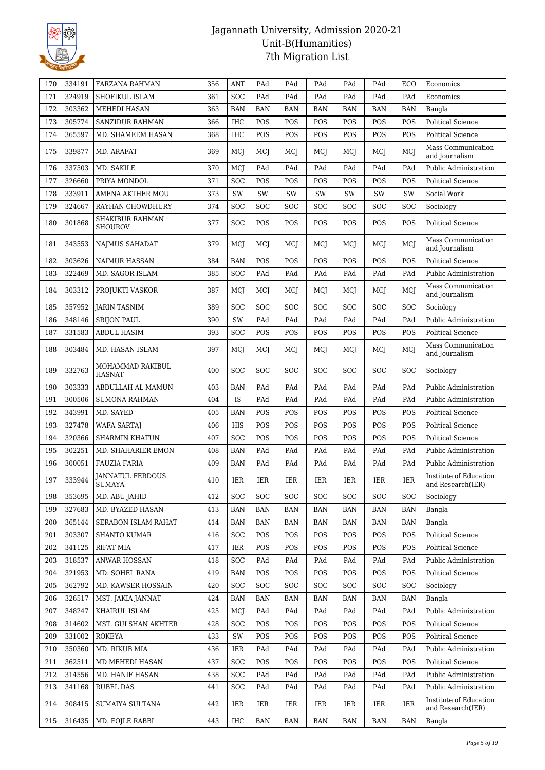

| 170 | 334191 | <b>FARZANA RAHMAN</b>                    | 356 | <b>ANT</b> | PAd        | PAd        | PAd        | PAd        | PAd        | ECO        | Economics                                   |
|-----|--------|------------------------------------------|-----|------------|------------|------------|------------|------------|------------|------------|---------------------------------------------|
| 171 | 324919 | SHOFIKUL ISLAM                           | 361 | <b>SOC</b> | PAd        | PAd        | PAd        | PAd        | PAd        | PAd        | Economics                                   |
| 172 | 303362 | MEHEDI HASAN                             | 363 | <b>BAN</b> | <b>BAN</b> | <b>BAN</b> | <b>BAN</b> | <b>BAN</b> | <b>BAN</b> | <b>BAN</b> | Bangla                                      |
| 173 | 305774 | <b>SANZIDUR RAHMAN</b>                   | 366 | <b>IHC</b> | POS        | POS        | POS        | POS        | POS        | POS        | Political Science                           |
| 174 | 365597 | MD. SHAMEEM HASAN                        | 368 | <b>IHC</b> | POS        | POS        | POS        | POS        | POS        | POS        | <b>Political Science</b>                    |
| 175 | 339877 | MD. ARAFAT                               | 369 | MCI        | MCJ        | MCJ        | MCJ        | MCJ        | MCI        | MCJ        | Mass Communication<br>and Journalism        |
| 176 | 337503 | MD. SAKILE                               | 370 | MCI        | PAd        | PAd        | PAd        | PAd        | PAd        | PAd        | <b>Public Administration</b>                |
| 177 | 326660 | PRIYA MONDOL                             | 371 | <b>SOC</b> | POS        | POS        | POS        | <b>POS</b> | POS        | POS        | Political Science                           |
| 178 | 333911 | <b>AMENA AKTHER MOU</b>                  | 373 | SW         | SW         | SW         | SW         | SW         | SW         | SW         | Social Work                                 |
| 179 | 324667 | RAYHAN CHOWDHURY                         | 374 | <b>SOC</b> | <b>SOC</b> | SOC        | <b>SOC</b> | SOC        | <b>SOC</b> | SOC        | Sociology                                   |
| 180 | 301868 | <b>SHAKIBUR RAHMAN</b><br><b>SHOUROV</b> | 377 | <b>SOC</b> | POS        | POS        | POS        | POS        | POS        | POS        | Political Science                           |
| 181 | 343553 | <b>NAJMUS SAHADAT</b>                    | 379 | MCI        | MCJ        | MCI        | MCJ        | MCJ        | <b>MCI</b> | MCI        | Mass Communication<br>and Journalism        |
| 182 | 303626 | <b>NAIMUR HASSAN</b>                     | 384 | <b>BAN</b> | POS        | POS        | POS        | POS        | POS        | POS        | <b>Political Science</b>                    |
| 183 | 322469 | MD. SAGOR ISLAM                          | 385 | <b>SOC</b> | PAd        | PAd        | PAd        | PAd        | PAd        | PAd        | Public Administration                       |
| 184 | 303312 | PROJUKTI VASKOR                          | 387 | MCJ        | MCJ        | MCI        | MCJ        | MCJ        | MCJ        | MCJ        | Mass Communication<br>and Journalism        |
| 185 | 357952 | <b>JARIN TASNIM</b>                      | 389 | <b>SOC</b> | SOC        | SOC        | <b>SOC</b> | SOC        | SOC        | SOC        | Sociology                                   |
| 186 | 348146 | <b>SRIJON PAUL</b>                       | 390 | SW         | PAd        | PAd        | PAd        | PAd        | PAd        | PAd        | Public Administration                       |
| 187 | 331583 | <b>ABDUL HASIM</b>                       | 393 | <b>SOC</b> | POS        | POS        | POS        | POS        | POS        | POS        | Political Science                           |
| 188 | 303484 | MD. HASAN ISLAM                          | 397 | MCI        | MCJ        | MCJ        | MCI        | MCI        | MCI        | MCI        | Mass Communication<br>and Journalism        |
| 189 | 332763 | MOHAMMAD RAKIBUL<br><b>HASNAT</b>        | 400 | SOC        | <b>SOC</b> | <b>SOC</b> | <b>SOC</b> | <b>SOC</b> | <b>SOC</b> | SOC        | Sociology                                   |
| 190 | 303333 | ABDULLAH AL MAMUN                        | 403 | <b>BAN</b> | PAd        | PAd        | PAd        | PAd        | PAd        | PAd        | Public Administration                       |
| 191 | 300506 | <b>SUMONA RAHMAN</b>                     | 404 | IS         | PAd        | PAd        | PAd        | PAd        | PAd        | PAd        | Public Administration                       |
| 192 | 343991 | MD. SAYED                                | 405 | <b>BAN</b> | POS        | POS        | POS        | POS        | POS        | POS        | Political Science                           |
| 193 | 327478 | <b>WAFA SARTAJ</b>                       | 406 | <b>HIS</b> | POS        | POS        | POS        | POS        | POS        | POS        | <b>Political Science</b>                    |
| 194 | 320366 | <b>SHARMIN KHATUN</b>                    | 407 | <b>SOC</b> | POS        | POS        | POS        | POS        | POS        | POS        | Political Science                           |
| 195 | 302251 | MD. SHAHARIER EMON                       | 408 | <b>BAN</b> | PAd        | PAd        | PAd        | PAd        | PAd        | PAd        | Public Administration                       |
| 196 | 300051 | <b>FAUZIA FARIA</b>                      | 409 | <b>BAN</b> | PAd        | PAd        | PAd        | PAd        | PAd        | PAd        | Public Administration                       |
| 197 | 333944 | <b>JANNATUL FERDOUS</b><br>SUMAYA        | 410 | IER        | IER        | IER        | IER        | IER        | IER        | IER        | Institute of Education<br>and Research(IER) |
| 198 | 353695 | MD. ABU JAHID                            | 412 | <b>SOC</b> | <b>SOC</b> | SOC        | <b>SOC</b> | SOC        | <b>SOC</b> | SOC        | Sociology                                   |
| 199 | 327683 | MD. BYAZED HASAN                         | 413 | <b>BAN</b> | BAN        | BAN        | BAN        | BAN        | BAN        | BAN        | Bangla                                      |
| 200 | 365144 | SERABON ISLAM RAHAT                      | 414 | <b>BAN</b> | BAN        | <b>BAN</b> | <b>BAN</b> | BAN        | <b>BAN</b> | <b>BAN</b> | Bangla                                      |
| 201 | 303307 | <b>SHANTO KUMAR</b>                      | 416 | <b>SOC</b> | POS        | POS        | POS        | POS        | POS        | POS        | <b>Political Science</b>                    |
| 202 | 341125 | <b>RIFAT MIA</b>                         | 417 | IER        | POS        | POS        | POS        | POS        | POS        | POS        | Political Science                           |
| 203 | 318537 | <b>ANWAR HOSSAN</b>                      | 418 | <b>SOC</b> | PAd        | PAd        | PAd        | PAd        | PAd        | PAd        | Public Administration                       |
| 204 | 321953 | MD. SOHEL RANA                           | 419 | <b>BAN</b> | <b>POS</b> | <b>POS</b> | POS        | POS        | <b>POS</b> | POS        | Political Science                           |
| 205 | 362792 | MD. KAWSER HOSSAIN                       | 420 | <b>SOC</b> | <b>SOC</b> | SOC        | <b>SOC</b> | <b>SOC</b> | SOC        | SOC        | Sociology                                   |
| 206 | 326517 | MST. JAKIA JANNAT                        | 424 | BAN        | BAN        | BAN        | BAN        | BAN        | <b>BAN</b> | <b>BAN</b> | Bangla                                      |
| 207 | 348247 | KHAIRUL ISLAM                            | 425 | MCJ        | PAd        | PAd        | PAd        | PAd        | PAd        | PAd        | Public Administration                       |
| 208 | 314602 | MST. GULSHAN AKHTER                      | 428 | <b>SOC</b> | POS        | POS        | POS        | POS        | <b>POS</b> | POS        | Political Science                           |
| 209 | 331002 | <b>ROKEYA</b>                            | 433 | SW         | POS        | POS        | POS        | POS        | POS        | POS        | Political Science                           |
| 210 | 350360 | MD. RIKUB MIA                            | 436 | IER        | PAd        | PAd        | PAd        | PAd        | PAd        | PAd        | Public Administration                       |
| 211 | 362511 | MD MEHEDI HASAN                          | 437 | <b>SOC</b> | POS        | POS        | POS        | POS        | POS        | POS        | Political Science                           |
| 212 | 314556 | MD. HANIF HASAN                          | 438 | <b>SOC</b> | PAd        | PAd        | PAd        | PAd        | PAd        | PAd        | Public Administration                       |
| 213 | 341168 | <b>RUBEL DAS</b>                         | 441 | <b>SOC</b> | PAd        | PAd        | PAd        | PAd        | PAd        | PAd        | Public Administration                       |
| 214 | 308415 | SUMAIYA SULTANA                          | 442 | IER        | IER        | IER        | IER        | IER        | IER        | IER        | Institute of Education<br>and Research(IER) |
| 215 | 316435 | MD. FOJLE RABBI                          | 443 | IHC        | BAN        | BAN        | BAN        | BAN        | <b>BAN</b> | BAN        | Bangla                                      |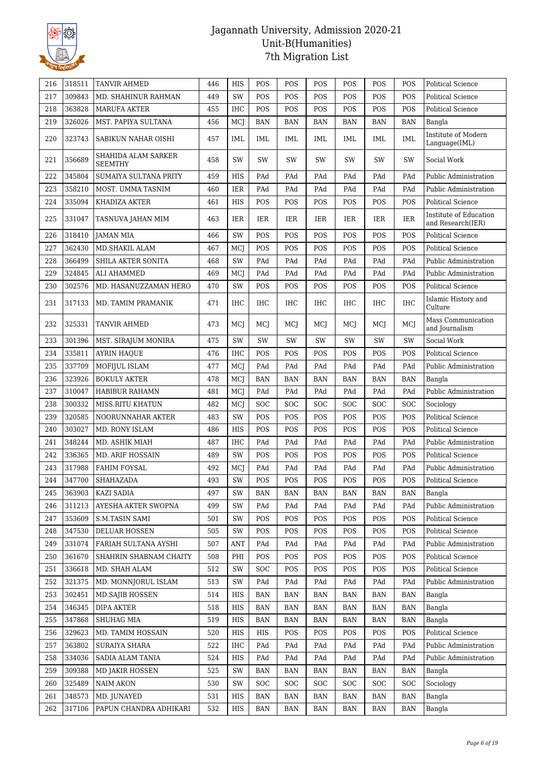

| 216 | 318511 | TANVIR AHMED                          | 446 | HIS        | POS        | POS        | POS        | POS                     | POS        | POS        | Political Science                           |
|-----|--------|---------------------------------------|-----|------------|------------|------------|------------|-------------------------|------------|------------|---------------------------------------------|
| 217 | 309843 | MD. SHAHINUR RAHMAN                   | 449 | <b>SW</b>  | POS        | POS        | POS        | POS                     | POS        | POS        | Political Science                           |
| 218 | 363828 | <b>MARUFA AKTER</b>                   | 455 | <b>IHC</b> | POS        | POS        | POS        | POS                     | POS        | POS        | Political Science                           |
| 219 | 326026 | MST. PAPIYA SULTANA                   | 456 | MCJ        | <b>BAN</b> | <b>BAN</b> | <b>BAN</b> | BAN                     | <b>BAN</b> | <b>BAN</b> | Bangla                                      |
| 220 | 323743 | SABIKUN NAHAR OISHI                   | 457 | IML        | IML        | IML        | IML        | IML                     | IML        | <b>IML</b> | Institute of Modern<br>Language(IML)        |
| 221 | 356689 | SHAHIDA ALAM SARKER<br><b>SEEMTHY</b> | 458 | SW         | SW         | SW         | SW         | SW                      | SW         | SW         | Social Work                                 |
| 222 | 345804 | SUMAIYA SULTANA PRITY                 | 459 | <b>HIS</b> | PAd        | PAd        | PAd        | PAd                     | PAd        | PAd        | Public Administration                       |
| 223 | 358210 | MOST. UMMA TASNIM                     | 460 | IER        | PAd        | PAd        | PAd        | PAd                     | PAd        | PAd        | Public Administration                       |
| 224 | 335094 | KHADIZA AKTER                         | 461 | HIS        | POS        | POS        | POS        | POS                     | POS        | POS        | <b>Political Science</b>                    |
| 225 | 331047 | TASNUVA JAHAN MIM                     | 463 | <b>IER</b> | IER        | IER        | IER        | IER                     | IER        | IER        | Institute of Education<br>and Research(IER) |
| 226 | 318410 | JAMAN MIA                             | 466 | SW         | POS        | POS        | POS        | POS                     | POS        | POS        | <b>Political Science</b>                    |
| 227 | 362430 | MD.SHAKIL ALAM                        | 467 | MCJ        | POS        | POS        | POS        | POS                     | POS        | POS        | Political Science                           |
| 228 | 366499 | SHILA AKTER SONITA                    | 468 | SW         | PAd        | PAd        | PAd        | PAd                     | PAd        | PAd        | Public Administration                       |
| 229 | 324845 | ALI AHAMMED                           | 469 | MCJ        | PAd        | PAd        | PAd        | PAd                     | PAd        | PAd        | Public Administration                       |
| 230 | 302576 | MD. HASANUZZAMAN HERO                 | 470 | SW         | POS        | POS        | POS        | POS                     | POS        | POS        | Political Science                           |
| 231 | 317133 | MD. TAMIM PRAMANIK                    | 471 | <b>IHC</b> | <b>IHC</b> | IHC        | <b>IHC</b> | <b>IHC</b>              | <b>IHC</b> | <b>IHC</b> | Islamic History and<br>Culture              |
| 232 | 325331 | <b>TANVIR AHMED</b>                   | 473 | MCJ        | MCJ        | MCJ        | MCJ        | MCJ                     | MCI        | MCJ        | Mass Communication<br>and Journalism        |
| 233 | 301396 | MST. SIRAJUM MONIRA                   | 475 | SW         | SW         | SW         | SW         | SW                      | SW         | SW         | Social Work                                 |
| 234 | 335811 | <b>AYRIN HAQUE</b>                    | 476 | <b>IHC</b> | POS        | POS        | POS        | POS                     | POS        | POS        | <b>Political Science</b>                    |
| 235 | 337709 | MOFIJUL ISLAM                         | 477 | MCJ        | PAd        | PAd        | PAd        | PAd                     | PAd        | PAd        | Public Administration                       |
| 236 | 323926 | <b>BOKULY AKTER</b>                   | 478 | MCJ        | <b>BAN</b> | <b>BAN</b> | <b>BAN</b> | <b>BAN</b>              | <b>BAN</b> | <b>BAN</b> | Bangla                                      |
| 237 | 310047 | HABIBUR RAHAMN                        | 481 | MCJ        | PAd        | PAd        | PAd        | $\mathop{\mathrm{PAd}}$ | PAd        | PAd        | Public Administration                       |
| 238 | 300332 | MISS.RITU KHATUN                      | 482 | MCJ        | SOC        | SOC        | <b>SOC</b> | SOC                     | <b>SOC</b> | SOC        | Sociology                                   |
| 239 | 320585 | NOORUNNAHAR AKTER                     | 483 | SW         | POS        | POS        | POS        | POS                     | POS        | POS        | Political Science                           |
| 240 | 303027 | MD. RONY ISLAM                        | 486 | <b>HIS</b> | POS        | POS        | POS        | POS                     | POS        | POS        | <b>Political Science</b>                    |
| 241 | 348244 | MD. ASHIK MIAH                        | 487 | <b>IHC</b> | PAd        | PAd        | PAd        | PAd                     | PAd        | PAd        | Public Administration                       |
| 242 | 336365 | MD. ARIF HOSSAIN                      | 489 | SW         | POS        | POS        | POS        | POS                     | POS        | POS        | <b>Political Science</b>                    |
| 243 | 317988 | FAHIM FOYSAL                          | 492 | MCJ        | PAd        | PAd        | PAd        | PAd                     | PAd        | PAd        | Public Administration                       |
| 244 | 347700 | SHAHAZADA                             | 493 | SW         | POS        | POS        | POS        | POS                     | POS        | POS        | <b>Political Science</b>                    |
| 245 | 363903 | <b>KAZI SADIA</b>                     | 497 | SW         | BAN        | BAN        | BAN        | BAN                     | BAN        | BAN        | Bangla                                      |
| 246 | 311213 | AYESHA AKTER SWOPNA                   | 499 | SW         | PAd        | PAd        | PAd        | PAd                     | PAd        | PAd        | Public Administration                       |
| 247 | 353609 | <b>S.M.TASIN SAMI</b>                 | 501 | SW         | POS        | POS        | POS        | POS                     | POS        | POS        | Political Science                           |
| 248 | 347530 | DELUAR HOSSEN                         | 505 | SW         | POS        | POS        | POS        | POS                     | POS        | POS        | Political Science                           |
| 249 | 331074 | FARIAH SULTANA AYSHI                  | 507 | ANT        | PAd        | PAd        | PAd        | PAd                     | PAd        | PAd        | Public Administration                       |
| 250 | 361670 | SHAHRIN SHABNAM CHAITY                | 508 | PHI        | POS        | POS        | POS        | POS                     | POS        | POS        | Political Science                           |
| 251 | 336618 | MD. SHAH ALAM                         | 512 | SW         | <b>SOC</b> | POS        | POS        | POS                     | POS        | POS        | Political Science                           |
| 252 | 321375 | MD. MONNJORUL ISLAM                   | 513 | SW         | PAd        | PAd        | PAd        | PAd                     | PAd        | PAd        | Public Administration                       |
| 253 | 302451 | <b>MD.SAJIB HOSSEN</b>                | 514 | HIS        | <b>BAN</b> | BAN        | BAN        | BAN                     | BAN        | BAN        | Bangla                                      |
| 254 | 346345 | DIPA AKTER                            | 518 | HIS        | BAN        | BAN        | BAN        | BAN                     | BAN        | BAN        | Bangla                                      |
| 255 | 347868 | SHUHAG MIA                            | 519 | HIS        | <b>BAN</b> | BAN        | BAN        | BAN                     | <b>BAN</b> | <b>BAN</b> | Bangla                                      |
| 256 | 329623 | MD. TAMIM HOSSAIN                     | 520 | HIS        | HIS        | POS        | POS        | POS                     | POS        | POS        | Political Science                           |
| 257 | 363802 | <b>SURAIYA SHARA</b>                  | 522 | IHC        | PAd        | PAd        | PAd        | PAd                     | PAd        | PAd        | Public Administration                       |
| 258 | 334036 | SADIA ALAM TANIA                      | 524 | HIS        | PAd        | PAd        | PAd        | PAd                     | PAd        | PAd        | Public Administration                       |
| 259 | 309388 | MD JAKIR HOSSEN                       | 525 | SW         | BAN        | BAN        | BAN        | BAN                     | BAN        | <b>BAN</b> | Bangla                                      |
| 260 | 325489 | <b>NAIM AKON</b>                      | 530 | SW         | <b>SOC</b> | SOC        | SOC        | SOC                     | <b>SOC</b> | SOC        | Sociology                                   |
| 261 | 348573 | MD. JUNAYED                           | 531 | HIS        | BAN        | BAN        | BAN        | BAN                     | BAN        | BAN        | Bangla                                      |
| 262 | 317106 | PAPUN CHANDRA ADHIKARI                | 532 | HIS        | BAN        | BAN        | BAN        | BAN                     | BAN        | BAN        | Bangla                                      |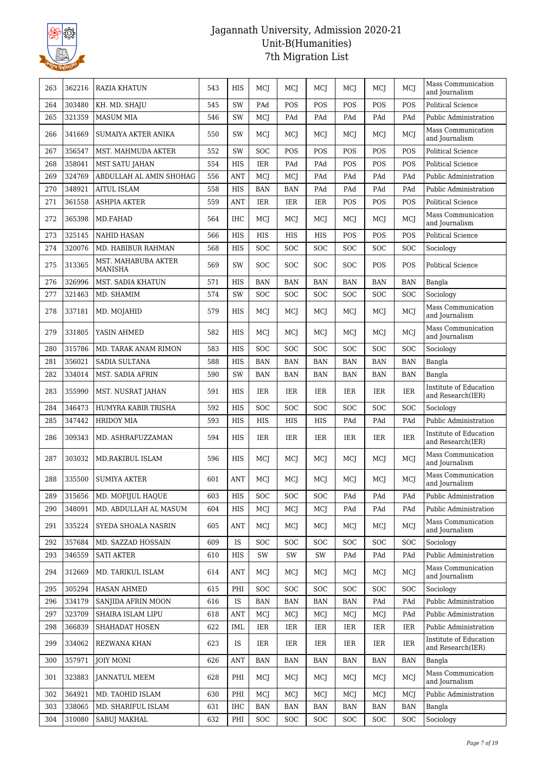

| 263 | 362216 | <b>RAZIA KHATUN</b>                   | 543 | <b>HIS</b>   | MCJ        | MCI        | MCI        | MCI        | MCI        | <b>MCI</b> | Mass Communication<br>and Journalism        |
|-----|--------|---------------------------------------|-----|--------------|------------|------------|------------|------------|------------|------------|---------------------------------------------|
| 264 | 303480 | KH. MD. SHAJU                         | 545 | SW           | PAd        | POS        | POS        | POS        | <b>POS</b> | POS        | <b>Political Science</b>                    |
| 265 | 321359 | <b>MASUM MIA</b>                      | 546 | SW           | <b>MCJ</b> | PAd        | PAd        | PAd        | PAd        | PAd        | Public Administration                       |
| 266 | 341669 | SUMAIYA AKTER ANIKA                   | 550 | SW           | MCJ        | MCJ        | MCJ        | MCJ        | MCI        | MCI        | Mass Communication<br>and Journalism        |
| 267 | 356547 | MST. MAHMUDA AKTER                    | 552 | <b>SW</b>    | <b>SOC</b> | POS        | POS        | POS        | POS        | POS        | <b>Political Science</b>                    |
| 268 | 358041 | <b>MST SATU JAHAN</b>                 | 554 | <b>HIS</b>   | <b>IER</b> | PAd        | PAd        | POS        | POS        | POS        | <b>Political Science</b>                    |
| 269 | 324769 | ABDULLAH AL AMIN SHOHAG               | 556 | <b>ANT</b>   | MCJ        | MCJ        | PAd        | PAd        | PAd        | PAd        | Public Administration                       |
| 270 | 348921 | <b>AITUL ISLAM</b>                    | 558 | HIS          | <b>BAN</b> | <b>BAN</b> | PAd        | PAd        | PAd        | PAd        | Public Administration                       |
| 271 | 361558 | <b>ASHPIA AKTER</b>                   | 559 | <b>ANT</b>   | <b>IER</b> | IER        | <b>IER</b> | POS        | POS        | POS        | <b>Political Science</b>                    |
| 272 | 365398 | MD.FAHAD                              | 564 | <b>IHC</b>   | MCJ        | MCJ        | MCJ        | MCJ        | MCI        | MCJ        | Mass Communication<br>and Journalism        |
| 273 | 325145 | <b>NAHID HASAN</b>                    | 566 | <b>HIS</b>   | <b>HIS</b> | <b>HIS</b> | <b>HIS</b> | POS        | POS        | POS        | <b>Political Science</b>                    |
| 274 | 320076 | MD. HABIBUR RAHMAN                    | 568 | HIS          | <b>SOC</b> | SOC        | <b>SOC</b> | SOC        | SOC        | SOC        | Sociology                                   |
| 275 | 313365 | MST. MAHABUBA AKTER<br><b>MANISHA</b> | 569 | <b>SW</b>    | SOC        | SOC        | <b>SOC</b> | SOC        | POS        | POS        | <b>Political Science</b>                    |
| 276 | 326996 | MST. SADIA KHATUN                     | 571 | <b>HIS</b>   | <b>BAN</b> | <b>BAN</b> | <b>BAN</b> | <b>BAN</b> | <b>BAN</b> | <b>BAN</b> | Bangla                                      |
| 277 | 321463 | MD. SHAMIM                            | 574 | SW           | SOC        | <b>SOC</b> | <b>SOC</b> | SOC        | SOC        | SOC        | Sociology                                   |
| 278 | 337181 | MD. MOJAHID                           | 579 | HIS          | MCJ        | MCJ        | MCI        | MCJ        | MCI        | MCI        | Mass Communication<br>and Journalism        |
| 279 | 331805 | YASIN AHMED                           | 582 | <b>HIS</b>   | MCJ        | MCJ        | MCI        | MCJ        | MCI        | MCJ        | Mass Communication<br>and Journalism        |
| 280 | 315786 | MD. TARAK ANAM RIMON                  | 583 | <b>HIS</b>   | SOC        | SOC        | SOC        | SOC        | SOC        | SOC        | Sociology                                   |
| 281 | 356021 | <b>SADIA SULTANA</b>                  | 588 | HIS          | <b>BAN</b> | <b>BAN</b> | BAN        | BAN        | <b>BAN</b> | <b>BAN</b> | Bangla                                      |
| 282 | 334014 | MST. SADIA AFRIN                      | 590 | SW           | <b>BAN</b> | <b>BAN</b> | <b>BAN</b> | <b>BAN</b> | <b>BAN</b> | <b>BAN</b> | Bangla                                      |
| 283 | 355990 | MST. NUSRAT JAHAN                     | 591 | <b>HIS</b>   | IER        | IER        | IER        | IER        | IER        | <b>IER</b> | Institute of Education<br>and Research(IER) |
| 284 | 346473 | HUMYRA KABIR TRISHA                   | 592 | <b>HIS</b>   | SOC        | SOC        | <b>SOC</b> | SOC        | <b>SOC</b> | SOC        | Sociology                                   |
| 285 | 347442 | <b>HRIDOY MIA</b>                     | 593 | <b>HIS</b>   | HIS        | HIS        | <b>HIS</b> | PAd        | PAd        | PAd        | Public Administration                       |
| 286 | 309343 | MD. ASHRAFUZZAMAN                     | 594 | $_{\rm HIS}$ | IER        | IER        | <b>IER</b> | IER        | IER        | IER        | Institute of Education<br>and Research(IER) |
| 287 | 303032 | MD.RAKIBUL ISLAM                      | 596 | <b>HIS</b>   | MCJ        | MCJ        | MCI        | MCI        | MCI        | MCJ        | Mass Communication<br>and Journalism        |
| 288 | 335500 | <b>SUMIYA AKTER</b>                   | 601 | <b>ANT</b>   | MCJ        | MCJ        | MCJ        | MCJ        | MCI        | MCJ        | Mass Communication<br>and Journalism        |
| 289 | 315656 | MD. MOFIJUL HAQUE                     | 603 | HIS          | <b>SOC</b> | SOC        | <b>SOC</b> | PAd        | PAd        | PAd        | Public Administration                       |
| 290 | 348091 | MD. ABDULLAH AL MASUM                 | 604 | HIS          | MCJ        | MCI        | MCI        | PAd        | PAd        | PAd        | Public Administration                       |
| 291 | 335224 | SYEDA SHOALA NASRIN                   | 605 | <b>ANT</b>   | MCI        | MCJ        | MCI        | MCI        | MCJ        | MCJ        | Mass Communication<br>and Journalism        |
| 292 | 357684 | MD. SAZZAD HOSSAIN                    | 609 | <b>IS</b>    | <b>SOC</b> | SOC        | <b>SOC</b> | SOC        | <b>SOC</b> | SOC        | Sociology                                   |
| 293 | 346559 | <b>SATI AKTER</b>                     | 610 | HIS          | SW         | SW         | SW         | PAd        | PAd        | PAd        | Public Administration                       |
| 294 | 312669 | MD. TARIKUL ISLAM                     | 614 | ANT          | MCJ        | MCI        | MCJ        | MCI        | MCJ        | MCJ        | Mass Communication<br>and Journalism        |
| 295 | 305294 | <b>HASAN AHMED</b>                    | 615 | PHI          | <b>SOC</b> | SOC        | <b>SOC</b> | SOC        | <b>SOC</b> | SOC        | Sociology                                   |
| 296 | 334179 | SANJIDA AFRIN MOON                    | 616 | <b>IS</b>    | <b>BAN</b> | BAN        | <b>BAN</b> | BAN        | PAd        | PAd        | Public Administration                       |
| 297 | 323709 | SHAIRA ISLAM LIPU                     | 618 | <b>ANT</b>   | MCJ        | MCJ        | MCJ        | MCJ        | MCI        | PAd        | Public Administration                       |
| 298 | 366839 | SHAHADAT HOSEN                        | 622 | IML          | IER        | IER        | IER        | IER        | IER        | IER        | Public Administration                       |
| 299 | 334062 | <b>REZWANA KHAN</b>                   | 623 | IS           | IER        | IER        | IER        | IER        | IER        | IER        | Institute of Education<br>and Research(IER) |
|     |        |                                       |     |              | <b>BAN</b> | BAN        | <b>BAN</b> | BAN        | <b>BAN</b> | <b>BAN</b> | Bangla                                      |
| 300 | 357971 | <b>JOIY MONI</b>                      | 626 | <b>ANT</b>   |            |            |            |            |            |            |                                             |
| 301 | 323883 | <b>JANNATUL MEEM</b>                  | 628 | PHI          | MCJ        | MCJ        | MCJ        | MCJ        | MCJ        | MCJ        | Mass Communication<br>and Journalism        |
| 302 | 364921 | MD. TAOHID ISLAM                      | 630 | PHI          | MCJ        | MCJ        | MCJ        | MCJ        | MCJ        | MCJ        | Public Administration                       |
| 303 | 338065 | MD. SHARIFUL ISLAM                    | 631 | <b>IHC</b>   | <b>BAN</b> | <b>BAN</b> | <b>BAN</b> | <b>BAN</b> | <b>BAN</b> | <b>BAN</b> | Bangla                                      |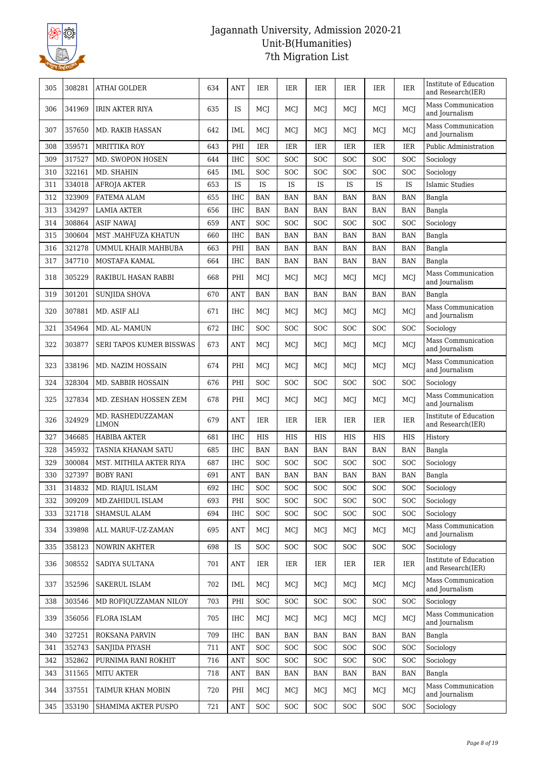

| 305 | 308281 | <b>ATHAI GOLDER</b>               | 634 | ANT        | <b>IER</b> | IER                  | IER        | <b>IER</b>           | <b>IER</b>           | <b>IER</b> | Institute of Education<br>and Research(IER) |
|-----|--------|-----------------------------------|-----|------------|------------|----------------------|------------|----------------------|----------------------|------------|---------------------------------------------|
| 306 | 341969 | <b>IRIN AKTER RIYA</b>            | 635 | <b>IS</b>  | MCJ        | MCJ                  | MCJ        | MCJ                  | MCJ                  | MCJ        | Mass Communication<br>and Journalism        |
| 307 | 357650 | MD. RAKIB HASSAN                  | 642 | IML        | MCJ        | MCJ                  | MCI        | MCJ                  | MCJ                  | <b>MCJ</b> | Mass Communication<br>and Journalism        |
| 308 | 359571 | <b>MRITTIKA ROY</b>               | 643 | PHI        | <b>IER</b> | <b>IER</b>           | IER        | IER                  | IER                  | <b>IER</b> | Public Administration                       |
| 309 | 317527 | MD. SWOPON HOSEN                  | 644 | <b>IHC</b> | SOC        | SOC                  | <b>SOC</b> | SOC                  | SOC                  | <b>SOC</b> | Sociology                                   |
| 310 | 322161 | MD. SHAHIN                        | 645 | <b>IML</b> | SOC        | SOC                  | <b>SOC</b> | <b>SOC</b>           | SOC                  | <b>SOC</b> | Sociology                                   |
| 311 | 334018 | <b>AFROJA AKTER</b>               | 653 | IS         | IS         | IS                   | IS         | <b>IS</b>            | IS                   | IS         | <b>Islamic Studies</b>                      |
| 312 | 323909 | FATEMA ALAM                       | 655 | <b>IHC</b> | <b>BAN</b> | <b>BAN</b>           | <b>BAN</b> | <b>BAN</b>           | <b>BAN</b>           | <b>BAN</b> | Bangla                                      |
| 313 | 334297 | <b>LAMIA AKTER</b>                | 656 | <b>IHC</b> | <b>BAN</b> | <b>BAN</b>           | <b>BAN</b> | <b>BAN</b>           | <b>BAN</b>           | <b>BAN</b> | Bangla                                      |
| 314 | 308864 | <b>ASIF NAWAJ</b>                 | 659 | <b>ANT</b> | SOC        | SOC                  | SOC        | <b>SOC</b>           | SOC                  | <b>SOC</b> | Sociology                                   |
| 315 | 300604 | MST .MAHFUZA KHATUN               | 660 | <b>IHC</b> | <b>BAN</b> | <b>BAN</b>           | <b>BAN</b> | <b>BAN</b>           | <b>BAN</b>           | <b>BAN</b> | Bangla                                      |
| 316 | 321278 | UMMUL KHAIR MAHBUBA               | 663 | PHI        | <b>BAN</b> | <b>BAN</b>           | <b>BAN</b> | <b>BAN</b>           | <b>BAN</b>           | <b>BAN</b> | Bangla                                      |
| 317 | 347710 | MOSTAFA KAMAL                     | 664 | <b>IHC</b> | <b>BAN</b> | <b>BAN</b>           | <b>BAN</b> | <b>BAN</b>           | <b>BAN</b>           | <b>BAN</b> | Bangla                                      |
| 318 | 305229 | RAKIBUL HASAN RABBI               | 668 | PHI        | MCJ        | MCJ                  | MCI        | MCI                  | MCJ                  | MCJ        | Mass Communication<br>and Journalism        |
| 319 | 301201 | <b>SUNJIDA SHOVA</b>              | 670 | <b>ANT</b> | <b>BAN</b> | <b>BAN</b>           | <b>BAN</b> | <b>BAN</b>           | <b>BAN</b>           | <b>BAN</b> | Bangla                                      |
| 320 | 307881 | MD. ASIF ALI                      | 671 | <b>IHC</b> | MCJ        | MCJ                  | MCI        | MCI                  | MCJ                  | MCI        | Mass Communication<br>and Journalism        |
| 321 | 354964 | MD. AL- MAMUN                     | 672 | <b>IHC</b> | <b>SOC</b> | SOC                  | SOC        | <b>SOC</b>           | SOC                  | <b>SOC</b> | Sociology                                   |
| 322 | 303877 | SERI TAPOS KUMER BISSWAS          | 673 | <b>ANT</b> | MCI        | MCJ                  | MCJ        | MCJ                  | MCJ                  | MCJ        | Mass Communication<br>and Journalism        |
| 323 | 338196 | MD. NAZIM HOSSAIN                 | 674 | PHI        | MCI        | MCI                  | MCI        | MCI                  | MCI                  | <b>MCI</b> | Mass Communication<br>and Journalism        |
| 324 | 328304 | MD. SABBIR HOSSAIN                | 676 | PHI        | SOC        | <b>SOC</b>           | <b>SOC</b> | <b>SOC</b>           | <b>SOC</b>           | <b>SOC</b> | Sociology                                   |
| 325 | 327834 | MD. ZESHAN HOSSEN ZEM             | 678 | PHI        | MCI        | MCJ                  | MCI        | MCJ                  | MCJ                  | MCI        | Mass Communication<br>and Journalism        |
| 326 | 324929 | MD. RASHEDUZZAMAN<br><b>LIMON</b> | 679 | <b>ANT</b> | <b>IER</b> | IER                  | IER        | <b>IER</b>           | <b>IER</b>           | <b>IER</b> | Institute of Education<br>and Research(IER) |
| 327 | 346685 | <b>HABIBA AKTER</b>               | 681 | <b>IHC</b> | <b>HIS</b> | <b>HIS</b>           | <b>HIS</b> | <b>HIS</b>           | <b>HIS</b>           | <b>HIS</b> | History                                     |
| 328 | 345932 | TASNIA KHANAM SATU                | 685 | <b>IHC</b> | <b>BAN</b> | <b>BAN</b>           | <b>BAN</b> | <b>BAN</b>           | <b>BAN</b>           | <b>BAN</b> | Bangla                                      |
| 329 | 300084 | MST. MITHILA AKTER RIYA           | 687 | <b>IHC</b> | SOC        | SOC                  | <b>SOC</b> | <b>SOC</b>           | SOC                  | <b>SOC</b> | Sociology                                   |
| 330 | 327397 | <b>BOBY RANI</b>                  | 691 | <b>ANT</b> | <b>BAN</b> | <b>BAN</b>           | <b>BAN</b> | <b>BAN</b>           | <b>BAN</b>           | <b>BAN</b> | Bangla                                      |
| 331 | 314832 | MD. RIAJUL ISLAM                  | 692 | $\rm IHC$  | SOC        | $\operatorname{SOC}$ | SOC        | $\operatorname{SOC}$ | $\operatorname{SOC}$ | SOC        | Sociology                                   |
| 332 | 309209 | MD.ZAHIDUL ISLAM                  | 693 | PHI        | <b>SOC</b> | SOC                  | <b>SOC</b> | SOC                  | <b>SOC</b>           | <b>SOC</b> | Sociology                                   |
| 333 | 321718 | SHAMSUL ALAM                      | 694 | <b>IHC</b> | <b>SOC</b> | SOC                  | <b>SOC</b> | <b>SOC</b>           | SOC                  | <b>SOC</b> | Sociology                                   |
| 334 | 339898 | ALL MARUF-UZ-ZAMAN                | 695 | <b>ANT</b> | MCI        | MCI                  | MCI        | MCI                  | MCJ                  | MCJ        | Mass Communication<br>and Journalism        |
| 335 | 358123 | <b>NOWRIN AKHTER</b>              | 698 | IS         | <b>SOC</b> | <b>SOC</b>           | <b>SOC</b> | <b>SOC</b>           | <b>SOC</b>           | <b>SOC</b> | Sociology                                   |
| 336 | 308552 | SADIYA SULTANA                    | 701 | ANT        | IER        | IER                  | IER        | IER                  | <b>IER</b>           | IER        | Institute of Education<br>and Research(IER) |
| 337 | 352596 | SAKERUL ISLAM                     | 702 | IML        | MCI        | MCJ                  | MCI        | MCJ                  | MCJ                  | MCI        | Mass Communication<br>and Journalism        |
| 338 | 303546 | MD ROFIQUZZAMAN NILOY             | 703 | PHI        | <b>SOC</b> | SOC                  | SOC        | <b>SOC</b>           | SOC                  | SOC        | Sociology                                   |
| 339 | 356056 | <b>FLORA ISLAM</b>                | 705 | IHC        | MCJ        | MCI                  | MCI        | MCI                  | MCI                  | MCI        | Mass Communication<br>and Journalism        |
| 340 | 327251 | ROKSANA PARVIN                    | 709 | <b>IHC</b> | <b>BAN</b> | <b>BAN</b>           | <b>BAN</b> | <b>BAN</b>           | <b>BAN</b>           | <b>BAN</b> | Bangla                                      |
| 341 | 352743 | SANJIDA PIYASH                    | 711 | <b>ANT</b> | SOC        | SOC                  | SOC        | <b>SOC</b>           | SOC                  | SOC        | Sociology                                   |
| 342 | 352862 | PURNIMA RANI ROKHIT               | 716 | <b>ANT</b> | <b>SOC</b> | <b>SOC</b>           | <b>SOC</b> | <b>SOC</b>           | <b>SOC</b>           | <b>SOC</b> | Sociology                                   |
| 343 | 311565 | <b>MITU AKTER</b>                 | 718 | <b>ANT</b> | BAN        | <b>BAN</b>           | <b>BAN</b> | BAN                  | BAN                  | <b>BAN</b> | Bangla                                      |
| 344 | 337551 | TAIMUR KHAN MOBIN                 | 720 | PHI        | MCI        | MCJ                  | MCJ        | MCI                  | MCJ                  | MCI        | Mass Communication<br>and Journalism        |
| 345 | 353190 | SHAMIMA AKTER PUSPO               | 721 | <b>ANT</b> | SOC        | <b>SOC</b>           | SOC        | SOC                  | <b>SOC</b>           | <b>SOC</b> | Sociology                                   |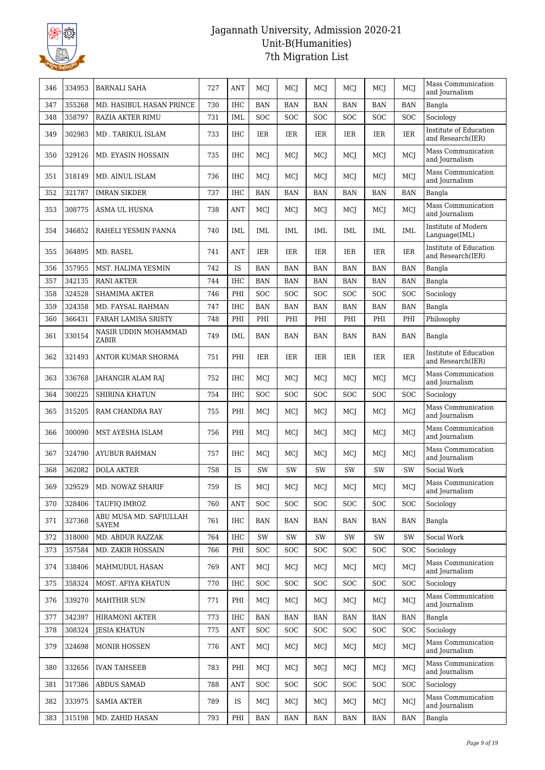

| 346 | 334953 | <b>BARNALI SAHA</b>             | 727 | ANT        | MCJ        | MCJ        | MCJ        | MCJ        | MCJ        | MCI        | Mass Communication<br>and Journalism        |
|-----|--------|---------------------------------|-----|------------|------------|------------|------------|------------|------------|------------|---------------------------------------------|
| 347 | 355268 | MD. HASIBUL HASAN PRINCE        | 730 | IHC        | <b>BAN</b> | <b>BAN</b> | <b>BAN</b> | <b>BAN</b> | <b>BAN</b> | <b>BAN</b> | Bangla                                      |
| 348 | 358797 | RAZIA AKTER RIMU                | 731 | <b>IML</b> | <b>SOC</b> | <b>SOC</b> | SOC        | SOC        | SOC        | SOC        | Sociology                                   |
| 349 | 302983 | MD. TARIKUL ISLAM               | 733 | <b>IHC</b> | IER        | IER        | IER        | IER        | IER        | IER        | Institute of Education<br>and Research(IER) |
| 350 | 329126 | MD. EYASIN HOSSAIN              | 735 | <b>IHC</b> | MCJ        | MCJ        | MCI        | MCI        | MCJ        | MCJ        | Mass Communication<br>and Journalism        |
| 351 | 318149 | MD. AINUL ISLAM                 | 736 | <b>IHC</b> | MCJ        | MCJ        | MCI        | MCJ        | MCI        | MCI        | Mass Communication<br>and Journalism        |
| 352 | 321787 | <b>IMRAN SIKDER</b>             | 737 | IHC        | <b>BAN</b> | BAN        | <b>BAN</b> | <b>BAN</b> | <b>BAN</b> | <b>BAN</b> | Bangla                                      |
| 353 | 308775 | ASMA UL HUSNA                   | 738 | ANT        | MCJ        | MCJ        | MCJ        | MCJ        | MCJ        | MCJ        | Mass Communication<br>and Journalism        |
| 354 | 346852 | RAHELI YESMIN PANNA             | 740 | <b>IML</b> | IML        | IML        | IML        | IML        | IML        | <b>IML</b> | Institute of Modern<br>Language(IML)        |
| 355 | 364895 | MD. RASEL                       | 741 | ANT        | IER        | IER        | IER        | <b>IER</b> | IER        | <b>IER</b> | Institute of Education<br>and Research(IER) |
| 356 | 357955 | MST. HALIMA YESMIN              | 742 | IS         | <b>BAN</b> | <b>BAN</b> | BAN        | <b>BAN</b> | <b>BAN</b> | <b>BAN</b> | Bangla                                      |
| 357 | 342135 | <b>RANI AKTER</b>               | 744 | <b>IHC</b> | <b>BAN</b> | <b>BAN</b> | <b>BAN</b> | <b>BAN</b> | <b>BAN</b> | <b>BAN</b> | Bangla                                      |
| 358 | 324528 | <b>SHAMIMA AKTER</b>            | 746 | PHI        | SOC        | SOC        | SOC        | <b>SOC</b> | SOC        | SOC        | Sociology                                   |
| 359 | 324358 | MD. FAYSAL RAHMAN               | 747 | IHC        | <b>BAN</b> | <b>BAN</b> | <b>BAN</b> | <b>BAN</b> | <b>BAN</b> | <b>BAN</b> | Bangla                                      |
| 360 | 366431 | FARAH LAMISA SRISTY             | 748 | PHI        | PHI        | PHI        | PHI        | PHI        | PHI        | PHI        | Philosophy                                  |
| 361 | 330154 | NASIR UDDIN MOHAMMAD<br>ZABIR   | 749 | IML        | <b>BAN</b> | <b>BAN</b> | <b>BAN</b> | <b>BAN</b> | <b>BAN</b> | <b>BAN</b> | Bangla                                      |
| 362 | 321493 | ANTOR KUMAR SHORMA              | 751 | PHI        | IER        | IER        | IER        | <b>IER</b> | IER        | IER        | Institute of Education<br>and Research(IER) |
| 363 | 336768 | JAHANGIR ALAM RAJ               | 752 | <b>IHC</b> | MCJ        | MCJ        | MCI        | MCI        | MCI        | MCJ        | Mass Communication<br>and Journalism        |
| 364 | 300225 | SHIRINA KHATUN                  | 754 | <b>IHC</b> | SOC        | <b>SOC</b> | SOC        | <b>SOC</b> | <b>SOC</b> | <b>SOC</b> | Sociology                                   |
| 365 | 315205 | RAM CHANDRA RAY                 | 755 | PHI        | MCJ        | MCJ        | MCI        | MCJ        | MCI        | MCI        | Mass Communication<br>and Journalism        |
| 366 | 300090 | MST AYESHA ISLAM                | 756 | PHI        | <b>MCI</b> | MCI        | MCI        | <b>MCI</b> | MCI        | MCJ        | Mass Communication<br>and Journalism        |
| 367 | 324790 | <b>AYUBUR RAHMAN</b>            | 757 | <b>IHC</b> | <b>MCI</b> | MCI        | MCI        | MCJ        | MCJ        | MCJ        | Mass Communication<br>and Journalism        |
| 368 | 362082 | <b>DOLA AKTER</b>               | 758 | IS         | SW         | <b>SW</b>  | SW         | SW         | SW         | SW         | Social Work                                 |
| 369 | 329529 | MD. NOWAZ SHARIF                | 759 | IS         | MCJ        | MCJ        | MCJ        | MCJ        | MCJ        | MCJ        | Mass Communication<br>and Journalism        |
| 370 | 328406 | TAUFIO IMROZ                    | 760 | ANT        | <b>SOC</b> | <b>SOC</b> | <b>SOC</b> | <b>SOC</b> | <b>SOC</b> | <b>SOC</b> | Sociology                                   |
| 371 | 327368 | ABU MUSA MD. SAFIULLAH<br>SAYEM | 761 | IHC        | BAN        | <b>BAN</b> | <b>BAN</b> | BAN        | <b>BAN</b> | <b>BAN</b> | Bangla                                      |
| 372 | 318000 | MD. ABDUR RAZZAK                | 764 | IHC        | SW         | SW         | SW         | SW         | SW         | SW         | Social Work                                 |
| 373 | 357584 | MD. ZAKIR HOSSAIN               | 766 | PHI        | <b>SOC</b> | <b>SOC</b> | <b>SOC</b> | <b>SOC</b> | <b>SOC</b> | <b>SOC</b> | Sociology                                   |
| 374 | 338406 | MAHMUDUL HASAN                  | 769 | ANT        | MCJ        | MCJ        | MCJ        | MCJ        | MCJ        | MCJ        | Mass Communication<br>and Journalism        |
| 375 | 358324 | MOST. AFIYA KHATUN              | 770 | <b>IHC</b> | <b>SOC</b> | <b>SOC</b> | <b>SOC</b> | <b>SOC</b> | <b>SOC</b> | <b>SOC</b> | Sociology                                   |
| 376 | 339270 | <b>MAHTHIR SUN</b>              | 771 | PHI        | MCJ        | MCJ        | MCJ        | MCJ        | MCJ        | MCJ        | Mass Communication<br>and Journalism        |
| 377 | 342397 | HIRAMONI AKTER                  | 773 | IHC        | BAN        | BAN        | <b>BAN</b> | <b>BAN</b> | <b>BAN</b> | <b>BAN</b> | Bangla                                      |
| 378 | 308324 | <b>JESIA KHATUN</b>             | 775 | <b>ANT</b> | <b>SOC</b> | <b>SOC</b> | <b>SOC</b> | <b>SOC</b> | <b>SOC</b> | <b>SOC</b> | Sociology                                   |
| 379 | 324698 | <b>MONIR HOSSEN</b>             | 776 | ANT        | MCJ        | MCJ        | MCJ        | MCJ        | MCJ        | MCJ        | Mass Communication<br>and Journalism        |
| 380 | 332656 | <b>IVAN TAHSEEB</b>             | 783 | PHI        | MCJ        | MCJ        | MCI        | MCJ        | MCJ        | MCJ        | Mass Communication<br>and Journalism        |
| 381 | 317386 | <b>ABDUS SAMAD</b>              | 788 | ANT        | <b>SOC</b> | <b>SOC</b> | <b>SOC</b> | <b>SOC</b> | <b>SOC</b> | <b>SOC</b> | Sociology                                   |
| 382 | 333975 | <b>SAMIA AKTER</b>              | 789 | IS         | MCJ        | MCJ        | MCJ        | MCJ        | MCJ        | MCJ        | Mass Communication<br>and Journalism        |
| 383 | 315198 | MD. ZAHID HASAN                 | 793 | PHI        | <b>BAN</b> | BAN        | <b>BAN</b> | BAN        | BAN        | <b>BAN</b> | Bangla                                      |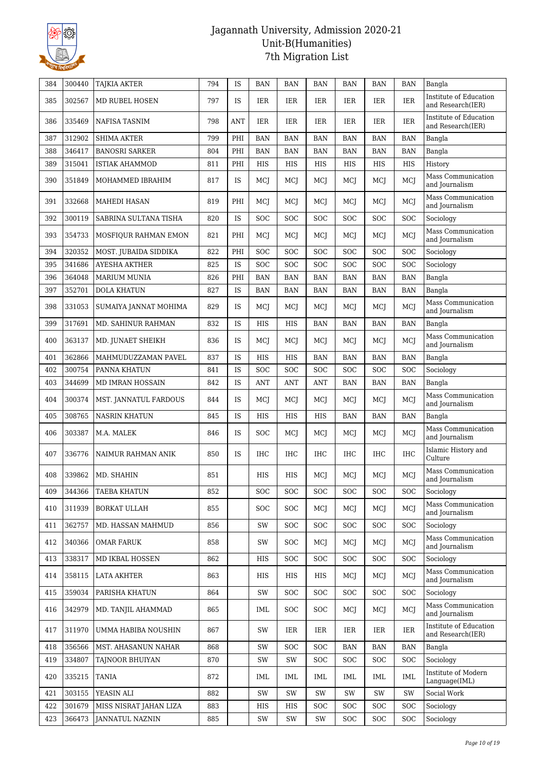

| Institute of Education<br>302567<br><b>MD RUBEL HOSEN</b><br>IER<br>385<br>797<br><b>IS</b><br>IER<br>IER<br>IER<br>IER<br>IER<br>and Research(IER)<br>Institute of Education<br>IER<br>386<br>335469<br>NAFISA TASNIM<br>798<br><b>ANT</b><br>IER<br>IER<br>IER<br>IER<br>IER<br>and Research(IER)<br>312902<br><b>SHIMA AKTER</b><br>799<br>PHI<br>387<br><b>BAN</b><br><b>BAN</b><br><b>BAN</b><br><b>BAN</b><br><b>BAN</b><br><b>BAN</b><br>Bangla<br><b>BANOSRI SARKER</b><br>388<br>346417<br>804<br>PHI<br><b>BAN</b><br><b>BAN</b><br>BAN<br><b>BAN</b><br><b>BAN</b><br><b>BAN</b><br>Bangla<br><b>HIS</b><br>389<br>315041<br><b>ISTIAK AHAMMOD</b><br>811<br>PHI<br>HIS<br>HIS<br>HIS<br><b>HIS</b><br>HIS<br>History<br>Mass Communication<br>MCJ<br>390<br>351849<br>MOHAMMED IBRAHIM<br>817<br>IS<br>MCJ<br>MCJ<br>MCI<br>MCJ<br>MCJ<br>and Journalism<br>Mass Communication<br>PHI<br>MCJ<br>MCJ<br>391<br>332668<br>819<br>MCI<br>MCJ<br>MCJ<br>MCJ<br>MAHEDI HASAN<br>and Journalism<br>300119<br><b>IS</b><br><b>SOC</b><br><b>SOC</b><br>392<br>SABRINA SULTANA TISHA<br>820<br><b>SOC</b><br>SOC<br><b>SOC</b><br>SOC<br>Sociology<br>Mass Communication<br>MCJ<br>393<br>354733<br>MOSFIQUR RAHMAN EMON<br>821<br>PHI<br>MCI<br>MCJ<br>MCI<br>MCI<br>MCJ<br>and Journalism<br>320352<br>SOC<br>394<br>MOST. JUBAIDA SIDDIKA<br>822<br>PHI<br><b>SOC</b><br>SOC<br><b>SOC</b><br>SOC<br><b>SOC</b><br>Sociology<br>395<br>341686<br><b>AYESHA AKTHER</b><br>IS<br>SOC<br>SOC<br>SOC<br>SOC<br>SOC<br>SOC<br>Sociology<br>825<br>364048<br>PHI<br><b>BAN</b><br><b>BAN</b><br>396<br><b>MARIUM MUNIA</b><br>826<br><b>BAN</b><br><b>BAN</b><br><b>BAN</b><br><b>BAN</b><br>Bangla<br>352701<br>827<br><b>IS</b><br>397<br><b>DOLA KHATUN</b><br><b>BAN</b><br><b>BAN</b><br>BAN<br><b>BAN</b><br><b>BAN</b><br><b>BAN</b><br>Bangla<br>Mass Communication<br>398<br>331053<br>IS<br>MCJ<br>829<br>MCJ<br>MCJ<br>MCI<br>MCJ<br>MCJ<br>SUMAIYA JANNAT MOHIMA<br>and Journalism<br>317691<br>399<br>MD. SAHINUR RAHMAN<br>832<br>IS<br>HIS<br>BAN<br><b>BAN</b><br>Bangla<br>HIS<br>BAN<br>BAN<br>Mass Communication<br>400<br>363137<br>MD. JUNAET SHEIKH<br>836<br><b>IS</b><br><b>MCJ</b><br>MCJ<br>MCI<br>MCJ<br>MCJ<br>MCI<br>and Journalism<br>362866<br>IS<br>401<br>MAHMUDUZZAMAN PAVEL<br>837<br>HIS<br>HIS<br><b>BAN</b><br><b>BAN</b><br><b>BAN</b><br><b>BAN</b><br>Bangla<br>402<br>300754<br>IS<br>SOC<br>SOC<br>SOC<br>SOC<br>SOC<br><b>SOC</b><br>Sociology<br>PANNA KHATUN<br>841<br>344699<br>IS<br>403<br>MD IMRAN HOSSAIN<br>842<br><b>ANT</b><br><b>ANT</b><br>ANT<br><b>BAN</b><br><b>BAN</b><br><b>BAN</b><br>Bangla<br>Mass Communication<br>404<br>300374<br>MST. JANNATUL FARDOUS<br>844<br><b>IS</b><br>MCJ<br>MCJ<br>MCI<br>MCJ<br>MCJ<br>MCI<br>and Journalism<br>308765<br><b>NASRIN KHATUN</b><br><b>IS</b><br><b>HIS</b><br>405<br>845<br>HIS<br>HIS<br><b>BAN</b><br><b>BAN</b><br><b>BAN</b><br>Bangla<br>Mass Communication<br>303387<br>406<br>846<br>IS<br><b>SOC</b><br>MCI<br>MCJ<br>MCJ<br>M.A. MALEK<br>MCJ<br>MCI<br>and Journalism<br>Islamic History and<br>IS<br><b>IHC</b><br>407<br>336776<br>850<br>IHC<br>IHC<br><b>IHC</b><br><b>IHC</b><br><b>IHC</b><br>NAIMUR RAHMAN ANIK<br>Culture<br>Mass Communication<br>408<br>339862<br>MD. SHAHIN<br>851<br>HIS<br><b>HIS</b><br>MCI<br>MCI<br>MCJ<br>MCI<br>and Journalism<br>SOC<br>409<br>344366<br>852<br>SOC<br>SOC<br>SOC<br>SOC<br><b>SOC</b><br>Sociology<br><b>TAEBA KHATUN</b><br>Mass Communication<br>311939<br>MCJ<br>MCJ<br>410<br><b>BORKAT ULLAH</b><br>855<br><b>SOC</b><br>SOC<br>MCI<br>MCJ<br>and Journalism<br><b>SOC</b><br>411<br>362757<br>856<br>SW<br>SOC<br><b>SOC</b><br>SOC<br><b>SOC</b><br>Sociology<br>MD. HASSAN MAHMUD<br>Mass Communication<br>412<br>340366<br>858<br>SW<br>SOC<br>MCJ<br>MCJ<br>MCJ<br>OMAR FARUK<br>MCJ<br>and Journalism<br>338317<br><b>SOC</b><br><b>SOC</b><br>SOC<br><b>SOC</b><br>413<br>MD IKBAL HOSSEN<br>862<br>HIS<br>SOC<br>Sociology<br>Mass Communication<br>358115<br>863<br>HIS<br>HIS<br>HIS<br>MCJ<br>414<br>LATA AKHTER<br>MCI<br>MCJ<br>and Journalism<br>359034<br>PARISHA KHATUN<br>864<br>SW<br>SOC<br><b>SOC</b><br><b>SOC</b><br>SOC<br><b>SOC</b><br>Sociology<br>415<br>Mass Communication<br>416<br>342979<br>MD. TANJIL AHAMMAD<br>865<br>IML<br>SOC<br><b>SOC</b><br>MCJ<br>MCI<br>MCJ<br>and Journalism<br>Institute of Education<br><b>IER</b><br>417<br>311970<br>UMMA HABIBA NOUSHIN<br>867<br>SW<br>IER<br>IER<br>IER<br>IER<br>and Research(IER)<br>356566<br>418<br>MST. AHASANUN NAHAR<br>868<br>SW<br>SOC<br><b>SOC</b><br><b>BAN</b><br><b>BAN</b><br>Bangla<br>BAN<br>334807<br>Sociology<br>419<br>TAJNOOR BHUIYAN<br>870<br>SW<br>SW<br><b>SOC</b><br><b>SOC</b><br>SOC<br><b>SOC</b><br>Institute of Modern<br>420<br>335215<br>TANIA<br>872<br>IML<br>IML<br>IML<br>IML<br>IML<br>IML<br>Language(IML)<br>421<br>303155<br>YEASIN ALI<br>882<br>$\mathrm{SW}$<br>$\mathrm{SW}$<br>SW<br>SW<br>SW<br>SW<br>Social Work<br>301679<br>SOC<br>422<br>MISS NISRAT JAHAN LIZA<br>883<br>HIS<br>HIS<br><b>SOC</b><br>SOC<br><b>SOC</b><br>Sociology<br>423<br>366473<br><b>JANNATUL NAZNIN</b><br>885<br>SW<br>SW<br>SW<br><b>SOC</b><br><b>SOC</b><br><b>SOC</b><br>Sociology | 384 | 300440 | <b>TAJKIA AKTER</b> | 794 | IS | <b>BAN</b> | <b>BAN</b> | BAN | BAN | BAN | <b>BAN</b> | Bangla |
|----------------------------------------------------------------------------------------------------------------------------------------------------------------------------------------------------------------------------------------------------------------------------------------------------------------------------------------------------------------------------------------------------------------------------------------------------------------------------------------------------------------------------------------------------------------------------------------------------------------------------------------------------------------------------------------------------------------------------------------------------------------------------------------------------------------------------------------------------------------------------------------------------------------------------------------------------------------------------------------------------------------------------------------------------------------------------------------------------------------------------------------------------------------------------------------------------------------------------------------------------------------------------------------------------------------------------------------------------------------------------------------------------------------------------------------------------------------------------------------------------------------------------------------------------------------------------------------------------------------------------------------------------------------------------------------------------------------------------------------------------------------------------------------------------------------------------------------------------------------------------------------------------------------------------------------------------------------------------------------------------------------------------------------------------------------------------------------------------------------------------------------------------------------------------------------------------------------------------------------------------------------------------------------------------------------------------------------------------------------------------------------------------------------------------------------------------------------------------------------------------------------------------------------------------------------------------------------------------------------------------------------------------------------------------------------------------------------------------------------------------------------------------------------------------------------------------------------------------------------------------------------------------------------------------------------------------------------------------------------------------------------------------------------------------------------------------------------------------------------------------------------------------------------------------------------------------------------------------------------------------------------------------------------------------------------------------------------------------------------------------------------------------------------------------------------------------------------------------------------------------------------------------------------------------------------------------------------------------------------------------------------------------------------------------------------------------------------------------------------------------------------------------------------------------------------------------------------------------------------------------------------------------------------------------------------------------------------------------------------------------------------------------------------------------------------------------------------------------------------------------------------------------------------------------------------------------------------------------------------------------------------------------------------------------------------------------------------------------------------------------------------------------------------------------------------------------------------------------------------------------------------------------------------------------------------------------------------------------------------------------------------------------------------------------------------------------------------------------------------------------------------------------------------------------------------------------------------------------------------------------------------------------------------------------------------------------------------------------------------------------------------------------------------------------------------------------------------------------------------------------------------------------------------------------------------------------------------------------------------------------------------------------------------|-----|--------|---------------------|-----|----|------------|------------|-----|-----|-----|------------|--------|
|                                                                                                                                                                                                                                                                                                                                                                                                                                                                                                                                                                                                                                                                                                                                                                                                                                                                                                                                                                                                                                                                                                                                                                                                                                                                                                                                                                                                                                                                                                                                                                                                                                                                                                                                                                                                                                                                                                                                                                                                                                                                                                                                                                                                                                                                                                                                                                                                                                                                                                                                                                                                                                                                                                                                                                                                                                                                                                                                                                                                                                                                                                                                                                                                                                                                                                                                                                                                                                                                                                                                                                                                                                                                                                                                                                                                                                                                                                                                                                                                                                                                                                                                                                                                                                                                                                                                                                                                                                                                                                                                                                                                                                                                                                                                                                                                                                                                                                                                                                                                                                                                                                                                                                                                                                                                                        |     |        |                     |     |    |            |            |     |     |     |            |        |
|                                                                                                                                                                                                                                                                                                                                                                                                                                                                                                                                                                                                                                                                                                                                                                                                                                                                                                                                                                                                                                                                                                                                                                                                                                                                                                                                                                                                                                                                                                                                                                                                                                                                                                                                                                                                                                                                                                                                                                                                                                                                                                                                                                                                                                                                                                                                                                                                                                                                                                                                                                                                                                                                                                                                                                                                                                                                                                                                                                                                                                                                                                                                                                                                                                                                                                                                                                                                                                                                                                                                                                                                                                                                                                                                                                                                                                                                                                                                                                                                                                                                                                                                                                                                                                                                                                                                                                                                                                                                                                                                                                                                                                                                                                                                                                                                                                                                                                                                                                                                                                                                                                                                                                                                                                                                                        |     |        |                     |     |    |            |            |     |     |     |            |        |
|                                                                                                                                                                                                                                                                                                                                                                                                                                                                                                                                                                                                                                                                                                                                                                                                                                                                                                                                                                                                                                                                                                                                                                                                                                                                                                                                                                                                                                                                                                                                                                                                                                                                                                                                                                                                                                                                                                                                                                                                                                                                                                                                                                                                                                                                                                                                                                                                                                                                                                                                                                                                                                                                                                                                                                                                                                                                                                                                                                                                                                                                                                                                                                                                                                                                                                                                                                                                                                                                                                                                                                                                                                                                                                                                                                                                                                                                                                                                                                                                                                                                                                                                                                                                                                                                                                                                                                                                                                                                                                                                                                                                                                                                                                                                                                                                                                                                                                                                                                                                                                                                                                                                                                                                                                                                                        |     |        |                     |     |    |            |            |     |     |     |            |        |
|                                                                                                                                                                                                                                                                                                                                                                                                                                                                                                                                                                                                                                                                                                                                                                                                                                                                                                                                                                                                                                                                                                                                                                                                                                                                                                                                                                                                                                                                                                                                                                                                                                                                                                                                                                                                                                                                                                                                                                                                                                                                                                                                                                                                                                                                                                                                                                                                                                                                                                                                                                                                                                                                                                                                                                                                                                                                                                                                                                                                                                                                                                                                                                                                                                                                                                                                                                                                                                                                                                                                                                                                                                                                                                                                                                                                                                                                                                                                                                                                                                                                                                                                                                                                                                                                                                                                                                                                                                                                                                                                                                                                                                                                                                                                                                                                                                                                                                                                                                                                                                                                                                                                                                                                                                                                                        |     |        |                     |     |    |            |            |     |     |     |            |        |
|                                                                                                                                                                                                                                                                                                                                                                                                                                                                                                                                                                                                                                                                                                                                                                                                                                                                                                                                                                                                                                                                                                                                                                                                                                                                                                                                                                                                                                                                                                                                                                                                                                                                                                                                                                                                                                                                                                                                                                                                                                                                                                                                                                                                                                                                                                                                                                                                                                                                                                                                                                                                                                                                                                                                                                                                                                                                                                                                                                                                                                                                                                                                                                                                                                                                                                                                                                                                                                                                                                                                                                                                                                                                                                                                                                                                                                                                                                                                                                                                                                                                                                                                                                                                                                                                                                                                                                                                                                                                                                                                                                                                                                                                                                                                                                                                                                                                                                                                                                                                                                                                                                                                                                                                                                                                                        |     |        |                     |     |    |            |            |     |     |     |            |        |
|                                                                                                                                                                                                                                                                                                                                                                                                                                                                                                                                                                                                                                                                                                                                                                                                                                                                                                                                                                                                                                                                                                                                                                                                                                                                                                                                                                                                                                                                                                                                                                                                                                                                                                                                                                                                                                                                                                                                                                                                                                                                                                                                                                                                                                                                                                                                                                                                                                                                                                                                                                                                                                                                                                                                                                                                                                                                                                                                                                                                                                                                                                                                                                                                                                                                                                                                                                                                                                                                                                                                                                                                                                                                                                                                                                                                                                                                                                                                                                                                                                                                                                                                                                                                                                                                                                                                                                                                                                                                                                                                                                                                                                                                                                                                                                                                                                                                                                                                                                                                                                                                                                                                                                                                                                                                                        |     |        |                     |     |    |            |            |     |     |     |            |        |
|                                                                                                                                                                                                                                                                                                                                                                                                                                                                                                                                                                                                                                                                                                                                                                                                                                                                                                                                                                                                                                                                                                                                                                                                                                                                                                                                                                                                                                                                                                                                                                                                                                                                                                                                                                                                                                                                                                                                                                                                                                                                                                                                                                                                                                                                                                                                                                                                                                                                                                                                                                                                                                                                                                                                                                                                                                                                                                                                                                                                                                                                                                                                                                                                                                                                                                                                                                                                                                                                                                                                                                                                                                                                                                                                                                                                                                                                                                                                                                                                                                                                                                                                                                                                                                                                                                                                                                                                                                                                                                                                                                                                                                                                                                                                                                                                                                                                                                                                                                                                                                                                                                                                                                                                                                                                                        |     |        |                     |     |    |            |            |     |     |     |            |        |
|                                                                                                                                                                                                                                                                                                                                                                                                                                                                                                                                                                                                                                                                                                                                                                                                                                                                                                                                                                                                                                                                                                                                                                                                                                                                                                                                                                                                                                                                                                                                                                                                                                                                                                                                                                                                                                                                                                                                                                                                                                                                                                                                                                                                                                                                                                                                                                                                                                                                                                                                                                                                                                                                                                                                                                                                                                                                                                                                                                                                                                                                                                                                                                                                                                                                                                                                                                                                                                                                                                                                                                                                                                                                                                                                                                                                                                                                                                                                                                                                                                                                                                                                                                                                                                                                                                                                                                                                                                                                                                                                                                                                                                                                                                                                                                                                                                                                                                                                                                                                                                                                                                                                                                                                                                                                                        |     |        |                     |     |    |            |            |     |     |     |            |        |
|                                                                                                                                                                                                                                                                                                                                                                                                                                                                                                                                                                                                                                                                                                                                                                                                                                                                                                                                                                                                                                                                                                                                                                                                                                                                                                                                                                                                                                                                                                                                                                                                                                                                                                                                                                                                                                                                                                                                                                                                                                                                                                                                                                                                                                                                                                                                                                                                                                                                                                                                                                                                                                                                                                                                                                                                                                                                                                                                                                                                                                                                                                                                                                                                                                                                                                                                                                                                                                                                                                                                                                                                                                                                                                                                                                                                                                                                                                                                                                                                                                                                                                                                                                                                                                                                                                                                                                                                                                                                                                                                                                                                                                                                                                                                                                                                                                                                                                                                                                                                                                                                                                                                                                                                                                                                                        |     |        |                     |     |    |            |            |     |     |     |            |        |
|                                                                                                                                                                                                                                                                                                                                                                                                                                                                                                                                                                                                                                                                                                                                                                                                                                                                                                                                                                                                                                                                                                                                                                                                                                                                                                                                                                                                                                                                                                                                                                                                                                                                                                                                                                                                                                                                                                                                                                                                                                                                                                                                                                                                                                                                                                                                                                                                                                                                                                                                                                                                                                                                                                                                                                                                                                                                                                                                                                                                                                                                                                                                                                                                                                                                                                                                                                                                                                                                                                                                                                                                                                                                                                                                                                                                                                                                                                                                                                                                                                                                                                                                                                                                                                                                                                                                                                                                                                                                                                                                                                                                                                                                                                                                                                                                                                                                                                                                                                                                                                                                                                                                                                                                                                                                                        |     |        |                     |     |    |            |            |     |     |     |            |        |
|                                                                                                                                                                                                                                                                                                                                                                                                                                                                                                                                                                                                                                                                                                                                                                                                                                                                                                                                                                                                                                                                                                                                                                                                                                                                                                                                                                                                                                                                                                                                                                                                                                                                                                                                                                                                                                                                                                                                                                                                                                                                                                                                                                                                                                                                                                                                                                                                                                                                                                                                                                                                                                                                                                                                                                                                                                                                                                                                                                                                                                                                                                                                                                                                                                                                                                                                                                                                                                                                                                                                                                                                                                                                                                                                                                                                                                                                                                                                                                                                                                                                                                                                                                                                                                                                                                                                                                                                                                                                                                                                                                                                                                                                                                                                                                                                                                                                                                                                                                                                                                                                                                                                                                                                                                                                                        |     |        |                     |     |    |            |            |     |     |     |            |        |
|                                                                                                                                                                                                                                                                                                                                                                                                                                                                                                                                                                                                                                                                                                                                                                                                                                                                                                                                                                                                                                                                                                                                                                                                                                                                                                                                                                                                                                                                                                                                                                                                                                                                                                                                                                                                                                                                                                                                                                                                                                                                                                                                                                                                                                                                                                                                                                                                                                                                                                                                                                                                                                                                                                                                                                                                                                                                                                                                                                                                                                                                                                                                                                                                                                                                                                                                                                                                                                                                                                                                                                                                                                                                                                                                                                                                                                                                                                                                                                                                                                                                                                                                                                                                                                                                                                                                                                                                                                                                                                                                                                                                                                                                                                                                                                                                                                                                                                                                                                                                                                                                                                                                                                                                                                                                                        |     |        |                     |     |    |            |            |     |     |     |            |        |
|                                                                                                                                                                                                                                                                                                                                                                                                                                                                                                                                                                                                                                                                                                                                                                                                                                                                                                                                                                                                                                                                                                                                                                                                                                                                                                                                                                                                                                                                                                                                                                                                                                                                                                                                                                                                                                                                                                                                                                                                                                                                                                                                                                                                                                                                                                                                                                                                                                                                                                                                                                                                                                                                                                                                                                                                                                                                                                                                                                                                                                                                                                                                                                                                                                                                                                                                                                                                                                                                                                                                                                                                                                                                                                                                                                                                                                                                                                                                                                                                                                                                                                                                                                                                                                                                                                                                                                                                                                                                                                                                                                                                                                                                                                                                                                                                                                                                                                                                                                                                                                                                                                                                                                                                                                                                                        |     |        |                     |     |    |            |            |     |     |     |            |        |
|                                                                                                                                                                                                                                                                                                                                                                                                                                                                                                                                                                                                                                                                                                                                                                                                                                                                                                                                                                                                                                                                                                                                                                                                                                                                                                                                                                                                                                                                                                                                                                                                                                                                                                                                                                                                                                                                                                                                                                                                                                                                                                                                                                                                                                                                                                                                                                                                                                                                                                                                                                                                                                                                                                                                                                                                                                                                                                                                                                                                                                                                                                                                                                                                                                                                                                                                                                                                                                                                                                                                                                                                                                                                                                                                                                                                                                                                                                                                                                                                                                                                                                                                                                                                                                                                                                                                                                                                                                                                                                                                                                                                                                                                                                                                                                                                                                                                                                                                                                                                                                                                                                                                                                                                                                                                                        |     |        |                     |     |    |            |            |     |     |     |            |        |
|                                                                                                                                                                                                                                                                                                                                                                                                                                                                                                                                                                                                                                                                                                                                                                                                                                                                                                                                                                                                                                                                                                                                                                                                                                                                                                                                                                                                                                                                                                                                                                                                                                                                                                                                                                                                                                                                                                                                                                                                                                                                                                                                                                                                                                                                                                                                                                                                                                                                                                                                                                                                                                                                                                                                                                                                                                                                                                                                                                                                                                                                                                                                                                                                                                                                                                                                                                                                                                                                                                                                                                                                                                                                                                                                                                                                                                                                                                                                                                                                                                                                                                                                                                                                                                                                                                                                                                                                                                                                                                                                                                                                                                                                                                                                                                                                                                                                                                                                                                                                                                                                                                                                                                                                                                                                                        |     |        |                     |     |    |            |            |     |     |     |            |        |
|                                                                                                                                                                                                                                                                                                                                                                                                                                                                                                                                                                                                                                                                                                                                                                                                                                                                                                                                                                                                                                                                                                                                                                                                                                                                                                                                                                                                                                                                                                                                                                                                                                                                                                                                                                                                                                                                                                                                                                                                                                                                                                                                                                                                                                                                                                                                                                                                                                                                                                                                                                                                                                                                                                                                                                                                                                                                                                                                                                                                                                                                                                                                                                                                                                                                                                                                                                                                                                                                                                                                                                                                                                                                                                                                                                                                                                                                                                                                                                                                                                                                                                                                                                                                                                                                                                                                                                                                                                                                                                                                                                                                                                                                                                                                                                                                                                                                                                                                                                                                                                                                                                                                                                                                                                                                                        |     |        |                     |     |    |            |            |     |     |     |            |        |
|                                                                                                                                                                                                                                                                                                                                                                                                                                                                                                                                                                                                                                                                                                                                                                                                                                                                                                                                                                                                                                                                                                                                                                                                                                                                                                                                                                                                                                                                                                                                                                                                                                                                                                                                                                                                                                                                                                                                                                                                                                                                                                                                                                                                                                                                                                                                                                                                                                                                                                                                                                                                                                                                                                                                                                                                                                                                                                                                                                                                                                                                                                                                                                                                                                                                                                                                                                                                                                                                                                                                                                                                                                                                                                                                                                                                                                                                                                                                                                                                                                                                                                                                                                                                                                                                                                                                                                                                                                                                                                                                                                                                                                                                                                                                                                                                                                                                                                                                                                                                                                                                                                                                                                                                                                                                                        |     |        |                     |     |    |            |            |     |     |     |            |        |
|                                                                                                                                                                                                                                                                                                                                                                                                                                                                                                                                                                                                                                                                                                                                                                                                                                                                                                                                                                                                                                                                                                                                                                                                                                                                                                                                                                                                                                                                                                                                                                                                                                                                                                                                                                                                                                                                                                                                                                                                                                                                                                                                                                                                                                                                                                                                                                                                                                                                                                                                                                                                                                                                                                                                                                                                                                                                                                                                                                                                                                                                                                                                                                                                                                                                                                                                                                                                                                                                                                                                                                                                                                                                                                                                                                                                                                                                                                                                                                                                                                                                                                                                                                                                                                                                                                                                                                                                                                                                                                                                                                                                                                                                                                                                                                                                                                                                                                                                                                                                                                                                                                                                                                                                                                                                                        |     |        |                     |     |    |            |            |     |     |     |            |        |
|                                                                                                                                                                                                                                                                                                                                                                                                                                                                                                                                                                                                                                                                                                                                                                                                                                                                                                                                                                                                                                                                                                                                                                                                                                                                                                                                                                                                                                                                                                                                                                                                                                                                                                                                                                                                                                                                                                                                                                                                                                                                                                                                                                                                                                                                                                                                                                                                                                                                                                                                                                                                                                                                                                                                                                                                                                                                                                                                                                                                                                                                                                                                                                                                                                                                                                                                                                                                                                                                                                                                                                                                                                                                                                                                                                                                                                                                                                                                                                                                                                                                                                                                                                                                                                                                                                                                                                                                                                                                                                                                                                                                                                                                                                                                                                                                                                                                                                                                                                                                                                                                                                                                                                                                                                                                                        |     |        |                     |     |    |            |            |     |     |     |            |        |
|                                                                                                                                                                                                                                                                                                                                                                                                                                                                                                                                                                                                                                                                                                                                                                                                                                                                                                                                                                                                                                                                                                                                                                                                                                                                                                                                                                                                                                                                                                                                                                                                                                                                                                                                                                                                                                                                                                                                                                                                                                                                                                                                                                                                                                                                                                                                                                                                                                                                                                                                                                                                                                                                                                                                                                                                                                                                                                                                                                                                                                                                                                                                                                                                                                                                                                                                                                                                                                                                                                                                                                                                                                                                                                                                                                                                                                                                                                                                                                                                                                                                                                                                                                                                                                                                                                                                                                                                                                                                                                                                                                                                                                                                                                                                                                                                                                                                                                                                                                                                                                                                                                                                                                                                                                                                                        |     |        |                     |     |    |            |            |     |     |     |            |        |
|                                                                                                                                                                                                                                                                                                                                                                                                                                                                                                                                                                                                                                                                                                                                                                                                                                                                                                                                                                                                                                                                                                                                                                                                                                                                                                                                                                                                                                                                                                                                                                                                                                                                                                                                                                                                                                                                                                                                                                                                                                                                                                                                                                                                                                                                                                                                                                                                                                                                                                                                                                                                                                                                                                                                                                                                                                                                                                                                                                                                                                                                                                                                                                                                                                                                                                                                                                                                                                                                                                                                                                                                                                                                                                                                                                                                                                                                                                                                                                                                                                                                                                                                                                                                                                                                                                                                                                                                                                                                                                                                                                                                                                                                                                                                                                                                                                                                                                                                                                                                                                                                                                                                                                                                                                                                                        |     |        |                     |     |    |            |            |     |     |     |            |        |
|                                                                                                                                                                                                                                                                                                                                                                                                                                                                                                                                                                                                                                                                                                                                                                                                                                                                                                                                                                                                                                                                                                                                                                                                                                                                                                                                                                                                                                                                                                                                                                                                                                                                                                                                                                                                                                                                                                                                                                                                                                                                                                                                                                                                                                                                                                                                                                                                                                                                                                                                                                                                                                                                                                                                                                                                                                                                                                                                                                                                                                                                                                                                                                                                                                                                                                                                                                                                                                                                                                                                                                                                                                                                                                                                                                                                                                                                                                                                                                                                                                                                                                                                                                                                                                                                                                                                                                                                                                                                                                                                                                                                                                                                                                                                                                                                                                                                                                                                                                                                                                                                                                                                                                                                                                                                                        |     |        |                     |     |    |            |            |     |     |     |            |        |
|                                                                                                                                                                                                                                                                                                                                                                                                                                                                                                                                                                                                                                                                                                                                                                                                                                                                                                                                                                                                                                                                                                                                                                                                                                                                                                                                                                                                                                                                                                                                                                                                                                                                                                                                                                                                                                                                                                                                                                                                                                                                                                                                                                                                                                                                                                                                                                                                                                                                                                                                                                                                                                                                                                                                                                                                                                                                                                                                                                                                                                                                                                                                                                                                                                                                                                                                                                                                                                                                                                                                                                                                                                                                                                                                                                                                                                                                                                                                                                                                                                                                                                                                                                                                                                                                                                                                                                                                                                                                                                                                                                                                                                                                                                                                                                                                                                                                                                                                                                                                                                                                                                                                                                                                                                                                                        |     |        |                     |     |    |            |            |     |     |     |            |        |
|                                                                                                                                                                                                                                                                                                                                                                                                                                                                                                                                                                                                                                                                                                                                                                                                                                                                                                                                                                                                                                                                                                                                                                                                                                                                                                                                                                                                                                                                                                                                                                                                                                                                                                                                                                                                                                                                                                                                                                                                                                                                                                                                                                                                                                                                                                                                                                                                                                                                                                                                                                                                                                                                                                                                                                                                                                                                                                                                                                                                                                                                                                                                                                                                                                                                                                                                                                                                                                                                                                                                                                                                                                                                                                                                                                                                                                                                                                                                                                                                                                                                                                                                                                                                                                                                                                                                                                                                                                                                                                                                                                                                                                                                                                                                                                                                                                                                                                                                                                                                                                                                                                                                                                                                                                                                                        |     |        |                     |     |    |            |            |     |     |     |            |        |
|                                                                                                                                                                                                                                                                                                                                                                                                                                                                                                                                                                                                                                                                                                                                                                                                                                                                                                                                                                                                                                                                                                                                                                                                                                                                                                                                                                                                                                                                                                                                                                                                                                                                                                                                                                                                                                                                                                                                                                                                                                                                                                                                                                                                                                                                                                                                                                                                                                                                                                                                                                                                                                                                                                                                                                                                                                                                                                                                                                                                                                                                                                                                                                                                                                                                                                                                                                                                                                                                                                                                                                                                                                                                                                                                                                                                                                                                                                                                                                                                                                                                                                                                                                                                                                                                                                                                                                                                                                                                                                                                                                                                                                                                                                                                                                                                                                                                                                                                                                                                                                                                                                                                                                                                                                                                                        |     |        |                     |     |    |            |            |     |     |     |            |        |
|                                                                                                                                                                                                                                                                                                                                                                                                                                                                                                                                                                                                                                                                                                                                                                                                                                                                                                                                                                                                                                                                                                                                                                                                                                                                                                                                                                                                                                                                                                                                                                                                                                                                                                                                                                                                                                                                                                                                                                                                                                                                                                                                                                                                                                                                                                                                                                                                                                                                                                                                                                                                                                                                                                                                                                                                                                                                                                                                                                                                                                                                                                                                                                                                                                                                                                                                                                                                                                                                                                                                                                                                                                                                                                                                                                                                                                                                                                                                                                                                                                                                                                                                                                                                                                                                                                                                                                                                                                                                                                                                                                                                                                                                                                                                                                                                                                                                                                                                                                                                                                                                                                                                                                                                                                                                                        |     |        |                     |     |    |            |            |     |     |     |            |        |
|                                                                                                                                                                                                                                                                                                                                                                                                                                                                                                                                                                                                                                                                                                                                                                                                                                                                                                                                                                                                                                                                                                                                                                                                                                                                                                                                                                                                                                                                                                                                                                                                                                                                                                                                                                                                                                                                                                                                                                                                                                                                                                                                                                                                                                                                                                                                                                                                                                                                                                                                                                                                                                                                                                                                                                                                                                                                                                                                                                                                                                                                                                                                                                                                                                                                                                                                                                                                                                                                                                                                                                                                                                                                                                                                                                                                                                                                                                                                                                                                                                                                                                                                                                                                                                                                                                                                                                                                                                                                                                                                                                                                                                                                                                                                                                                                                                                                                                                                                                                                                                                                                                                                                                                                                                                                                        |     |        |                     |     |    |            |            |     |     |     |            |        |
|                                                                                                                                                                                                                                                                                                                                                                                                                                                                                                                                                                                                                                                                                                                                                                                                                                                                                                                                                                                                                                                                                                                                                                                                                                                                                                                                                                                                                                                                                                                                                                                                                                                                                                                                                                                                                                                                                                                                                                                                                                                                                                                                                                                                                                                                                                                                                                                                                                                                                                                                                                                                                                                                                                                                                                                                                                                                                                                                                                                                                                                                                                                                                                                                                                                                                                                                                                                                                                                                                                                                                                                                                                                                                                                                                                                                                                                                                                                                                                                                                                                                                                                                                                                                                                                                                                                                                                                                                                                                                                                                                                                                                                                                                                                                                                                                                                                                                                                                                                                                                                                                                                                                                                                                                                                                                        |     |        |                     |     |    |            |            |     |     |     |            |        |
|                                                                                                                                                                                                                                                                                                                                                                                                                                                                                                                                                                                                                                                                                                                                                                                                                                                                                                                                                                                                                                                                                                                                                                                                                                                                                                                                                                                                                                                                                                                                                                                                                                                                                                                                                                                                                                                                                                                                                                                                                                                                                                                                                                                                                                                                                                                                                                                                                                                                                                                                                                                                                                                                                                                                                                                                                                                                                                                                                                                                                                                                                                                                                                                                                                                                                                                                                                                                                                                                                                                                                                                                                                                                                                                                                                                                                                                                                                                                                                                                                                                                                                                                                                                                                                                                                                                                                                                                                                                                                                                                                                                                                                                                                                                                                                                                                                                                                                                                                                                                                                                                                                                                                                                                                                                                                        |     |        |                     |     |    |            |            |     |     |     |            |        |
|                                                                                                                                                                                                                                                                                                                                                                                                                                                                                                                                                                                                                                                                                                                                                                                                                                                                                                                                                                                                                                                                                                                                                                                                                                                                                                                                                                                                                                                                                                                                                                                                                                                                                                                                                                                                                                                                                                                                                                                                                                                                                                                                                                                                                                                                                                                                                                                                                                                                                                                                                                                                                                                                                                                                                                                                                                                                                                                                                                                                                                                                                                                                                                                                                                                                                                                                                                                                                                                                                                                                                                                                                                                                                                                                                                                                                                                                                                                                                                                                                                                                                                                                                                                                                                                                                                                                                                                                                                                                                                                                                                                                                                                                                                                                                                                                                                                                                                                                                                                                                                                                                                                                                                                                                                                                                        |     |        |                     |     |    |            |            |     |     |     |            |        |
|                                                                                                                                                                                                                                                                                                                                                                                                                                                                                                                                                                                                                                                                                                                                                                                                                                                                                                                                                                                                                                                                                                                                                                                                                                                                                                                                                                                                                                                                                                                                                                                                                                                                                                                                                                                                                                                                                                                                                                                                                                                                                                                                                                                                                                                                                                                                                                                                                                                                                                                                                                                                                                                                                                                                                                                                                                                                                                                                                                                                                                                                                                                                                                                                                                                                                                                                                                                                                                                                                                                                                                                                                                                                                                                                                                                                                                                                                                                                                                                                                                                                                                                                                                                                                                                                                                                                                                                                                                                                                                                                                                                                                                                                                                                                                                                                                                                                                                                                                                                                                                                                                                                                                                                                                                                                                        |     |        |                     |     |    |            |            |     |     |     |            |        |
|                                                                                                                                                                                                                                                                                                                                                                                                                                                                                                                                                                                                                                                                                                                                                                                                                                                                                                                                                                                                                                                                                                                                                                                                                                                                                                                                                                                                                                                                                                                                                                                                                                                                                                                                                                                                                                                                                                                                                                                                                                                                                                                                                                                                                                                                                                                                                                                                                                                                                                                                                                                                                                                                                                                                                                                                                                                                                                                                                                                                                                                                                                                                                                                                                                                                                                                                                                                                                                                                                                                                                                                                                                                                                                                                                                                                                                                                                                                                                                                                                                                                                                                                                                                                                                                                                                                                                                                                                                                                                                                                                                                                                                                                                                                                                                                                                                                                                                                                                                                                                                                                                                                                                                                                                                                                                        |     |        |                     |     |    |            |            |     |     |     |            |        |
|                                                                                                                                                                                                                                                                                                                                                                                                                                                                                                                                                                                                                                                                                                                                                                                                                                                                                                                                                                                                                                                                                                                                                                                                                                                                                                                                                                                                                                                                                                                                                                                                                                                                                                                                                                                                                                                                                                                                                                                                                                                                                                                                                                                                                                                                                                                                                                                                                                                                                                                                                                                                                                                                                                                                                                                                                                                                                                                                                                                                                                                                                                                                                                                                                                                                                                                                                                                                                                                                                                                                                                                                                                                                                                                                                                                                                                                                                                                                                                                                                                                                                                                                                                                                                                                                                                                                                                                                                                                                                                                                                                                                                                                                                                                                                                                                                                                                                                                                                                                                                                                                                                                                                                                                                                                                                        |     |        |                     |     |    |            |            |     |     |     |            |        |
|                                                                                                                                                                                                                                                                                                                                                                                                                                                                                                                                                                                                                                                                                                                                                                                                                                                                                                                                                                                                                                                                                                                                                                                                                                                                                                                                                                                                                                                                                                                                                                                                                                                                                                                                                                                                                                                                                                                                                                                                                                                                                                                                                                                                                                                                                                                                                                                                                                                                                                                                                                                                                                                                                                                                                                                                                                                                                                                                                                                                                                                                                                                                                                                                                                                                                                                                                                                                                                                                                                                                                                                                                                                                                                                                                                                                                                                                                                                                                                                                                                                                                                                                                                                                                                                                                                                                                                                                                                                                                                                                                                                                                                                                                                                                                                                                                                                                                                                                                                                                                                                                                                                                                                                                                                                                                        |     |        |                     |     |    |            |            |     |     |     |            |        |
|                                                                                                                                                                                                                                                                                                                                                                                                                                                                                                                                                                                                                                                                                                                                                                                                                                                                                                                                                                                                                                                                                                                                                                                                                                                                                                                                                                                                                                                                                                                                                                                                                                                                                                                                                                                                                                                                                                                                                                                                                                                                                                                                                                                                                                                                                                                                                                                                                                                                                                                                                                                                                                                                                                                                                                                                                                                                                                                                                                                                                                                                                                                                                                                                                                                                                                                                                                                                                                                                                                                                                                                                                                                                                                                                                                                                                                                                                                                                                                                                                                                                                                                                                                                                                                                                                                                                                                                                                                                                                                                                                                                                                                                                                                                                                                                                                                                                                                                                                                                                                                                                                                                                                                                                                                                                                        |     |        |                     |     |    |            |            |     |     |     |            |        |
|                                                                                                                                                                                                                                                                                                                                                                                                                                                                                                                                                                                                                                                                                                                                                                                                                                                                                                                                                                                                                                                                                                                                                                                                                                                                                                                                                                                                                                                                                                                                                                                                                                                                                                                                                                                                                                                                                                                                                                                                                                                                                                                                                                                                                                                                                                                                                                                                                                                                                                                                                                                                                                                                                                                                                                                                                                                                                                                                                                                                                                                                                                                                                                                                                                                                                                                                                                                                                                                                                                                                                                                                                                                                                                                                                                                                                                                                                                                                                                                                                                                                                                                                                                                                                                                                                                                                                                                                                                                                                                                                                                                                                                                                                                                                                                                                                                                                                                                                                                                                                                                                                                                                                                                                                                                                                        |     |        |                     |     |    |            |            |     |     |     |            |        |
|                                                                                                                                                                                                                                                                                                                                                                                                                                                                                                                                                                                                                                                                                                                                                                                                                                                                                                                                                                                                                                                                                                                                                                                                                                                                                                                                                                                                                                                                                                                                                                                                                                                                                                                                                                                                                                                                                                                                                                                                                                                                                                                                                                                                                                                                                                                                                                                                                                                                                                                                                                                                                                                                                                                                                                                                                                                                                                                                                                                                                                                                                                                                                                                                                                                                                                                                                                                                                                                                                                                                                                                                                                                                                                                                                                                                                                                                                                                                                                                                                                                                                                                                                                                                                                                                                                                                                                                                                                                                                                                                                                                                                                                                                                                                                                                                                                                                                                                                                                                                                                                                                                                                                                                                                                                                                        |     |        |                     |     |    |            |            |     |     |     |            |        |
|                                                                                                                                                                                                                                                                                                                                                                                                                                                                                                                                                                                                                                                                                                                                                                                                                                                                                                                                                                                                                                                                                                                                                                                                                                                                                                                                                                                                                                                                                                                                                                                                                                                                                                                                                                                                                                                                                                                                                                                                                                                                                                                                                                                                                                                                                                                                                                                                                                                                                                                                                                                                                                                                                                                                                                                                                                                                                                                                                                                                                                                                                                                                                                                                                                                                                                                                                                                                                                                                                                                                                                                                                                                                                                                                                                                                                                                                                                                                                                                                                                                                                                                                                                                                                                                                                                                                                                                                                                                                                                                                                                                                                                                                                                                                                                                                                                                                                                                                                                                                                                                                                                                                                                                                                                                                                        |     |        |                     |     |    |            |            |     |     |     |            |        |
|                                                                                                                                                                                                                                                                                                                                                                                                                                                                                                                                                                                                                                                                                                                                                                                                                                                                                                                                                                                                                                                                                                                                                                                                                                                                                                                                                                                                                                                                                                                                                                                                                                                                                                                                                                                                                                                                                                                                                                                                                                                                                                                                                                                                                                                                                                                                                                                                                                                                                                                                                                                                                                                                                                                                                                                                                                                                                                                                                                                                                                                                                                                                                                                                                                                                                                                                                                                                                                                                                                                                                                                                                                                                                                                                                                                                                                                                                                                                                                                                                                                                                                                                                                                                                                                                                                                                                                                                                                                                                                                                                                                                                                                                                                                                                                                                                                                                                                                                                                                                                                                                                                                                                                                                                                                                                        |     |        |                     |     |    |            |            |     |     |     |            |        |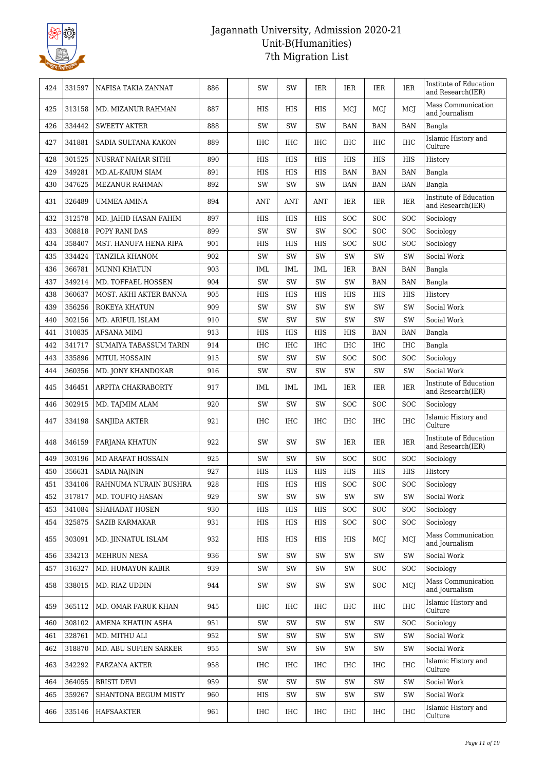

| 424 | 331597 | NAFISA TAKIA ZANNAT           | 886 | SW         | SW         | IER        | IER        | IER        | IER        | Institute of Education<br>and Research(IER) |
|-----|--------|-------------------------------|-----|------------|------------|------------|------------|------------|------------|---------------------------------------------|
| 425 | 313158 | MD. MIZANUR RAHMAN            | 887 | HIS        | HIS        | HIS        | MCJ        | MCI        | MCI        | Mass Communication<br>and Journalism        |
| 426 | 334442 | <b>SWEETY AKTER</b>           | 888 | SW         | SW         | SW         | <b>BAN</b> | <b>BAN</b> | <b>BAN</b> | Bangla                                      |
| 427 | 341881 | SADIA SULTANA KAKON           | 889 | <b>IHC</b> | IHC        | <b>IHC</b> | <b>IHC</b> | IHC        | <b>IHC</b> | Islamic History and<br>Culture              |
| 428 | 301525 | NUSRAT NAHAR SITHI            | 890 | HIS        | <b>HIS</b> | <b>HIS</b> | <b>HIS</b> | <b>HIS</b> | <b>HIS</b> | History                                     |
| 429 | 349281 | <b>MD.AL-KAIUM SIAM</b>       | 891 | HIS        | HIS        | HIS        | <b>BAN</b> | <b>BAN</b> | <b>BAN</b> | Bangla                                      |
| 430 | 347625 | MEZANUR RAHMAN                | 892 | SW         | SW         | SW         | <b>BAN</b> | <b>BAN</b> | <b>BAN</b> | Bangla                                      |
| 431 | 326489 | <b>UMMEA AMINA</b>            | 894 | <b>ANT</b> | ANT        | <b>ANT</b> | <b>IER</b> | IER        | IER        | Institute of Education<br>and Research(IER) |
| 432 | 312578 | MD. JAHID HASAN FAHIM         | 897 | <b>HIS</b> | <b>HIS</b> | <b>HIS</b> | <b>SOC</b> | <b>SOC</b> | <b>SOC</b> | Sociology                                   |
| 433 | 308818 | POPY RANI DAS                 | 899 | SW         | SW         | SW         | <b>SOC</b> | <b>SOC</b> | <b>SOC</b> | Sociology                                   |
| 434 | 358407 | MST. HANUFA HENA RIPA         | 901 | HIS        | HIS        | HIS        | <b>SOC</b> | SOC        | SOC        | Sociology                                   |
| 435 | 334424 | <b>TANZILA KHANOM</b>         | 902 | SW         | SW         | SW         | SW         | SW         | SW         | Social Work                                 |
| 436 | 366781 | <b>MUNNI KHATUN</b>           | 903 | IML        | IML        | IML        | IER        | <b>BAN</b> | <b>BAN</b> | Bangla                                      |
| 437 | 349214 | MD. TOFFAEL HOSSEN            | 904 | SW         | SW         | SW         | SW         | <b>BAN</b> | <b>BAN</b> | Bangla                                      |
| 438 | 360637 | MOST. AKHI AKTER BANNA        | 905 | HIS        | HIS        | <b>HIS</b> | HIS        | HIS        | <b>HIS</b> | History                                     |
| 439 | 356256 | ROKEYA KHATUN                 | 909 | SW         | SW         | SW         | SW         | SW         | SW         | Social Work                                 |
| 440 | 302156 | MD. ARIFUL ISLAM              | 910 | SW         | SW         | SW         | SW         | SW         | SW         | Social Work                                 |
| 441 | 310835 | AFSANA MIMI                   | 913 | HIS        | HIS        | <b>HIS</b> | HIS        | <b>BAN</b> | <b>BAN</b> | Bangla                                      |
| 442 | 341717 | <b>SUMAIYA TABASSUM TARIN</b> | 914 | <b>IHC</b> | <b>IHC</b> | <b>IHC</b> | <b>IHC</b> | <b>IHC</b> | <b>IHC</b> | Bangla                                      |
| 443 | 335896 | MITUL HOSSAIN                 | 915 | SW         | SW         | SW         | SOC        | SOC        | <b>SOC</b> | Sociology                                   |
| 444 | 360356 | MD. JONY KHANDOKAR            | 916 | SW         | SW         | SW         | SW         | SW         | SW         | Social Work                                 |
| 445 | 346451 | ARPITA CHAKRABORTY            | 917 | <b>IML</b> | IML        | <b>IML</b> | <b>IER</b> | IER        | IER        | Institute of Education<br>and Research(IER) |
| 446 | 302915 | MD. TAJMIM ALAM               | 920 | SW         | SW         | SW         | <b>SOC</b> | <b>SOC</b> | <b>SOC</b> | Sociology                                   |
| 447 | 334198 | <b>SANJIDA AKTER</b>          | 921 | <b>IHC</b> | <b>IHC</b> | IHC        | <b>IHC</b> | IHC        | <b>IHC</b> | Islamic History and<br>Culture              |
| 448 | 346159 | FARJANA KHATUN                | 922 | SW         | SW         | SW         | <b>IER</b> | IER        | IER        | Institute of Education<br>and Research(IER) |
| 449 | 303196 | <b>MD ARAFAT HOSSAIN</b>      | 925 | SW         | SW         | SW         | <b>SOC</b> | <b>SOC</b> | <b>SOC</b> | Sociology                                   |
| 450 | 356631 | <b>SADIA NAJNIN</b>           | 927 | HIS        | <b>HIS</b> | <b>HIS</b> | <b>HIS</b> | <b>HIS</b> | <b>HIS</b> | History                                     |
| 451 | 334106 | RAHNUMA NURAIN BUSHRA         | 928 | <b>HIS</b> | <b>HIS</b> | <b>HIS</b> | SOC        | <b>SOC</b> | SOC        | $\operatorname{Sociology}$                  |
| 452 | 317817 | MD. TOUFIQ HASAN              | 929 | SW         | SW         | SW         | SW         | SW         | SW         | Social Work                                 |
| 453 | 341084 | SHAHADAT HOSEN                | 930 | HIS        | HIS        | HIS        | <b>SOC</b> | <b>SOC</b> | <b>SOC</b> | Sociology                                   |
| 454 | 325875 | <b>SAZIB KARMAKAR</b>         | 931 | HIS        | HIS        | HIS        | <b>SOC</b> | <b>SOC</b> | <b>SOC</b> | Sociology                                   |
| 455 | 303091 | MD. JINNATUL ISLAM            | 932 | HIS        | HIS        | HIS        | HIS        | MCI        | MCJ        | Mass Communication<br>and Journalism        |
| 456 | 334213 | <b>MEHRUN NESA</b>            | 936 | SW         | SW         | SW         | SW         | SW         | SW         | Social Work                                 |
| 457 | 316327 | MD. HUMAYUN KABIR             | 939 | SW         | SW         | SW         | SW         | <b>SOC</b> | <b>SOC</b> | Sociology                                   |
| 458 | 338015 | MD. RIAZ UDDIN                | 944 | SW         | SW         | SW         | SW         | <b>SOC</b> | MCJ        | Mass Communication<br>and Journalism        |
| 459 | 365112 | MD. OMAR FARUK KHAN           | 945 | IHC        | IHC        | IHC        | IHC        | IHC        | IHC        | Islamic History and<br>Culture              |
| 460 | 308102 | AMENA KHATUN ASHA             | 951 | SW         | SW         | SW         | SW         | SW         | <b>SOC</b> | Sociology                                   |
| 461 | 328761 | MD. MITHU ALI                 | 952 | SW         | SW         | SW         | SW         | SW         | SW         | Social Work                                 |
| 462 | 318870 | MD. ABU SUFIEN SARKER         | 955 | SW         | SW         | SW         | SW         | SW         | SW         | Social Work                                 |
| 463 | 342292 | FARZANA AKTER                 | 958 | IHC        | IHC        | IHC        | IHC        | IHC        | IHC        | Islamic History and<br>Culture              |
| 464 | 364055 | <b>BRISTI DEVI</b>            | 959 | SW         | SW         | SW         | SW         | SW         | SW         | Social Work                                 |
| 465 | 359267 | SHANTONA BEGUM MISTY          | 960 | HIS        | SW         | SW         | SW         | SW         | SW         | Social Work                                 |
| 466 | 335146 | HAFSAAKTER                    | 961 | IHC        | IHC        | IHC        | IHC        | IHC        | <b>IHC</b> | Islamic History and<br>Culture              |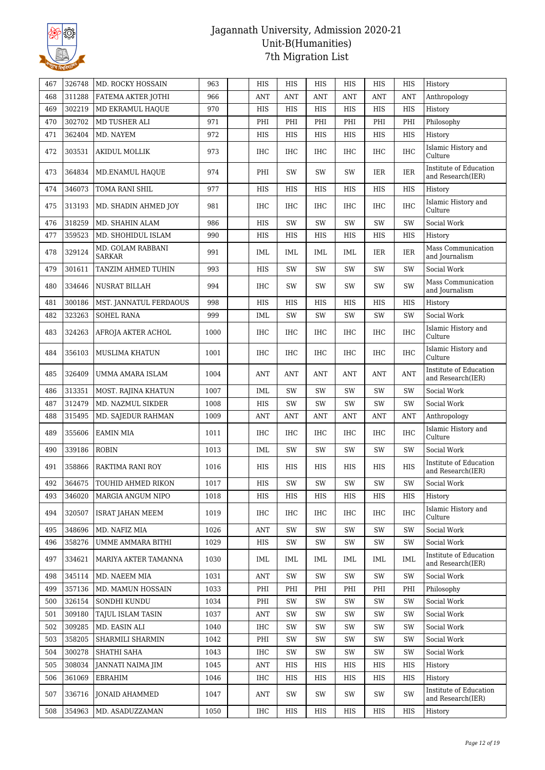

| 467 | 326748 | MD. ROCKY HOSSAIN                  | 963  | HIS        | HIS        | HIS        | HIS        | HIS        | HIS        | History                                     |
|-----|--------|------------------------------------|------|------------|------------|------------|------------|------------|------------|---------------------------------------------|
| 468 | 311288 | FATEMA AKTER JOTHI                 | 966  | <b>ANT</b> | <b>ANT</b> | <b>ANT</b> | <b>ANT</b> | <b>ANT</b> | <b>ANT</b> | Anthropology                                |
| 469 | 302219 | MD EKRAMUL HAQUE                   | 970  | HIS        | HIS        | HIS        | HIS        | <b>HIS</b> | HIS        | History                                     |
| 470 | 302702 | MD TUSHER ALI                      | 971  | PHI        | PHI        | PHI        | PHI        | PHI        | PHI        | Philosophy                                  |
| 471 | 362404 | MD. NAYEM                          | 972  | HIS        | HIS        | <b>HIS</b> | <b>HIS</b> | <b>HIS</b> | HIS        | History                                     |
| 472 | 303531 | <b>AKIDUL MOLLIK</b>               | 973  | IHC        | IHC        | IHC        | <b>IHC</b> | <b>IHC</b> | <b>IHC</b> | Islamic History and<br>Culture              |
| 473 | 364834 | MD.ENAMUL HAQUE                    | 974  | PHI        | SW         | SW         | SW         | IER        | <b>IER</b> | Institute of Education<br>and Research(IER) |
| 474 | 346073 | TOMA RANI SHIL                     | 977  | HIS        | HIS        | HIS        | HIS        | <b>HIS</b> | HIS        | History                                     |
| 475 | 313193 | MD. SHADIN AHMED JOY               | 981  | <b>IHC</b> | IHC        | <b>IHC</b> | <b>IHC</b> | <b>IHC</b> | <b>IHC</b> | Islamic History and<br>Culture              |
| 476 | 318259 | MD. SHAHIN ALAM                    | 986  | HIS        | SW         | SW         | <b>SW</b>  | SW         | SW         | Social Work                                 |
| 477 | 359523 | MD. SHOHIDUL ISLAM                 | 990  | HIS        | HIS        | HIS        | HIS        | HIS        | HIS        | History                                     |
| 478 | 329124 | MD. GOLAM RABBANI<br><b>SARKAR</b> | 991  | IML        | IML        | IML        | IML        | IER        | IER        | Mass Communication<br>and Journalism        |
| 479 | 301611 | TANZIM AHMED TUHIN                 | 993  | HIS        | SW         | SW         | SW         | SW         | SW         | Social Work                                 |
| 480 | 334646 | <b>NUSRAT BILLAH</b>               | 994  | <b>IHC</b> | SW         | SW         | SW         | SW         | SW         | Mass Communication<br>and Journalism        |
| 481 | 300186 | MST. JANNATUL FERDAOUS             | 998  | HIS        | HIS        | HIS        | HIS        | HIS        | HIS        | History                                     |
| 482 | 323263 | <b>SOHEL RANA</b>                  | 999  | IML        | SW         | SW         | SW         | SW         | SW         | Social Work                                 |
| 483 | 324263 | AFROJA AKTER ACHOL                 | 1000 | <b>IHC</b> | IHC        | IHC        | <b>IHC</b> | <b>IHC</b> | <b>IHC</b> | Islamic History and<br>Culture              |
| 484 | 356103 | MUSLIMA KHATUN                     | 1001 | <b>IHC</b> | IHC        | IHC        | <b>IHC</b> | <b>IHC</b> | <b>IHC</b> | Islamic History and<br>Culture              |
| 485 | 326409 | UMMA AMARA ISLAM                   | 1004 | <b>ANT</b> | <b>ANT</b> | ANT        | ANT        | ANT        | ANT        | Institute of Education<br>and Research(IER) |
| 486 | 313351 | MOST. RAJINA KHATUN                | 1007 | IML        | SW         | SW         | SW         | SW         | SW         | Social Work                                 |
| 487 | 312479 | MD. NAZMUL SIKDER                  | 1008 | HIS        | SW         | SW         | <b>SW</b>  | SW         | SW         | Social Work                                 |
| 488 | 315495 | MD. SAJEDUR RAHMAN                 | 1009 | <b>ANT</b> | <b>ANT</b> | <b>ANT</b> | <b>ANT</b> | ANT        | ANT        | Anthropology                                |
| 489 | 355606 | <b>EAMIN MIA</b>                   | 1011 | IHC        | IHC        | IHC        | IHC        | IHC        | <b>IHC</b> | Islamic History and<br>Culture              |
| 490 | 339186 | <b>ROBIN</b>                       | 1013 | IML        | SW         | SW         | SW         | SW         | SW         | Social Work                                 |
| 491 | 358866 | RAKTIMA RANI ROY                   | 1016 | HIS        | HIS        | HIS        | HIS        | HIS        | HIS        | Institute of Education<br>and Research(IER) |
| 492 | 364675 | <b>TOUHID AHMED RIKON</b>          | 1017 | <b>HIS</b> | SW         | SW         | SW         | SW         | SW         | Social Work                                 |
| 493 | 346020 | MARGIA ANGUM NIPO                  | 1018 | HIS        | HIS        | HIS        | HIS        | HIS        | HIS        | History                                     |
| 494 | 320507 | <b>ISRAT JAHAN MEEM</b>            | 1019 | <b>IHC</b> | IHC        | IHC        | <b>IHC</b> | <b>IHC</b> | <b>IHC</b> | Islamic History and<br>Culture              |
| 495 | 348696 | MD. NAFIZ MIA                      | 1026 | <b>ANT</b> | SW         | SW         | SW         | SW         | SW         | Social Work                                 |
| 496 | 358276 | UMME AMMARA BITHI                  | 1029 | HIS        | SW         | SW         | SW         | SW         | SW         | Social Work                                 |
| 497 | 334621 | MARIYA AKTER TAMANNA               | 1030 | IML        | IML        | IML        | IML        | IML        | IML        | Institute of Education<br>and Research(IER) |
| 498 | 345114 | MD. NAEEM MIA                      | 1031 | ANT        | SW         | SW         | SW         | SW         | SW         | Social Work                                 |
| 499 | 357136 | MD. MAMUN HOSSAIN                  | 1033 | PHI        | PHI        | PHI        | PHI        | PHI        | PHI        | Philosophy                                  |
| 500 | 326154 | SONDHI KUNDU                       | 1034 | PHI        | SW         | SW         | SW         | SW         | SW         | Social Work                                 |
| 501 | 309180 | <b>TAJUL ISLAM TASIN</b>           | 1037 | <b>ANT</b> | SW         | SW         | SW         | SW         | SW         | Social Work                                 |
| 502 | 309285 | MD. EASIN ALI                      | 1040 | IHC        | SW         | SW         | SW         | SW         | SW         | Social Work                                 |
| 503 | 358205 | SHARMILI SHARMIN                   | 1042 | PHI        | SW         | SW         | SW         | SW         | SW         | Social Work                                 |
| 504 | 300278 | SHATHI SAHA                        | 1043 | <b>IHC</b> | SW         | SW         | SW         | SW         | SW         | Social Work                                 |
| 505 | 308034 | JANNATI NAIMA JIM                  | 1045 | <b>ANT</b> | HIS        | HIS        | HIS        | HIS        | HIS        | History                                     |
| 506 | 361069 | EBRAHIM                            | 1046 | IHC        | HIS        | HIS        | HIS        | HIS        | HIS        | History                                     |
| 507 | 336716 | <b>JONAID AHAMMED</b>              | 1047 | ANT        | SW         | SW         | SW         | SW         | SW         | Institute of Education<br>and Research(IER) |
| 508 | 354963 | MD. ASADUZZAMAN                    | 1050 | <b>IHC</b> | HIS        | HIS        | HIS        | HIS        | HIS        | History                                     |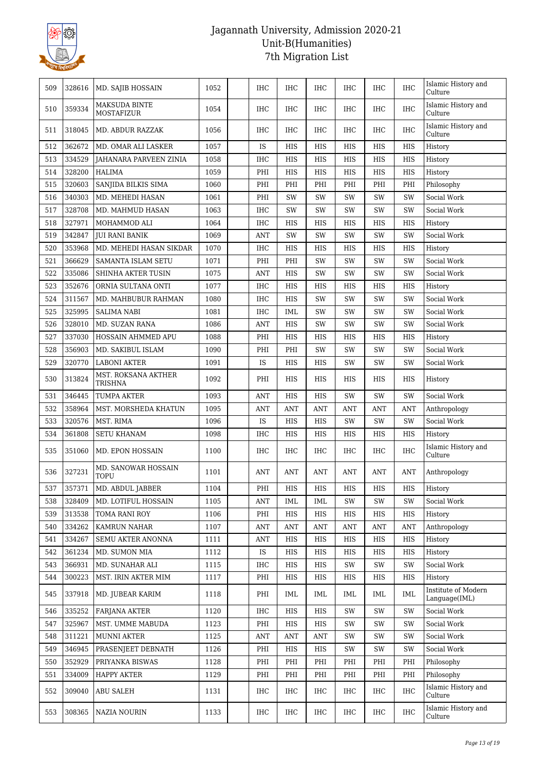

| 509 | 328616 | MD. SAJIB HOSSAIN                         | 1052 | <b>IHC</b> | IHC        | IHC        | <b>IHC</b> | <b>IHC</b> | <b>IHC</b> | Islamic History and<br>Culture       |
|-----|--------|-------------------------------------------|------|------------|------------|------------|------------|------------|------------|--------------------------------------|
| 510 | 359334 | <b>MAKSUDA BINTE</b><br><b>MOSTAFIZUR</b> | 1054 | <b>IHC</b> | IHC        | <b>IHC</b> | <b>IHC</b> | <b>IHC</b> | <b>IHC</b> | Islamic History and<br>Culture       |
| 511 | 318045 | MD. ABDUR RAZZAK                          | 1056 | <b>IHC</b> | IHC        | <b>IHC</b> | <b>IHC</b> | <b>IHC</b> | <b>IHC</b> | Islamic History and<br>Culture       |
| 512 | 362672 | MD. OMAR ALI LASKER                       | 1057 | IS         | HIS        | HIS        | HIS        | HIS        | HIS        | History                              |
| 513 | 334529 | <b>JAHANARA PARVEEN ZINIA</b>             | 1058 | <b>IHC</b> | HIS        | HIS        | HIS        | HIS        | HIS        | History                              |
| 514 | 328200 | <b>HALIMA</b>                             | 1059 | PHI        | HIS        | <b>HIS</b> | <b>HIS</b> | HIS        | <b>HIS</b> | History                              |
| 515 | 320603 | SANJIDA BILKIS SIMA                       | 1060 | PHI        | PHI        | PHI        | PHI        | PHI        | PHI        | Philosophy                           |
| 516 | 340303 | MD. MEHEDI HASAN                          | 1061 | PHI        | SW         | SW         | SW         | SW         | SW         | Social Work                          |
| 517 | 328708 | MD. MAHMUD HASAN                          | 1063 | <b>IHC</b> | SW         | SW         | SW         | SW         | SW         | Social Work                          |
| 518 | 327971 | MOHAMMOD ALI                              | 1064 | <b>IHC</b> | <b>HIS</b> | <b>HIS</b> | HIS        | HIS        | HIS        | History                              |
| 519 | 342847 | <b>JUI RANI BANIK</b>                     | 1069 | <b>ANT</b> | SW         | SW         | SW         | SW         | SW         | Social Work                          |
| 520 | 353968 | MD. MEHEDI HASAN SIKDAR                   | 1070 | <b>IHC</b> | HIS        | HIS        | HIS        | HIS        | HIS        | History                              |
| 521 | 366629 | <b>SAMANTA ISLAM SETU</b>                 | 1071 | PHI        | PHI        | SW         | <b>SW</b>  | <b>SW</b>  | SW         | Social Work                          |
| 522 | 335086 | SHINHA AKTER TUSIN                        | 1075 | <b>ANT</b> | HIS        | SW         | SW         | SW         | SW         | Social Work                          |
| 523 | 352676 | ORNIA SULTANA ONTI                        | 1077 | <b>IHC</b> | HIS        | HIS        | HIS        | HIS        | HIS        | History                              |
| 524 | 311567 | MD. MAHBUBUR RAHMAN                       | 1080 | <b>IHC</b> | <b>HIS</b> | SW         | SW         | <b>SW</b>  | SW         | Social Work                          |
| 525 | 325995 | <b>SALIMA NABI</b>                        | 1081 | <b>IHC</b> | IML        | SW         | SW         | <b>SW</b>  | SW         | Social Work                          |
| 526 | 328010 | MD. SUZAN RANA                            | 1086 | <b>ANT</b> | <b>HIS</b> | SW         | SW         | SW         | SW         | Social Work                          |
| 527 | 337030 | HOSSAIN AHMMED APU                        | 1088 | PHI        | HIS        | HIS        | HIS        | HIS        | HIS        |                                      |
|     | 356903 |                                           |      |            |            | SW         |            | <b>SW</b>  | SW         | History                              |
| 528 | 320770 | MD. SAKIBUL ISLAM<br><b>LABONI AKTER</b>  | 1090 | PHI<br>IS  | PHI        |            | SW         |            |            | Social Work                          |
| 529 |        |                                           | 1091 |            | HIS        | HIS        | SW         | SW         | SW         | Social Work                          |
| 530 | 313824 | MST. ROKSANA AKTHER<br>TRISHNA            | 1092 | PHI        | HIS        | HIS        | HIS        | HIS        | HIS        | History                              |
| 531 | 346445 | TUMPA AKTER                               | 1093 | <b>ANT</b> | HIS        | <b>HIS</b> | SW         | SW         | SW         | Social Work                          |
| 532 | 358964 | MST. MORSHEDA KHATUN                      | 1095 | <b>ANT</b> | <b>ANT</b> | <b>ANT</b> | <b>ANT</b> | ANT        | ANT        | Anthropology                         |
| 533 | 320576 | MST. RIMA                                 | 1096 | IS         | HIS        | <b>HIS</b> | SW         | SW         | SW         | Social Work                          |
| 534 | 361808 | <b>SETU KHANAM</b>                        | 1098 | <b>IHC</b> | HIS        | HIS        | HIS        | HIS        | HIS        | History                              |
| 535 | 351060 | MD. EPON HOSSAIN                          | 1100 | IHC        | IHC        | IHC        | <b>IHC</b> | <b>IHC</b> | IHC        | Islamic History and<br>Culture       |
| 536 | 327231 | MD. SANOWAR HOSSAIN<br>TOPU               | 1101 | <b>ANT</b> | <b>ANT</b> | <b>ANT</b> | <b>ANT</b> | ANT        | ANT        | Anthropology                         |
| 537 | 357371 | MD. ABDUL JABBER                          | 1104 | PHI        | HIS        | HIS        | HIS        | HIS        | HIS        | History                              |
| 538 | 328409 | MD. LOTIFUL HOSSAIN                       | 1105 | <b>ANT</b> | <b>IML</b> | <b>IML</b> | SW         | SW         | SW         | Social Work                          |
| 539 | 313538 | TOMA RANI ROY                             | 1106 | PHI        | HIS        | HIS        | HIS        | HIS        | HIS        | History                              |
| 540 | 334262 | KAMRUN NAHAR                              | 1107 | <b>ANT</b> | <b>ANT</b> | <b>ANT</b> | ANT        | <b>ANT</b> | <b>ANT</b> | Anthropology                         |
| 541 | 334267 | SEMU AKTER ANONNA                         | 1111 | <b>ANT</b> | HIS        | HIS        | HIS        | HIS        | HIS        | History                              |
| 542 | 361234 | MD. SUMON MIA                             | 1112 | IS         | HIS        | HIS        | HIS        | HIS        | HIS        | History                              |
| 543 | 366931 | MD. SUNAHAR ALI                           | 1115 | IHC        | HIS        | HIS        | SW         | SW         | SW         | Social Work                          |
| 544 | 300223 | MST. IRIN AKTER MIM                       | 1117 | PHI        | HIS        | HIS        | HIS        | HIS        | HIS        | History                              |
| 545 | 337918 | MD. JUBEAR KARIM                          | 1118 | PHI        | IML        | IML        | IML        | IML        | IML        | Institute of Modern<br>Language(IML) |
| 546 | 335252 | <b>FARJANA AKTER</b>                      | 1120 | IHC        | HIS        | HIS        | SW         | SW         | SW         | Social Work                          |
| 547 | 325967 | MST. UMME MABUDA                          | 1123 | PHI        | HIS        | HIS        | SW         | SW         | SW         | Social Work                          |
| 548 | 311221 | <b>MUNNI AKTER</b>                        | 1125 | <b>ANT</b> | <b>ANT</b> | <b>ANT</b> | SW         | SW         | SW         | Social Work                          |
| 549 | 346945 | PRASENJEET DEBNATH                        | 1126 | PHI        | HIS        | HIS        | SW         | SW         | SW         | Social Work                          |
| 550 | 352929 | PRIYANKA BISWAS                           | 1128 | PHI        | PHI        | PHI        | PHI        | PHI        | PHI        | Philosophy                           |
| 551 | 334009 | <b>HAPPY AKTER</b>                        | 1129 | PHI        | PHI        | PHI        | PHI        | PHI        | PHI        | Philosophy                           |
| 552 | 309040 | ABU SALEH                                 | 1131 | IHC        | IHC        | IHC        | IHC        | IHC        | IHC        | Islamic History and<br>Culture       |
| 553 | 308365 | <b>NAZIA NOURIN</b>                       | 1133 | IHC        | IHC        | IHC        | IHC        | IHC        | IHC        | Islamic History and<br>Culture       |
|     |        |                                           |      |            |            |            |            |            |            |                                      |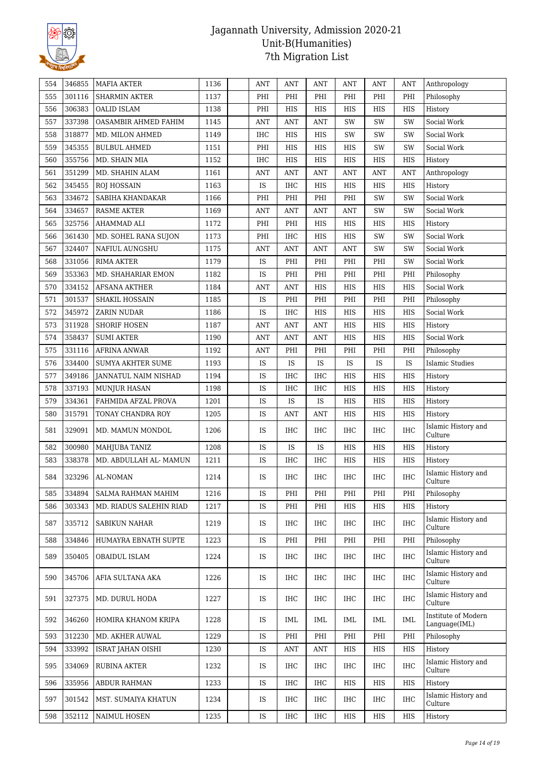

| 554 | 346855 | <b>MAFIA AKTER</b>        | 1136 | <b>ANT</b> | <b>ANT</b> | <b>ANT</b> | <b>ANT</b> | ANT        | ANT        | Anthropology                         |
|-----|--------|---------------------------|------|------------|------------|------------|------------|------------|------------|--------------------------------------|
| 555 | 301116 | <b>SHARMIN AKTER</b>      | 1137 | PHI        | PHI        | PHI        | PHI        | PHI        | PHI        | Philosophy                           |
| 556 | 306383 | <b>OALID ISLAM</b>        | 1138 | PHI        | HIS        | HIS        | HIS        | HIS        | HIS        | History                              |
| 557 | 337398 | OASAMBIR AHMED FAHIM      | 1145 | <b>ANT</b> | <b>ANT</b> | <b>ANT</b> | SW         | SW         | SW         | Social Work                          |
| 558 | 318877 | MD. MILON AHMED           | 1149 | <b>IHC</b> | HIS        | HIS        | SW         | SW         | SW         | Social Work                          |
| 559 | 345355 | <b>BULBUL AHMED</b>       | 1151 | PHI        | HIS        | HIS        | HIS        | SW         | SW         | Social Work                          |
| 560 | 355756 | MD. SHAIN MIA             | 1152 | <b>IHC</b> | HIS        | HIS        | HIS        | HIS        | HIS        | History                              |
| 561 | 351299 | MD. SHAHIN ALAM           | 1161 | <b>ANT</b> | <b>ANT</b> | <b>ANT</b> | <b>ANT</b> | <b>ANT</b> | <b>ANT</b> | Anthropology                         |
| 562 | 345455 | <b>ROJ HOSSAIN</b>        | 1163 | IS         | IHC        | HIS        | HIS        | HIS        | HIS        | History                              |
| 563 | 334672 | SABIHA KHANDAKAR          | 1166 | PHI        | PHI        | PHI        | PHI        | SW         | SW         | Social Work                          |
| 564 | 334657 | <b>RASME AKTER</b>        | 1169 | <b>ANT</b> | <b>ANT</b> | <b>ANT</b> | <b>ANT</b> | SW         | SW         | Social Work                          |
| 565 | 325756 | AHAMMAD ALI               | 1172 | PHI        | PHI        | HIS        | <b>HIS</b> | HIS        | HIS        | History                              |
| 566 | 361430 | MD. SOHEL RANA SUJON      | 1173 | PHI        | IHC        | HIS        | HIS        | SW         | SW         | Social Work                          |
| 567 | 324407 | NAFIUL AUNGSHU            | 1175 | <b>ANT</b> | <b>ANT</b> | <b>ANT</b> | <b>ANT</b> | SW         | SW         | Social Work                          |
| 568 | 331056 | <b>RIMA AKTER</b>         | 1179 | IS         | PHI        | PHI        | PHI        | PHI        | SW         | Social Work                          |
| 569 | 353363 | MD. SHAHARIAR EMON        | 1182 | IS         | PHI        | PHI        | PHI        | PHI        | PHI        | Philosophy                           |
| 570 | 334152 | <b>AFSANA AKTHER</b>      | 1184 | <b>ANT</b> | <b>ANT</b> | HIS        | <b>HIS</b> | HIS        | <b>HIS</b> | Social Work                          |
| 571 | 301537 | SHAKIL HOSSAIN            | 1185 | IS         | PHI        | PHI        | PHI        | PHI        | PHI        | Philosophy                           |
| 572 | 345972 | ZARIN NUDAR               | 1186 | IS         | IHC        | HIS        | HIS        | HIS        | HIS        | Social Work                          |
| 573 | 311928 | <b>SHORIF HOSEN</b>       | 1187 | <b>ANT</b> | <b>ANT</b> | <b>ANT</b> | HIS        | HIS        | HIS        | History                              |
| 574 | 358437 | <b>SUMI AKTER</b>         | 1190 | <b>ANT</b> | <b>ANT</b> | ANT        | <b>HIS</b> | <b>HIS</b> | HIS        | Social Work                          |
| 575 | 331116 | <b>AFRINA ANWAR</b>       | 1192 | <b>ANT</b> | PHI        | PHI        | PHI        | PHI        | PHI        | Philosophy                           |
| 576 | 334400 | <b>SUMYA AKHTER SUME</b>  | 1193 | IS         | IS         | IS         | IS         | IS         | IS         | <b>Islamic Studies</b>               |
| 577 | 349186 | JANNATUL NAIM NISHAD      | 1194 | IS         | IHC        | <b>IHC</b> | <b>HIS</b> | <b>HIS</b> | <b>HIS</b> | History                              |
| 578 | 337193 | <b>MUNJUR HASAN</b>       | 1198 | IS         | IHC        | IHC        | HIS        | HIS        | HIS        | History                              |
| 579 | 334361 | FAHMIDA AFZAL PROVA       | 1201 | IS         | IS         | IS         | HIS        | HIS        | HIS        | History                              |
| 580 | 315791 | TONAY CHANDRA ROY         | 1205 | IS         | ANT        | <b>ANT</b> | <b>HIS</b> | HIS        | HIS        | History                              |
| 581 | 329091 | MD. MAMUN MONDOL          | 1206 | IS         | IHC        | <b>IHC</b> | <b>IHC</b> | <b>IHC</b> | <b>IHC</b> | Islamic History and<br>Culture       |
| 582 | 300980 | <b>MAHJUBA TANIZ</b>      | 1208 | IS         | IS         | IS         | <b>HIS</b> | HIS        | HIS        | History                              |
| 583 | 338378 | MD. ABDULLAH AL- MAMUN    | 1211 | IS         | IHC        | IHC        | HIS        | HIS        | HIS        | History                              |
| 584 | 323296 | AL-NOMAN                  | 1214 | IS         | IHC        | IHC        | $\rm IHC$  | IHC        | IHC        | Islamic History and<br>Culture       |
| 585 | 334894 | <b>SALMA RAHMAN MAHIM</b> | 1216 | IS         | PHI        | PHI        | PHI        | PHI        | PHI        | Philosophy                           |
| 586 | 303343 | MD. RIADUS SALEHIN RIAD   | 1217 | <b>IS</b>  | PHI        | PHI        | <b>HIS</b> | HIS        | <b>HIS</b> | History                              |
| 587 | 335712 | <b>SABIKUN NAHAR</b>      | 1219 | IS         | IHC        | IHC        | <b>IHC</b> | IHC        | <b>IHC</b> | Islamic History and<br>Culture       |
| 588 | 334846 | HUMAYRA EBNATH SUPTE      | 1223 | <b>IS</b>  | PHI        | PHI        | PHI        | PHI        | PHI        | Philosophy                           |
| 589 | 350405 | OBAIDUL ISLAM             | 1224 | IS         | IHC        | IHC        | <b>IHC</b> | <b>IHC</b> | <b>IHC</b> | Islamic History and<br>Culture       |
| 590 | 345706 | AFIA SULTANA AKA          | 1226 | IS         | IHC        | IHC        | <b>IHC</b> | <b>IHC</b> | <b>IHC</b> | Islamic History and<br>Culture       |
| 591 | 327375 | MD. DURUL HODA            | 1227 | IS         | IHC        | IHC        | IHC        | IHC        | IHC        | Islamic History and<br>Culture       |
| 592 | 346260 | HOMIRA KHANOM KRIPA       | 1228 | IS         | IML        | IML        | IML        | IML        | <b>IML</b> | Institute of Modern<br>Language(IML) |
| 593 | 312230 | MD. AKHER AUWAL           | 1229 | IS         | PHI        | PHI        | PHI        | PHI        | PHI        | Philosophy                           |
| 594 | 333992 | ISRAT JAHAN OISHI         | 1230 | <b>IS</b>  | <b>ANT</b> | <b>ANT</b> | HIS        | HIS        | HIS        | History                              |
| 595 | 334069 | RUBINA AKTER              | 1232 | IS         | IHC        | IHC        | IHC        | IHC        | IHC        | Islamic History and<br>Culture       |
| 596 | 335956 | <b>ABDUR RAHMAN</b>       | 1233 | <b>IS</b>  | IHC        | IHC        | HIS        | HIS        | HIS        | History                              |
| 597 | 301542 | MST. SUMAIYA KHATUN       | 1234 | IS         | IHC        | IHC        | <b>IHC</b> | <b>IHC</b> | <b>IHC</b> | Islamic History and<br>Culture       |
| 598 | 352112 | NAIMUL HOSEN              | 1235 | IS         | IHC        | IHC        | HIS        | HIS        | HIS        | History                              |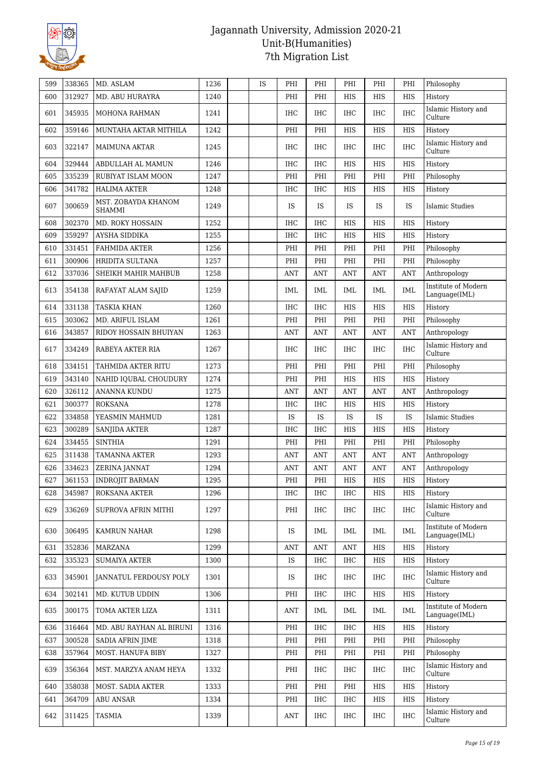

| 599 | 338365 | MD. ASLAM                            | 1236 | <b>IS</b> | PHI        | PHI                              | PHI        | PHI        | PHI        | Philosophy                           |
|-----|--------|--------------------------------------|------|-----------|------------|----------------------------------|------------|------------|------------|--------------------------------------|
| 600 | 312927 | MD. ABU HURAYRA                      | 1240 |           | PHI        | PHI                              | HIS        | HIS        | <b>HIS</b> | History                              |
| 601 | 345935 | MOHONA RAHMAN                        | 1241 |           | <b>IHC</b> | <b>IHC</b>                       | <b>IHC</b> | <b>IHC</b> | <b>IHC</b> | Islamic History and<br>Culture       |
| 602 | 359146 | MUNTAHA AKTAR MITHILA                | 1242 |           | PHI        | PHI                              | <b>HIS</b> | <b>HIS</b> | <b>HIS</b> | History                              |
| 603 | 322147 | MAIMUNA AKTAR                        | 1245 |           | <b>IHC</b> | <b>IHC</b>                       | IHC        | <b>IHC</b> | <b>IHC</b> | Islamic History and<br>Culture       |
| 604 | 329444 | ABDULLAH AL MAMUN                    | 1246 |           | <b>IHC</b> | <b>IHC</b>                       | <b>HIS</b> | HIS        | <b>HIS</b> | History                              |
| 605 | 335239 | RUBIYAT ISLAM MOON                   | 1247 |           | PHI        | PHI                              | PHI        | PHI        | PHI        | Philosophy                           |
| 606 | 341782 | <b>HALIMA AKTER</b>                  | 1248 |           | <b>IHC</b> | <b>IHC</b>                       | <b>HIS</b> | <b>HIS</b> | <b>HIS</b> | History                              |
| 607 | 300659 | MST. ZOBAYDA KHANOM<br><b>SHAMMI</b> | 1249 |           | IS         | <b>IS</b>                        | IS         | IS         | <b>IS</b>  | <b>Islamic Studies</b>               |
| 608 | 302370 | MD. ROKY HOSSAIN                     | 1252 |           | <b>IHC</b> | <b>IHC</b>                       | <b>HIS</b> | <b>HIS</b> | <b>HIS</b> | History                              |
| 609 | 359297 | AYSHA SIDDIKA                        | 1255 |           | <b>IHC</b> | <b>IHC</b>                       | HIS        | <b>HIS</b> | <b>HIS</b> | History                              |
| 610 | 331451 | FAHMIDA AKTER                        | 1256 |           | PHI        | PHI                              | PHI        | PHI        | PHI        | Philosophy                           |
| 611 | 300906 | HRIDITA SULTANA                      | 1257 |           | PHI        | PHI                              | PHI        | PHI        | PHI        | Philosophy                           |
| 612 | 337036 | SHEIKH MAHIR MAHBUB                  | 1258 |           | ANT        | ANT                              | ANT        | <b>ANT</b> | <b>ANT</b> | Anthropology                         |
| 613 | 354138 | RAFAYAT ALAM SAJID                   | 1259 |           | IML        | IML                              | IML        | IML        | IML        | Institute of Modern<br>Language(IML) |
| 614 | 331138 | <b>TASKIA KHAN</b>                   | 1260 |           | <b>IHC</b> | <b>IHC</b>                       | HIS        | HIS        | <b>HIS</b> | History                              |
| 615 | 303062 | MD. ARIFUL ISLAM                     | 1261 |           | PHI        | PHI                              | PHI        | PHI        | PHI        | Philosophy                           |
| 616 | 343857 | RIDOY HOSSAIN BHUIYAN                | 1263 |           | ANT        | ANT                              | ANT        | <b>ANT</b> | ANT        | Anthropology                         |
| 617 | 334249 | RABEYA AKTER RIA                     | 1267 |           | <b>IHC</b> | <b>IHC</b>                       | <b>IHC</b> | <b>IHC</b> | <b>IHC</b> | Islamic History and<br>Culture       |
| 618 | 334151 | TAHMIDA AKTER RITU                   | 1273 |           | PHI        | PHI                              | PHI        | PHI        | PHI        | Philosophy                           |
| 619 | 343140 | NAHID IQUBAL CHOUDURY                | 1274 |           | PHI        | PHI                              | HIS        | HIS        | <b>HIS</b> | History                              |
| 620 | 326112 | ANANNA KUNDU                         | 1275 |           | ANT        | ANT                              | ANT        | <b>ANT</b> | ANT        | Anthropology                         |
| 621 | 300377 | <b>ROKSANA</b>                       | 1278 |           | <b>IHC</b> | <b>IHC</b>                       | HIS        | <b>HIS</b> | HIS        | History                              |
| 622 | 334858 | YEASMIN MAHMUD                       | 1281 |           | IS         | IS                               | IS         | IS         | IS         | Islamic Studies                      |
| 623 | 300289 | SANJIDA AKTER                        | 1287 |           | IHC        | <b>IHC</b>                       | <b>HIS</b> | <b>HIS</b> | <b>HIS</b> | History                              |
| 624 | 334455 | <b>SINTHIA</b>                       | 1291 |           | PHI        | PHI                              | PHI        | PHI        | PHI        | Philosophy                           |
| 625 | 311438 | TAMANNA AKTER                        | 1293 |           | ANT        | $\mathbf{A}\mathbf{N}\mathbf{T}$ | <b>ANT</b> | <b>ANT</b> | <b>ANT</b> | Anthropology                         |
| 626 | 334623 | ZERINA JANNAT                        | 1294 |           | <b>ANT</b> | $\mathbf{A}\mathbf{N}\mathbf{T}$ | <b>ANT</b> | <b>ANT</b> | <b>ANT</b> | Anthropology                         |
| 627 | 361153 | <b>INDROJIT BARMAN</b>               | 1295 |           | PHI        | PHI                              | <b>HIS</b> | HIS        | <b>HIS</b> | History                              |
| 628 | 345987 | ROKSANA AKTER                        | 1296 |           | <b>IHC</b> | IHC                              | IHC        | HIS        | HIS        | History                              |
| 629 | 336269 | SUPROVA AFRIN MITHI                  | 1297 |           | PHI        | IHC.                             | IHC        | IHC        | IHC        | Islamic History and<br>Culture       |
| 630 | 306495 | <b>KAMRUN NAHAR</b>                  | 1298 |           | IS         | IML                              | IML        | IML        | <b>IML</b> | Institute of Modern<br>Language(IML) |
| 631 | 352836 | MARZANA                              | 1299 |           | ANT        | ANT                              | <b>ANT</b> | HIS        | HIS        | History                              |
| 632 | 335323 | <b>SUMAIYA AKTER</b>                 | 1300 |           | IS         | IHC                              | IHC        | HIS        | HIS        | History                              |
| 633 | 345901 | <b>JANNATUL FERDOUSY POLY</b>        | 1301 |           | IS         | IHC                              | IHC        | IHC        | IHC        | Islamic History and<br>Culture       |
| 634 | 302141 | MD. KUTUB UDDIN                      | 1306 |           | PHI        | IHC                              | IHC        | HIS        | HIS        | History                              |
| 635 | 300175 | TOMA AKTER LIZA                      | 1311 |           | ANT        | IML                              | IML        | IML        | IML        | Institute of Modern<br>Language(IML) |
| 636 | 316464 | MD. ABU RAYHAN AL BIRUNI             | 1316 |           | PHI        | <b>IHC</b>                       | <b>IHC</b> | HIS        | HIS        | History                              |
| 637 | 300528 | <b>SADIA AFRIN JIME</b>              | 1318 |           | PHI        | PHI                              | PHI        | PHI        | PHI        | Philosophy                           |
| 638 | 357964 | MOST. HANUFA BIBY                    | 1327 |           | PHI        | PHI                              | PHI        | PHI        | PHI        | Philosophy                           |
| 639 | 356364 | MST. MARZYA ANAM HEYA                | 1332 |           | PHI        | IHC                              | IHC        | IHC        | IHC        | Islamic History and<br>Culture       |
| 640 | 358038 | MOST. SADIA AKTER                    | 1333 |           | PHI        | PHI                              | PHI        | HIS        | HIS        | History                              |
| 641 | 364709 | <b>ABU ANSAR</b>                     | 1334 |           | PHI        | <b>IHC</b>                       | IHC        | HIS        | HIS        | History                              |
| 642 | 311425 | <b>TASMIA</b>                        | 1339 |           | ANT        | IHC                              | IHC        | IHC        | IHC        | Islamic History and<br>Culture       |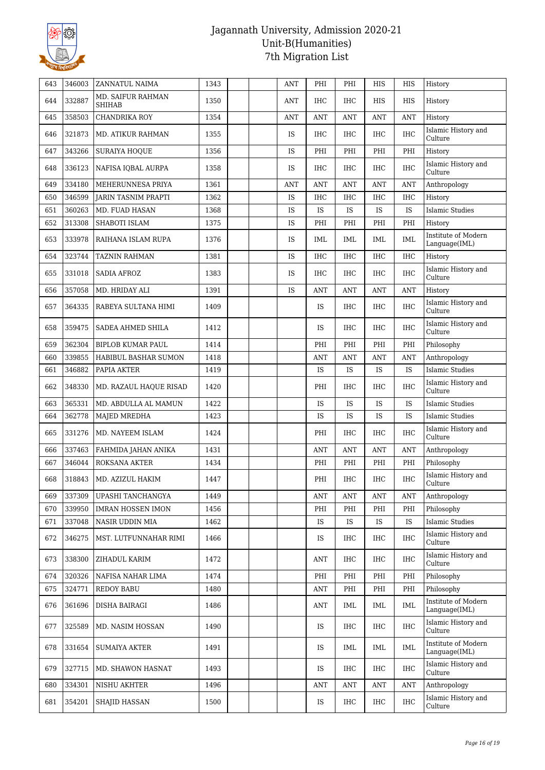

| 643 | 346003 | ZANNATUL NAIMA                            | 1343 |  | <b>ANT</b> | PHI                              | PHI        | HIS        | <b>HIS</b> | History                              |
|-----|--------|-------------------------------------------|------|--|------------|----------------------------------|------------|------------|------------|--------------------------------------|
| 644 | 332887 | <b>MD. SAIFUR RAHMAN</b><br><b>SHIHAB</b> | 1350 |  | ANT        | IHC                              | IHC        | HIS        | HIS        | History                              |
| 645 | 358503 | CHANDRIKA ROY                             | 1354 |  | ANT        | ANT                              | ANT        | <b>ANT</b> | <b>ANT</b> | History                              |
| 646 | 321873 | <b>MD. ATIKUR RAHMAN</b>                  | 1355 |  | IS         | IHC                              | IHC        | IHC        | <b>IHC</b> | Islamic History and<br>Culture       |
| 647 | 343266 | <b>SURAIYA HOQUE</b>                      | 1356 |  | IS         | PHI                              | PHI        | PHI        | PHI        | History                              |
| 648 | 336123 | NAFISA IQBAL AURPA                        | 1358 |  | IS         | IHC                              | IHC        | <b>IHC</b> | <b>IHC</b> | Islamic History and<br>Culture       |
| 649 | 334180 | MEHERUNNESA PRIYA                         | 1361 |  | <b>ANT</b> | <b>ANT</b>                       | <b>ANT</b> | <b>ANT</b> | <b>ANT</b> | Anthropology                         |
| 650 | 346599 | <b>IARIN TASNIM PRAPTI</b>                | 1362 |  | IS         | <b>IHC</b>                       | <b>IHC</b> | IHC        | IHC        | History                              |
| 651 | 360263 | MD. FUAD HASAN                            | 1368 |  | IS         | IS                               | <b>IS</b>  | IS         | IS         | Islamic Studies                      |
| 652 | 313308 | SHABOTI ISLAM                             | 1375 |  | IS         | PHI                              | PHI        | PHI        | PHI        | History                              |
| 653 | 333978 | RAIHANA ISLAM RUPA                        | 1376 |  | IS         | <b>IML</b>                       | <b>IML</b> | IML        | <b>IML</b> | Institute of Modern<br>Language(IML) |
| 654 | 323744 | <b>TAZNIN RAHMAN</b>                      | 1381 |  | IS         | <b>IHC</b>                       | <b>IHC</b> | <b>IHC</b> | <b>IHC</b> | History                              |
| 655 | 331018 | SADIA AFROZ                               | 1383 |  | IS         | IHC                              | IHC        | <b>IHC</b> | <b>IHC</b> | Islamic History and<br>Culture       |
| 656 | 357058 | MD. HRIDAY ALI                            | 1391 |  | IS         | ANT                              | ANT        | <b>ANT</b> | <b>ANT</b> | History                              |
| 657 | 364335 | RABEYA SULTANA HIMI                       | 1409 |  |            | <b>IS</b>                        | <b>IHC</b> | IHC        | <b>IHC</b> | Islamic History and<br>Culture       |
| 658 | 359475 | SADEA AHMED SHILA                         | 1412 |  |            | IS                               | <b>IHC</b> | <b>IHC</b> | <b>IHC</b> | Islamic History and<br>Culture       |
| 659 | 362304 | <b>BIPLOB KUMAR PAUL</b>                  | 1414 |  |            | PHI                              | PHI        | PHI        | PHI        | Philosophy                           |
| 660 | 339855 | HABIBUL BASHAR SUMON                      | 1418 |  |            | ANT                              | <b>ANT</b> | <b>ANT</b> | <b>ANT</b> | Anthropology                         |
| 661 | 346882 | PAPIA AKTER                               | 1419 |  |            | IS                               | IS         | IS         | IS         | Islamic Studies                      |
| 662 | 348330 | MD. RAZAUL HAQUE RISAD                    | 1420 |  |            | PHI                              | IHC        | IHC        | <b>IHC</b> | Islamic History and<br>Culture       |
| 663 | 365331 | MD. ABDULLA AL MAMUN                      | 1422 |  |            | IS                               | <b>IS</b>  | IS         | IS         | <b>Islamic Studies</b>               |
| 664 | 362778 | <b>MAJED MREDHA</b>                       | 1423 |  |            | <b>IS</b>                        | IS         | IS         | <b>IS</b>  | Islamic Studies                      |
| 665 | 331276 | MD. NAYEEM ISLAM                          | 1424 |  |            | PHI                              | <b>IHC</b> | <b>IHC</b> | IHC        | Islamic History and<br>Culture       |
| 666 | 337463 | FAHMIDA JAHAN ANIKA                       | 1431 |  |            | $\mathbf{A}\mathbf{N}\mathbf{T}$ | ANT        | <b>ANT</b> | <b>ANT</b> | Anthropology                         |
| 667 | 346044 | <b>ROKSANA AKTER</b>                      | 1434 |  |            | PHI                              | PHI        | PHI        | PHI        | Philosophy                           |
| 668 | 318843 | MD. AZIZUL HAKIM                          | 1447 |  |            | PHI                              | IHC        | IHC        | <b>IHC</b> | Islamic History and<br>Culture       |
| 669 | 337309 | UPASHI TANCHANGYA                         | 1449 |  |            | <b>ANT</b>                       | <b>ANT</b> | <b>ANT</b> | <b>ANT</b> | Anthropology                         |
| 670 | 339950 | <b>IMRAN HOSSEN IMON</b>                  | 1456 |  |            | PHI                              | PHI        | PHI        | PHI        | Philosophy                           |
| 671 | 337048 | NASIR UDDIN MIA                           | 1462 |  |            | IS                               | <b>IS</b>  | IS         | IS         | <b>Islamic Studies</b>               |
| 672 | 346275 | MST. LUTFUNNAHAR RIMI                     | 1466 |  |            | IS                               | IHC        | IHC        | IHC        | Islamic History and<br>Culture       |
| 673 | 338300 | ZIHADUL KARIM                             | 1472 |  |            | <b>ANT</b>                       | IHC        | IHC        | IHC        | Islamic History and<br>Culture       |
| 674 | 320326 | NAFISA NAHAR LIMA                         | 1474 |  |            | PHI                              | PHI        | PHI        | PHI        | Philosophy                           |
| 675 | 324771 | <b>REDOY BABU</b>                         | 1480 |  |            | ANT                              | PHI        | PHI        | PHI        | Philosophy                           |
| 676 | 361696 | DISHA BAIRAGI                             | 1486 |  |            | ANT                              | IML        | IML        | IML        | Institute of Modern<br>Language(IML) |
| 677 | 325589 | MD. NASIM HOSSAN                          | 1490 |  |            | IS                               | IHC        | IHC        | IHC        | Islamic History and<br>Culture       |
| 678 | 331654 | <b>SUMAIYA AKTER</b>                      | 1491 |  |            | IS                               | IML        | IML        | IML        | Institute of Modern<br>Language(IML) |
| 679 | 327715 | MD. SHAWON HASNAT                         | 1493 |  |            | IS                               | IHC        | IHC        | IHC        | Islamic History and<br>Culture       |
| 680 |        | NISHU AKHTER                              | 1496 |  |            | <b>ANT</b>                       | ANT        | ANT        | ANT        | Anthropology                         |
|     | 334301 |                                           |      |  |            |                                  |            |            |            |                                      |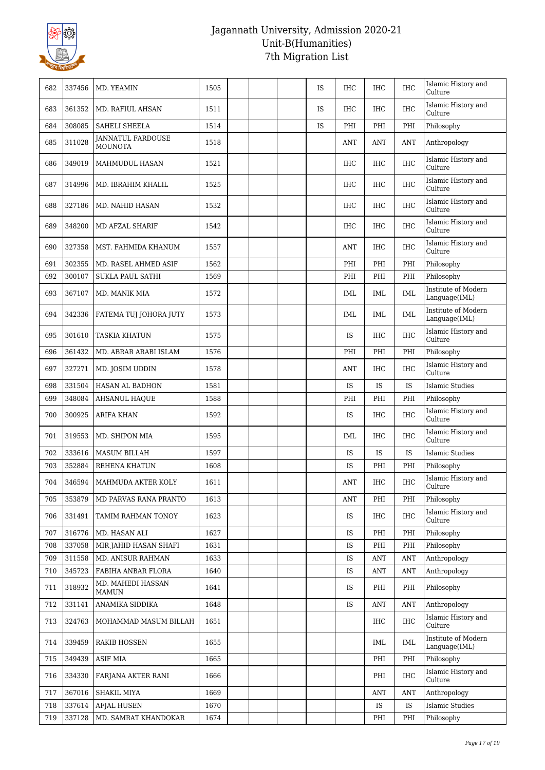

| 682 | 337456 | MD. YEAMIN                          | 1505 |  | <b>IS</b> | <b>IHC</b> | IHC        | <b>IHC</b> | Islamic History and<br>Culture       |
|-----|--------|-------------------------------------|------|--|-----------|------------|------------|------------|--------------------------------------|
| 683 | 361352 | MD. RAFIUL AHSAN                    | 1511 |  | <b>IS</b> | <b>IHC</b> | <b>IHC</b> | <b>IHC</b> | Islamic History and<br>Culture       |
| 684 | 308085 | <b>SAHELI SHEELA</b>                | 1514 |  | IS        | PHI        | PHI        | PHI        | Philosophy                           |
| 685 | 311028 | JANNATUL FARDOUSE<br><b>MOUNOTA</b> | 1518 |  |           | <b>ANT</b> | <b>ANT</b> | <b>ANT</b> | Anthropology                         |
| 686 | 349019 | MAHMUDUL HASAN                      | 1521 |  |           | <b>IHC</b> | <b>IHC</b> | <b>IHC</b> | Islamic History and<br>Culture       |
| 687 | 314996 | MD. IBRAHIM KHALIL                  | 1525 |  |           | <b>IHC</b> | <b>IHC</b> | <b>IHC</b> | Islamic History and<br>Culture       |
| 688 | 327186 | MD. NAHID HASAN                     | 1532 |  |           | <b>IHC</b> | <b>IHC</b> | <b>IHC</b> | Islamic History and<br>Culture       |
| 689 | 348200 | MD AFZAL SHARIF                     | 1542 |  |           | <b>IHC</b> | <b>IHC</b> | IHC        | Islamic History and<br>Culture       |
| 690 | 327358 | MST. FAHMIDA KHANUM                 | 1557 |  |           | ANT        | <b>IHC</b> | <b>IHC</b> | Islamic History and<br>Culture       |
| 691 | 302355 | MD. RASEL AHMED ASIF                | 1562 |  |           | PHI        | PHI        | PHI        | Philosophy                           |
| 692 | 300107 | <b>SUKLA PAUL SATHI</b>             | 1569 |  |           | PHI        | PHI        | PHI        | Philosophy                           |
| 693 | 367107 | MD. MANIK MIA                       | 1572 |  |           | IML        | IML        | <b>IML</b> | Institute of Modern<br>Language(IML) |
| 694 | 342336 | FATEMA TUJ JOHORA JUTY              | 1573 |  |           | IML        | IML        | IML        | Institute of Modern<br>Language(IML) |
| 695 | 301610 | <b>TASKIA KHATUN</b>                | 1575 |  |           | IS         | <b>IHC</b> | <b>IHC</b> | Islamic History and<br>Culture       |
| 696 | 361432 | MD. ABRAR ARABI ISLAM               | 1576 |  |           | PHI        | PHI        | PHI        | Philosophy                           |
| 697 | 327271 | MD. JOSIM UDDIN                     | 1578 |  |           | ANT        | <b>IHC</b> | <b>IHC</b> | Islamic History and<br>Culture       |
| 698 | 331504 | HASAN AL BADHON                     | 1581 |  |           | IS         | IS.        | IS         | <b>Islamic Studies</b>               |
| 699 | 348084 | <b>AHSANUL HAQUE</b>                | 1588 |  |           | PHI        | PHI        | PHI        | Philosophy                           |
| 700 | 300925 | <b>ARIFA KHAN</b>                   | 1592 |  |           | IS         | <b>IHC</b> | <b>IHC</b> | Islamic History and<br>Culture       |
| 701 | 319553 | MD. SHIPON MIA                      | 1595 |  |           | IML        | <b>IHC</b> | <b>IHC</b> | Islamic History and<br>Culture       |
| 702 | 333616 | MASUM BILLAH                        | 1597 |  |           | IS         | IS         | IS         | <b>Islamic Studies</b>               |
| 703 | 352884 | REHENA KHATUN                       | 1608 |  |           | IS         | PHI        | PHI        | Philosophy                           |
| 704 |        | 346594   MAHMUDA AKTER KOLY         | 1611 |  |           | <b>ANT</b> | <b>IHC</b> | <b>IHC</b> | Islamic History and<br>Culture       |
| 705 | 353879 | MD PARVAS RANA PRANTO               | 1613 |  |           | ANT        | PHI        | PHI        | Philosophy                           |
| 706 | 331491 | TAMIM RAHMAN TONOY                  | 1623 |  |           | IS         | <b>IHC</b> | IHC        | Islamic History and<br>Culture       |
| 707 | 316776 | MD. HASAN ALI                       | 1627 |  |           | IS         | PHI        | PHI        | Philosophy                           |
| 708 | 337058 | MIR JAHID HASAN SHAFI               | 1631 |  |           | IS         | PHI        | PHI        | Philosophy                           |
| 709 | 311558 | <b>MD. ANISUR RAHMAN</b>            | 1633 |  |           | IS         | <b>ANT</b> | <b>ANT</b> | Anthropology                         |
| 710 | 345723 | FABIHA ANBAR FLORA                  | 1640 |  |           | IS         | <b>ANT</b> | <b>ANT</b> | Anthropology                         |
| 711 | 318932 | MD. MAHEDI HASSAN<br><b>MAMUN</b>   | 1641 |  |           | IS         | PHI        | PHI        | Philosophy                           |
| 712 | 331141 | ANAMIKA SIDDIKA                     | 1648 |  |           | IS         | <b>ANT</b> | <b>ANT</b> | Anthropology                         |
| 713 | 324763 | MOHAMMAD MASUM BILLAH               | 1651 |  |           |            | IHC        | IHC        | Islamic History and<br>Culture       |
| 714 | 339459 | <b>RAKIB HOSSEN</b>                 | 1655 |  |           |            | IML        | IML        | Institute of Modern<br>Language(IML) |
| 715 | 349439 | <b>ASIF MIA</b>                     | 1665 |  |           |            | PHI        | PHI        | Philosophy                           |
| 716 | 334330 | FARJANA AKTER RANI                  | 1666 |  |           |            | PHI        | IHC        | Islamic History and<br>Culture       |
| 717 | 367016 | SHAKIL MIYA                         | 1669 |  |           |            | ANT        | ANT        | Anthropology                         |
| 718 | 337614 | <b>AFJAL HUSEN</b>                  | 1670 |  |           |            | <b>IS</b>  | IS         | <b>Islamic Studies</b>               |
| 719 | 337128 | MD. SAMRAT KHANDOKAR                | 1674 |  |           |            | PHI        | PHI        | Philosophy                           |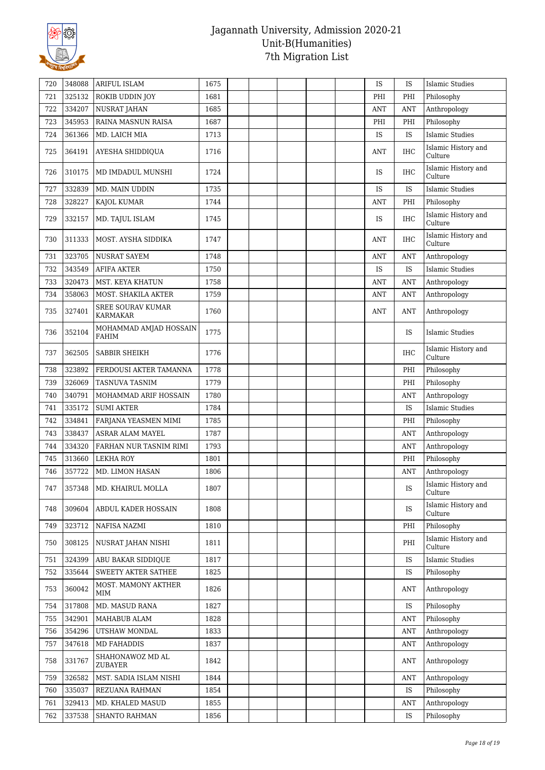

| 720 | 348088 | <b>ARIFUL ISLAM</b>                         | 1675 |  |  | IS         | IS         | <b>Islamic Studies</b>         |
|-----|--------|---------------------------------------------|------|--|--|------------|------------|--------------------------------|
| 721 | 325132 | ROKIB UDDIN JOY                             | 1681 |  |  | PHI        | PHI        | Philosophy                     |
| 722 | 334207 | <b>NUSRAT JAHAN</b>                         | 1685 |  |  | <b>ANT</b> | <b>ANT</b> | Anthropology                   |
| 723 | 345953 | RAINA MASNUN RAISA                          | 1687 |  |  | PHI        | PHI        | Philosophy                     |
| 724 | 361366 | MD. LAICH MIA                               | 1713 |  |  | <b>IS</b>  | IS         | <b>Islamic Studies</b>         |
| 725 | 364191 | <b>AYESHA SHIDDIQUA</b>                     | 1716 |  |  | ANT        | <b>IHC</b> | Islamic History and<br>Culture |
| 726 | 310175 | MD IMDADUL MUNSHI                           | 1724 |  |  | IS         | <b>IHC</b> | Islamic History and<br>Culture |
| 727 | 332839 | MD. MAIN UDDIN                              | 1735 |  |  | IS         | IS         | Islamic Studies                |
| 728 | 328227 | <b>KAJOL KUMAR</b>                          | 1744 |  |  | <b>ANT</b> | PHI        | Philosophy                     |
| 729 | 332157 | MD. TAJUL ISLAM                             | 1745 |  |  | IS.        | <b>IHC</b> | Islamic History and<br>Culture |
| 730 | 311333 | MOST. AYSHA SIDDIKA                         | 1747 |  |  | <b>ANT</b> | <b>IHC</b> | Islamic History and<br>Culture |
| 731 | 323705 | <b>NUSRAT SAYEM</b>                         | 1748 |  |  | <b>ANT</b> | <b>ANT</b> | Anthropology                   |
| 732 | 343549 | <b>AFIFA AKTER</b>                          | 1750 |  |  | IS         | IS         | <b>Islamic Studies</b>         |
| 733 | 320473 | <b>MST. KEYA KHATUN</b>                     | 1758 |  |  | <b>ANT</b> | <b>ANT</b> | Anthropology                   |
| 734 | 358063 | MOST. SHAKILA AKTER                         | 1759 |  |  | <b>ANT</b> | <b>ANT</b> | Anthropology                   |
| 735 | 327401 | <b>SREE SOURAV KUMAR</b><br><b>KARMAKAR</b> | 1760 |  |  | <b>ANT</b> | <b>ANT</b> | Anthropology                   |
| 736 | 352104 | MOHAMMAD AMJAD HOSSAIN<br>FAHIM             | 1775 |  |  |            | IS         | Islamic Studies                |
| 737 | 362505 | SABBIR SHEIKH                               | 1776 |  |  |            | <b>IHC</b> | Islamic History and<br>Culture |
| 738 | 323892 | FERDOUSI AKTER TAMANNA                      | 1778 |  |  |            | PHI        | Philosophy                     |
| 739 | 326069 | <b>TASNUVA TASNIM</b>                       | 1779 |  |  |            | PHI        | Philosophy                     |
| 740 | 340791 | MOHAMMAD ARIF HOSSAIN                       | 1780 |  |  |            | ANT        | Anthropology                   |
| 741 | 335172 | <b>SUMI AKTER</b>                           | 1784 |  |  |            | IS         | <b>Islamic Studies</b>         |
| 742 | 334841 | FARJANA YEASMEN MIMI                        | 1785 |  |  |            | PHI        | Philosophy                     |
| 743 | 338437 | ASRAR ALAM MAYEL                            | 1787 |  |  |            | <b>ANT</b> | Anthropology                   |
| 744 | 334320 | FARHAN NUR TASNIM RIMI                      | 1793 |  |  |            | <b>ANT</b> | Anthropology                   |
| 745 | 313660 | <b>LEKHA ROY</b>                            | 1801 |  |  |            | PHI        | Philosophy                     |
| 746 | 357722 | MD. LIMON HASAN                             | 1806 |  |  |            | <b>ANT</b> | Anthropology                   |
| 747 | 357348 | MD. KHAIRUL MOLLA                           | 1807 |  |  |            | IS         | Islamic History and<br>Culture |
| 748 | 309604 | ABDUL KADER HOSSAIN                         | 1808 |  |  |            | IS         | Islamic History and<br>Culture |
| 749 | 323712 | NAFISA NAZMI                                | 1810 |  |  |            | PHI        | Philosophy                     |
| 750 | 308125 | NUSRAT JAHAN NISHI                          | 1811 |  |  |            | PHI        | Islamic History and<br>Culture |
| 751 | 324399 | ABU BAKAR SIDDIQUE                          | 1817 |  |  |            | IS         | <b>Islamic Studies</b>         |
| 752 | 335644 | SWEETY AKTER SATHEE                         | 1825 |  |  |            | IS         | Philosophy                     |
| 753 | 360042 | MOST. MAMONY AKTHER<br>MIM                  | 1826 |  |  |            | <b>ANT</b> | Anthropology                   |
| 754 | 317808 | MD. MASUD RANA                              | 1827 |  |  |            | IS         | Philosophy                     |
| 755 | 342901 | MAHABUB ALAM                                | 1828 |  |  |            | ANT        | Philosophy                     |
| 756 | 354296 | UTSHAW MONDAL                               | 1833 |  |  |            | ANT        | Anthropology                   |
| 757 | 347618 | <b>MD FAHADDIS</b>                          | 1837 |  |  |            | <b>ANT</b> | Anthropology                   |
| 758 | 331767 | SHAHONAWOZ MD AL<br><b>ZUBAYER</b>          | 1842 |  |  |            | <b>ANT</b> | Anthropology                   |
| 759 | 326582 | MST. SADIA ISLAM NISHI                      | 1844 |  |  |            | <b>ANT</b> | Anthropology                   |
| 760 | 335037 | REZUANA RAHMAN                              | 1854 |  |  |            | IS         | Philosophy                     |
| 761 | 329413 | MD. KHALED MASUD                            | 1855 |  |  |            | <b>ANT</b> | Anthropology                   |
| 762 | 337538 | SHANTO RAHMAN                               | 1856 |  |  |            | IS         | Philosophy                     |